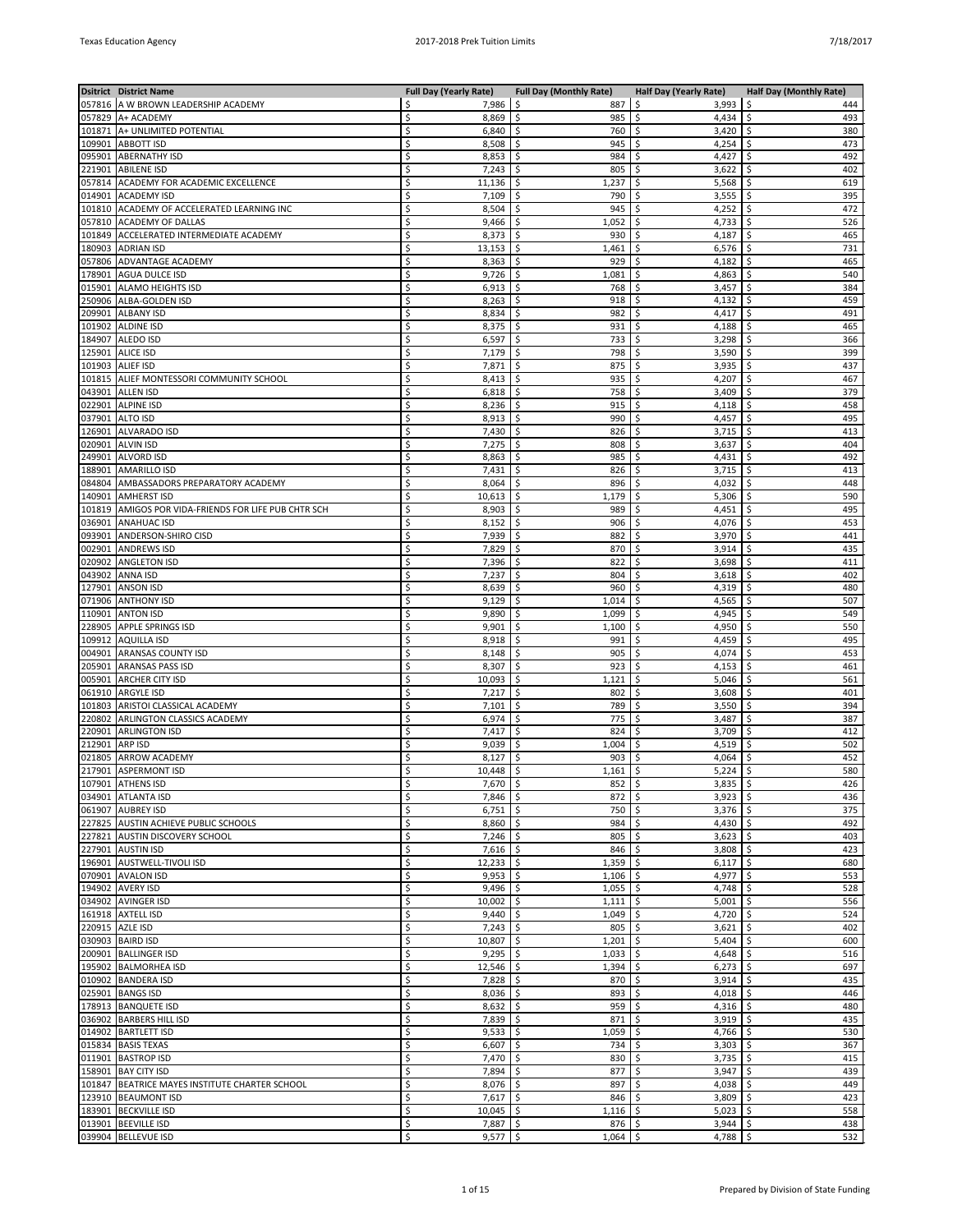|                  | <b>Dsitrict District Name</b>                    | <b>Full Day (Yearly Rate)</b> | <b>Full Day (Monthly Rate)</b> | <b>Half Day (Yearly Rate)</b> | Half Day (Monthly Rate) |
|------------------|--------------------------------------------------|-------------------------------|--------------------------------|-------------------------------|-------------------------|
|                  | 057816 A W BROWN LEADERSHIP ACADEMY              | 7,986<br>Ś                    | -\$<br>887                     | 3,993<br>\$.                  | \$<br>444               |
|                  | 057829 A+ ACADEMY                                | Ś<br>8,869                    | \$<br>985                      | \$<br>4,434                   | \$<br>493               |
| 101871           | A+ UNLIMITED POTENTIAL                           | Ś<br>6,840                    | \$<br>760                      | \$<br>3,420                   | \$<br>380               |
|                  | 109901 ABBOTT ISD                                | Ś<br>8,508                    | \$<br>945                      | \$<br>4,254                   | 473<br>\$               |
| 095901<br>221901 | <b>ABERNATHY ISD</b><br><b>ABILENE ISD</b>       | Ś<br>8,853<br>7,243<br>Ś      | \$.<br>984<br>\$<br>805        | \$<br>4,427<br>\$<br>3,622    | \$<br>492<br>\$<br>402  |
| 057814           | ACADEMY FOR ACADEMIC EXCELLENCE                  | 11,136<br>Ś                   | \$<br>1,237                    | 5,568<br>\$                   | 619<br>\$               |
| 014901           | <b>ACADEMY ISD</b>                               | Ś<br>7,109                    | \$<br>790                      | \$<br>3,555                   | \$<br>395               |
| 101810           | ACADEMY OF ACCELERATED LEARNING INC              | Ś<br>8,504                    | \$<br>945                      | \$<br>4,252                   | 472<br>\$               |
| 057810           | <b>ACADEMY OF DALLAS</b>                         | Ś<br>9,466                    | \$.<br>1,052                   | \$<br>4,733                   | \$<br>526               |
| 101849           | ACCELERATED INTERMEDIATE ACADEMY                 | Ś<br>8,373                    | \$<br>930                      | 4,187<br>\$                   | \$<br>465               |
| 180903           | <b>ADRIAN ISD</b>                                | 13,153<br>Ś                   | \$<br>1,461                    | 6,576<br>\$                   | \$<br>731               |
| 057806           | ADVANTAGE ACADEMY                                | Ś<br>8,363                    | \$<br>929                      | \$<br>4,182                   | \$<br>465               |
| 178901           | <b>AGUA DULCE ISD</b>                            | 9,726<br>Ś                    | \$<br>1,081                    | \$<br>4,863                   | 540<br>\$               |
| 015901           | <b>ALAMO HEIGHTS ISD</b>                         | Ś<br>6,913                    | Ŝ.<br>768                      | 3,457<br>\$                   | \$<br>384               |
| 250906           | ALBA-GOLDEN ISD                                  | Ś<br>8,263<br>8,834<br>Ś      | \$<br>918                      | \$<br>4,132<br>4,417          | \$<br>459<br>\$<br>491  |
| 101902           | 209901 ALBANY ISD<br><b>ALDINE ISD</b>           | Ś<br>8,375                    | \$<br>982<br>\$<br>931         | \$<br>\$<br>4,188             | \$<br>465               |
|                  | 184907 ALEDO ISD                                 | Ś<br>6,597                    | \$<br>733                      | \$<br>3,298                   | 366<br>\$               |
| 125901           | <b>ALICE ISD</b>                                 | Ś<br>7,179                    | \$<br>798                      | \$<br>3,590                   | \$<br>399               |
| 101903           | <b>ALIEF ISD</b>                                 | 7,871<br>Ś                    | \$<br>875                      | 3,935<br>\$                   | 437<br>\$               |
|                  | 101815 ALIEF MONTESSORI COMMUNITY SCHOOL         | 8,413<br>Ś                    | \$<br>935                      | 4,207<br>\$                   | 467<br>\$               |
| 043901           | <b>ALLEN ISD</b>                                 | Ś<br>6,818                    | \$<br>758                      | \$<br>3,409                   | \$<br>379               |
| 022901           | <b>ALPINE ISD</b>                                | 8,236<br>Ś                    | \$<br>915                      | \$<br>4,118                   | 458<br>\$               |
| 037901           | <b>ALTO ISD</b>                                  | Ś<br>8,913                    | Ŝ.<br>990                      | \$<br>4,457                   | \$<br>495               |
| 126901           | <b>ALVARADO ISD</b>                              | Ś<br>7,430                    | \$<br>826                      | \$<br>3,715                   | \$<br>413               |
| 020901           | <b>ALVIN ISD</b>                                 | 7,275<br>Ś                    | \$<br>808                      | 3,637<br>\$                   | \$<br>404               |
| 249901           | <b>ALVORD ISD</b><br><b>AMARILLO ISD</b>         | Ś<br>8,863<br>Ś               | \$<br>985                      | \$<br>4,431<br>\$             | \$<br>492<br>413        |
| 188901<br>084804 | AMBASSADORS PREPARATORY ACADEMY                  | 7,431<br>8,064<br>Ś           | \$<br>826<br>\$.<br>896        | 3,715<br>\$<br>4,032          | \$<br>\$<br>448         |
| 140901           | <b>AMHERST ISD</b>                               | 10,613<br>Ś                   | 1,179<br>\$                    | 5,306<br>\$                   | \$<br>590               |
| 101819           | AMIGOS POR VIDA-FRIENDS FOR LIFE PUB CHTR SCH    | 8,903<br>Ś                    | \$<br>989                      | 4,451<br>\$                   | \$<br>495               |
| 036901           | <b>ANAHUAC ISD</b>                               | Ś<br>8,152                    | \$<br>906                      | \$<br>4,076                   | \$<br>453               |
| 093901           | ANDERSON-SHIRO CISD                              | 7,939<br>Ś                    | \$<br>882                      | \$<br>3,970                   | \$<br>441               |
| 002901           | <b>ANDREWS ISD</b>                               | Ś<br>7,829                    | Ŝ.<br>870                      | \$<br>3,914                   | \$<br>435               |
| 020902           | <b>ANGLETON ISD</b>                              | 7,396<br>Ś                    | \$<br>822                      | 3,698<br>\$                   | \$<br>411               |
| 043902           | <b>ANNA ISD</b>                                  | 7,237<br>Ś                    | \$<br>804                      | \$<br>3,618                   | 402<br>\$               |
| 127901           | <b>ANSON ISD</b>                                 | Ś<br>8,639                    | \$<br>960                      | \$<br>4,319                   | \$<br>480               |
| 071906           | <b>ANTHONY ISD</b>                               | 9,129<br>Ś                    | \$<br>1,014                    | 4,565<br>\$                   | 507<br>\$               |
| 110901<br>228905 | <b>ANTON ISD</b><br>APPLE SPRINGS ISD            | Ś<br>9,890<br>Ś<br>9,901      | \$<br>1,099<br>\$<br>1,100     | \$<br>4,945<br>4,950<br>\$    | \$<br>549<br>550<br>\$  |
| 109912           | <b>AQUILLA ISD</b>                               | 8,918<br>Ś                    | \$<br>991                      | 4,459<br>\$                   | \$<br>495               |
| 004901           | ARANSAS COUNTY ISD                               | Ś<br>8,148                    | \$<br>905                      | \$<br>4,074                   | \$<br>453               |
| 205901           | <b>ARANSAS PASS ISD</b>                          | Ś<br>8,307                    | \$<br>923                      | \$<br>4,153                   | \$<br>461               |
| 005901           | <b>ARCHER CITY ISD</b>                           | Ś<br>10,093                   | \$<br>1,121                    | \$<br>5,046                   | \$<br>561               |
| 061910           | <b>ARGYLE ISD</b>                                | Ś<br>7,217                    | \$<br>802                      | \$<br>3,608                   | \$<br>401               |
| 101803           | ARISTOI CLASSICAL ACADEMY                        | Ś<br>7,101                    | \$<br>789                      | \$<br>3,550                   | \$<br>394               |
| 220802           | ARLINGTON CLASSICS ACADEMY                       | Ś<br>6,974                    | \$<br>775                      | \$<br>3,487                   | \$<br>387               |
| 220901           | <b>ARLINGTON ISD</b>                             | Ś<br>7,417                    | \$<br>824                      | \$<br>3,709                   | \$<br>412               |
| 212901<br>021805 | ARP ISD<br><b>ARROW ACADEMY</b>                  | Ś<br>9,039<br>Ś<br>8,127      | \$<br>1,004<br>\$<br>903       | \$<br>4,519<br>\$<br>4,064    | \$<br>502<br>452<br>\$  |
|                  | 217901 ASPERMONT ISD                             | Ś<br>10,448                   | \$<br>1,161                    | \$<br>5,224                   | \$<br>580               |
|                  | 107901 ATHENS ISD                                | $7,670$ \$<br>\$              | $852 \mid$ \$                  | $3,835$ \$                    | 426                     |
|                  | 034901 ATLANTA ISD                               | $7,846$ \$<br>Ś               | $872 \mid 5$                   | $3,923$   \$                  | 436                     |
|                  | 061907 AUBREY ISD                                | $6,751$ \$<br>\$              | $750 \mid $$                   | $3,376$ \$                    | 375                     |
|                  | 227825 AUSTIN ACHIEVE PUBLIC SCHOOLS             | Ś<br>$8,860$ \$               | $984$ \$                       | 4,430 $\frac{1}{2}$           | 492                     |
|                  | 227821 AUSTIN DISCOVERY SCHOOL                   | \$<br>$7,246$ \$              | $805$ \$                       | 3,623                         | \$<br>403               |
|                  | 227901 AUSTIN ISD                                | \$<br>$7,616$ \$              | 846                            | \$<br>3,808                   | \$<br>423               |
|                  | 196901 AUSTWELL-TIVOLI ISD                       | Ś<br>$12,233$ \$              | $1,359$ \$                     | $6,117$ \$                    | 680                     |
|                  | 070901 AVALON ISD                                | $9,953$ \$<br>Ś<br>Ś          | $1,106$ \$<br>$1,055$ \$       | 4,977 $\frac{1}{2}$           | 553                     |
|                  | 194902 AVERY ISD<br>034902 AVINGER ISD           | 9,496<br>Ś<br>10,002          | \$<br>\$<br>1,111              | 4,748<br>\$<br>5,001          | \$<br>528<br>\$<br>556  |
|                  | 161918 AXTELL ISD                                | Ś<br>9,440                    | \$<br>$1,049$ \$               | 4,720                         | \$<br>524               |
|                  | 220915 AZLE ISD                                  | Ś<br>$7,243$ \$               | $805$ \$                       | 3,621                         | 402<br>\$               |
|                  | 030903   BAIRD ISD                               | \$<br>$10,807$ \$             | $1,201$ \$                     | $5,404$ \$                    | 600                     |
|                  | 200901 BALLINGER ISD                             | Ś<br>9,295                    | \$<br>1,033                    | \$<br>4,648                   | \$<br>516               |
|                  | 195902 BALMORHEA ISD                             | \$<br>$12,546$ \$             | 1,394                          | \$<br>6,273                   | \$<br>697               |
|                  | 010902 BANDERA ISD                               | Ś<br>7,828                    | $\mathsf{\hat{S}}$<br>870      | \$<br>3,914                   | \$<br>435               |
|                  | 025901 BANGS ISD                                 | Ś<br>$8,036$ \$               | 893                            | \$<br>4,018                   | \$<br>446               |
|                  | 178913   BANQUETE ISD                            | Ś<br>$8,632$ \$               | $959$ \$                       | 4,316 $\frac{1}{2}$           | 480                     |
|                  | 036902   BARBERS HILL ISD                        | $7,839$ \$<br>Ś               | 871                            | \$<br>3,919                   | \$<br>435               |
|                  | 014902   BARTLETT ISD                            | $9,533$ \$<br>\$<br>Ś         | $1,059$ \$<br>\$               | $4,766$ \$                    | 530<br>\$               |
|                  | 015834 BASIS TEXAS<br>011901 BASTROP ISD         | 6,607<br>Ś<br>7,470           | 734<br>\$<br>$830$ \$          | \$<br>3,303<br>3,735          | 367<br>\$<br>415        |
|                  | 158901 BAY CITY ISD                              | Ś<br>7,894 \$                 | $877$ \$                       | $3,947$ \$                    | 439                     |
|                  | 101847   BEATRICE MAYES INSTITUTE CHARTER SCHOOL | Ś<br>8,076                    | \$<br>897                      | \$<br>4,038                   | \$<br>449               |
|                  | 123910   BEAUMONT ISD                            | $7,617$ \$<br>\$              | $846$ \$                       | 3,809                         | \$<br>423               |
|                  | 183901 BECKVILLE ISD                             | Ś<br>10,045                   | \$<br>$1,116$ \$               | 5,023                         | \$<br>558               |
|                  | 013901 BEEVILLE ISD                              | \$<br>$7,887$ \$              | $876$ \$                       | $3,944$ \$                    | 438                     |
|                  | 039904 BELLEVUE ISD                              | \$<br>$9,577$ \$              | $1,064$ \$                     | 4,788 $\frac{1}{2}$           | 532                     |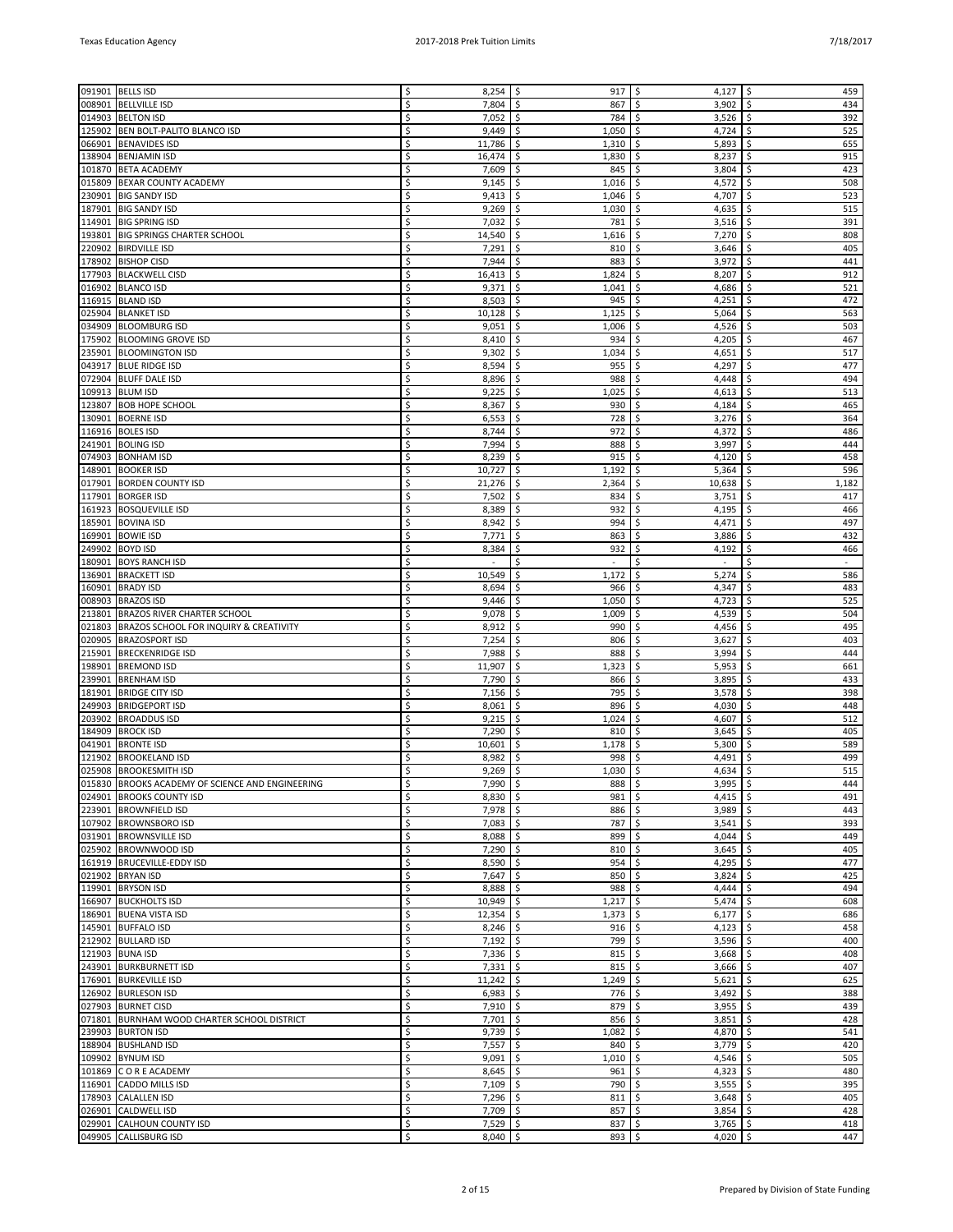|        | 091901 BELLS ISD                                  |    | 8,254      | \$<br>917      | \$<br>4,127                  | \$<br>459      |
|--------|---------------------------------------------------|----|------------|----------------|------------------------------|----------------|
| 008901 | <b>BELLVILLE ISD</b>                              | \$ | 7,804      | \$<br>867      | \$<br>3,902                  | 434<br>\$      |
| 014903 | <b>BELTON ISD</b>                                 | \$ | 7,052      | \$<br>784      | \$<br>3,526                  | 392<br>\$      |
| 125902 | BEN BOLT-PALITO BLANCO ISD                        | Ś  | 9,449      | \$<br>1,050    | \$<br>4,724                  | \$<br>525      |
|        | 066901 BENAVIDES ISD                              | \$ | 11,786     | \$<br>1,310    | \$<br>5,893                  | 655<br>\$      |
| 138904 | <b>BENJAMIN ISD</b>                               | Ś  | 16,474     | \$<br>1,830    | Ś.<br>8,237                  | Ś<br>915       |
| 101870 | <b>BETA ACADEMY</b>                               | \$ | 7,609      | \$<br>845      | \$<br>3,804                  | 423<br>\$      |
| 015809 | BEXAR COUNTY ACADEMY                              | Ś  | 9,145      | \$.<br>1,016   | 4,572<br>\$.                 | 508<br>\$      |
| 230901 | <b>BIG SANDY ISD</b>                              | Ś  | 9,413      | \$<br>1,046    | 4,707<br>\$                  | 523<br>Ś       |
|        | 187901 BIG SANDY ISD                              | \$ | 9,269      | \$<br>1,030    | \$.<br>4,635                 | 515<br>\$      |
| 114901 | <b>BIG SPRING ISD</b>                             | Ś  | 7,032      | \$<br>781      | \$<br>3,516                  | \$<br>391      |
|        |                                                   | Ś  |            |                |                              |                |
| 193801 | <b>BIG SPRINGS CHARTER SCHOOL</b>                 |    | 14,540     | \$<br>1,616    | \$<br>7,270                  | 808<br>\$      |
| 220902 | <b>BIRDVILLE ISD</b>                              | \$ | 7,291      | \$<br>810      | \$.<br>3,646                 | \$<br>405      |
| 178902 | <b>BISHOP CISD</b>                                | Ś  | 7,944      | \$<br>883      | 3,972<br>\$                  | \$<br>441      |
|        | 177903 BLACKWELL CISD                             | \$ | 16,413     | \$<br>1,824    | \$<br>8,207                  | \$<br>912      |
| 016902 | <b>BLANCO ISD</b>                                 | Ś  | 9,371      | \$<br>1,041    | \$<br>4,686                  | \$<br>521      |
| 116915 | <b>BLAND ISD</b>                                  | Ś  | 8,503      | \$<br>945      | 4,251<br>\$                  | 472<br>\$      |
| 025904 | <b>BLANKET ISD</b>                                | Ś  | 10,128     | \$.<br>1,125   | 5,064<br>\$.                 | \$<br>563      |
| 034909 | <b>BLOOMBURG ISD</b>                              | Ś  | 9,051      | 1,006<br>\$    | 4,526<br>\$                  | 503<br>\$      |
|        | 175902 BLOOMING GROVE ISD                         | \$ | 8,410      | \$<br>934      | \$<br>4,205                  | 467<br>\$      |
| 235901 | <b>BLOOMINGTON ISD</b>                            | Ś  | 9,302      | \$<br>1,034    | \$<br>4,651                  | \$<br>517      |
|        | 043917 BLUE RIDGE ISD                             | Ś  | 8,594      | 955            | \$<br>4,297                  | 477<br>\$      |
|        |                                                   |    |            | \$             |                              |                |
| 072904 | <b>BLUFF DALE ISD</b>                             | Ś  | 8,896      | \$.<br>988     | Ŝ.<br>4,448                  | \$<br>494      |
| 109913 | <b>BLUM ISD</b>                                   | Ś  | 9,225      | 1,025<br>\$.   | 4,613<br>\$.                 | \$<br>513      |
| 123807 | <b>BOB HOPE SCHOOL</b>                            | Ś  | 8,367      | \$<br>930      | \$<br>4,184                  | \$<br>465      |
| 130901 | <b>BOERNE ISD</b>                                 | Ś  | 6,553      | \$<br>728      | \$<br>3,276                  | \$<br>364      |
| 116916 | <b>BOLES ISD</b>                                  | Ś  | 8,744      | \$<br>972      | \$<br>4,372                  | 486<br>\$      |
| 241901 | <b>BOLING ISD</b>                                 | Ś  | 7,994      | \$.<br>888     | 3,997<br>\$.                 | \$<br>444      |
| 074903 | <b>BONHAM ISD</b>                                 | Ś  | 8,239      | \$<br>915      | 4,120<br>\$                  | 458<br>Ś       |
| 148901 | <b>BOOKER ISD</b>                                 | \$ | 10,727     | 1,192<br>\$    | 5,364<br>\$                  | 596<br>\$      |
| 017901 | <b>BORDEN COUNTY ISD</b>                          | Ś  | 21,276     | \$<br>2,364    | \$<br>10,638                 | \$<br>1,182    |
| 117901 | <b>BORGER ISD</b>                                 | Ś  | 7,502      | 834<br>\$      | \$<br>3,751                  | 417<br>\$      |
|        |                                                   | Ś  |            | Ŝ.             | Ŝ.                           |                |
| 161923 | <b>BOSQUEVILLE ISD</b>                            |    | 8,389      | 932            | 4,195                        | \$<br>466      |
| 185901 | <b>BOVINA ISD</b>                                 | Ś  | 8,942      | 994<br>\$      | 4,471<br>\$.                 | \$<br>497      |
| 169901 | <b>BOWIE ISD</b>                                  | Ś  | 7,771      | \$<br>863      | \$<br>3,886                  | \$<br>432      |
| 249902 | <b>BOYD ISD</b>                                   | Ś  | 8,384      | \$<br>932      | \$<br>4,192                  | \$<br>466      |
| 180901 | <b>BOYS RANCH ISD</b>                             | Ś  | $\sim$     | \$<br>$\omega$ | \$<br>$\sim$                 | \$<br>$\omega$ |
| 136901 | <b>BRACKETT ISD</b>                               | Ś  | 10,549     | \$.<br>1,172   | \$<br>5,274                  | \$<br>586      |
| 160901 | <b>BRADY ISD</b>                                  | Ś  | 8,694      | 966            | 4,347<br>\$                  | Ś<br>483       |
| 008903 | <b>BRAZOS ISD</b>                                 | Ś  | 9,446      | \$<br>1,050    | 4,723<br>\$                  | 525<br>\$      |
| 213801 | <b>BRAZOS RIVER CHARTER SCHOOL</b>                | \$ | 9,078      | \$<br>1,009    | \$<br>4,539                  | \$<br>504      |
| 021803 | <b>BRAZOS SCHOOL FOR INQUIRY &amp; CREATIVITY</b> | Ś  | 8,912      | 990<br>\$      | \$<br>4,456                  | 495<br>\$      |
| 020905 | <b>BRAZOSPORT ISD</b>                             | Ś  | 7,254      | Ŝ.<br>806      | Ŝ.<br>3,627                  | \$<br>403      |
| 215901 | <b>BRECKENRIDGE ISD</b>                           | Ś  | 7,988      | \$<br>888      | 3,994<br>\$.                 | \$<br>444      |
|        |                                                   |    |            |                |                              |                |
| 198901 | <b>BREMOND ISD</b>                                | Ś  | 11,907     | \$<br>1,323    | 5,953<br>\$                  | \$<br>661      |
| 239901 | <b>BRENHAM ISD</b>                                | Ś  | 7,790      | \$<br>866      | \$<br>3,895                  | \$<br>433      |
| 181901 | <b>BRIDGE CITY ISD</b>                            | Ś  | 7,156      | 795<br>\$      | \$<br>3,578                  | \$<br>398      |
| 249903 | <b>BRIDGEPORT ISD</b>                             | Ś  | 8,061      | \$.<br>896     | \$.<br>4,030                 | \$<br>448      |
| 203902 | <b>BROADDUS ISD</b>                               | Ś  | 9,215      | 1,024<br>\$    | \$<br>4,607                  | 512<br>\$      |
| 184909 | <b>BROCK ISD</b>                                  | Ś  | 7,290      | \$<br>810      | \$<br>3,645                  | 405<br>\$      |
| 041901 | <b>BRONTE ISD</b>                                 | Ś  | 10,601     | \$<br>1,178    | \$<br>5,300                  | Ś<br>589       |
| 121902 | <b>BROOKELAND ISD</b>                             | Ś  | 8,982      | \$<br>998      | \$<br>4,491                  | 499<br>\$      |
|        | 025908 BROOKESMITH ISD                            | Ś  | 9,269      | -\$<br>1,030   | \$<br>4,634                  | 515<br>Ŝ.      |
|        | 015830 BROOKS ACADEMY OF SCIENCE AND ENGINEERING  | \$ | $7,990$ \$ | 888            | $3,995$ $\frac{1}{2}$<br>-\$ | 444            |
|        | 024901 BROOKS COUNTY ISD                          | \$ | 8,830      | \$<br>981      | \$<br>4,415                  | \$<br>491      |
|        | 223901 BROWNFIELD ISD                             | \$ | 7,978      | \$<br>886      | \$<br>3,989                  | \$<br>443      |
|        |                                                   |    |            |                |                              |                |
|        | 107902 BROWNSBORO ISD                             | \$ | 7,083      | \$<br>787      | \$<br>3,541                  | \$<br>393      |
|        | 031901   BROWNSVILLE ISD                          | \$ | 8,088      | \$<br>899      | \$<br>4,044                  | \$<br>449      |
|        | 025902 BROWNWOOD ISD                              | Ś  | 7,290      | \$<br>810      | \$<br>3,645                  | 405<br>\$      |
|        | 161919   BRUCEVILLE-EDDY ISD                      | \$ | 8,590      | \$<br>954      | \$<br>4,295                  | \$<br>477      |
|        | 021902 BRYAN ISD                                  | \$ | 7,647      | \$<br>850      | \$<br>3,824                  | \$<br>425      |
|        | 119901 BRYSON ISD                                 | \$ | 8,888      | \$<br>988      | \$<br>4,444                  | \$<br>494      |
|        | 166907 BUCKHOLTS ISD                              | \$ | 10,949     | \$<br>1,217    | \$<br>5,474                  | \$<br>608      |
|        | 186901 BUENA VISTA ISD                            | \$ | 12,354     | \$<br>1,373    | \$<br>6,177                  | \$<br>686      |
|        | 145901 BUFFALO ISD                                | \$ | 8,246      | \$<br>916      | \$<br>4,123                  | \$<br>458      |
|        | 212902 BULLARD ISD                                | \$ | 7,192      | \$<br>799      | \$<br>3,596                  | \$<br>400      |
|        | 121903 BUNA ISD                                   | \$ | 7,336      | \$<br>815      | \$<br>3,668                  | \$<br>408      |
|        | 243901 BURKBURNETT ISD                            | \$ | $7,331$ \$ | 815            | \$<br>3,666                  | \$<br>407      |
|        | 176901 BURKEVILLE ISD                             | Ś  | 11,242     | \$<br>1,249    | \$<br>5,621                  | \$<br>625      |
|        |                                                   |    |            |                |                              |                |
|        | 126902 BURLESON ISD                               | \$ | 6,983      | \$<br>776      | \$<br>3,492                  | \$<br>388      |
|        | 027903 BURNET CISD                                | \$ | $7,910$ \$ | 879            | \$<br>3,955                  | \$<br>439      |
|        | 071801 BURNHAM WOOD CHARTER SCHOOL DISTRICT       | \$ | 7,701      | \$<br>856      | \$<br>3,851                  | 428<br>\$      |
|        | 239903 BURTON ISD                                 | \$ | 9,739      | \$<br>1,082    | \$<br>4,870                  | \$<br>541      |
|        | 188904 BUSHLAND ISD                               | \$ | 7,557      | \$<br>840      | \$<br>3,779                  | \$<br>420      |
|        | 109902 BYNUM ISD                                  | \$ | 9,091      | \$<br>1,010    | \$<br>4,546                  | \$<br>505      |
|        | 101869 C O R E ACADEMY                            | \$ | 8,645      | \$<br>961      | \$<br>4,323                  | \$<br>480      |
|        | 116901 CADDO MILLS ISD                            | \$ | 7,109      | \$<br>790      | \$<br>3,555                  | \$<br>395      |
|        | 178903 CALALLEN ISD                               | \$ | $7,296$ \$ | 811            | \$<br>3,648                  | \$<br>405      |
|        | 026901 CALDWELL ISD                               | \$ | 7,709      | \$<br>857      | \$<br>3,854                  | \$<br>428      |
|        | 029901 CALHOUN COUNTY ISD                         | \$ | $7,529$ \$ | 837            | $3,765$ \$<br>\$             | 418            |
|        |                                                   |    |            |                |                              |                |
|        | 049905 CALLISBURG ISD                             | \$ | $8,040$ \$ | 893            | \$<br>4,020 \$               | 447            |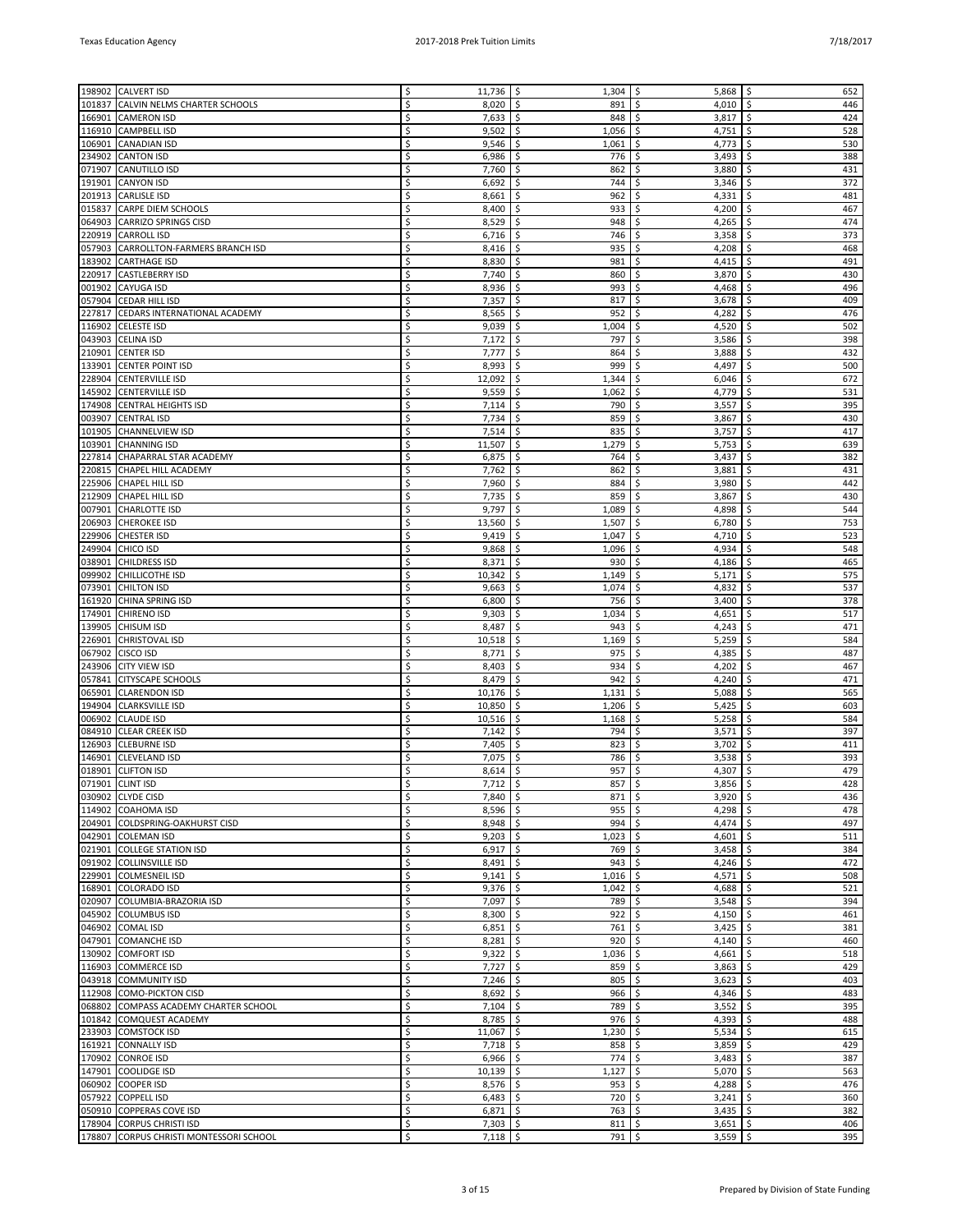| 198902 | <b>CALVERT ISD</b>                      | Ś  | $11,736$ \$ | 1,304        | \$<br>5,868               | \$<br>652 |
|--------|-----------------------------------------|----|-------------|--------------|---------------------------|-----------|
|        |                                         |    |             |              |                           |           |
| 101837 | CALVIN NELMS CHARTER SCHOOLS            | Ś  | 8,020       | -\$<br>891   | \$<br>4,010               | \$<br>446 |
| 166901 | <b>CAMERON ISD</b>                      | \$ | $7,633$ \$  | 848          | \$<br>3,817               | \$<br>424 |
| 116910 | <b>CAMPBELL ISD</b>                     | Ś  | 9,502       | \$<br>1,056  | \$<br>4,751               | \$<br>528 |
| 106901 | <b>CANADIAN ISD</b>                     | \$ | 9,546       | \$<br>1,061  | \$<br>4,773               | \$<br>530 |
| 234902 | <b>CANTON ISD</b>                       | Ś  | 6,986       | \$<br>776    | 3,493<br>\$               | 388<br>\$ |
| 071907 | CANUTILLO ISD                           | Ś  | 7,760       | \$<br>862    | \$<br>3,880               | \$<br>431 |
| 191901 | <b>CANYON ISD</b>                       | \$ | 6,692       | \$<br>744    | \$<br>3,346               | \$<br>372 |
| 201913 | <b>CARLISLE ISD</b>                     | Ś  | 8,661       | \$<br>962    | 4,331<br>\$               | \$<br>481 |
| 015837 | CARPE DIEM SCHOOLS                      | Ś  | 8,400       | \$<br>933    | \$<br>4,200               | \$<br>467 |
| 064903 | CARRIZO SPRINGS CISD                    | Ś  | 8,529       | \$<br>948    | \$<br>4,265               | \$<br>474 |
| 220919 | <b>CARROLL ISD</b>                      | Ś  | 6,716       | 746<br>-\$   | \$<br>3,358               | 373<br>\$ |
| 057903 | CARROLLTON-FARMERS BRANCH ISD           | Ś  | 8,416       | \$<br>935    | \$<br>4,208               | \$<br>468 |
| 183902 | <b>CARTHAGE ISD</b>                     | Ś  | 8,830       | \$<br>981    | 4,415<br>\$               | \$<br>491 |
| 220917 | <b>CASTLEBERRY ISD</b>                  |    | 7,740       | \$<br>860    | \$<br>3,870               | \$<br>430 |
| 001902 | CAYUGA ISD                              | Ś  | 8,936       | -\$<br>993   | 4,468<br>\$               | 496<br>\$ |
|        | 057904 CEDAR HILL ISD                   | Ś  | 7,357       | \$<br>817    | 3,678<br>\$               | \$<br>409 |
| 227817 | CEDARS INTERNATIONAL ACADEMY            | Ś  | 8,565       | \$<br>952    | \$<br>4,282               | 476<br>\$ |
| 116902 | <b>CELESTE ISD</b>                      | Ś  | 9,039       | \$<br>1,004  | \$<br>4,520               | \$<br>502 |
| 043903 | <b>CELINA ISD</b>                       | Ś  | 7,172       | \$<br>797    | \$<br>3,586               | \$<br>398 |
| 210901 | <b>CENTER ISD</b>                       | Ś  | 7,777       | -\$<br>864   | 3,888<br>\$               | \$<br>432 |
| 133901 | <b>CENTER POINT ISD</b>                 | Ś  | 8,993       | \$<br>999    | \$<br>4,497               | 500<br>\$ |
| 228904 | <b>CENTERVILLE ISD</b>                  | Ś  | 12,092      | \$.<br>1,344 | \$<br>6,046               | \$<br>672 |
| 145902 | <b>CENTERVILLE ISD</b>                  | Ś  | 9,559       | \$<br>1,062  | \$<br>4,779               | \$<br>531 |
| 174908 | <b>CENTRAL HEIGHTS ISD</b>              |    | 7,114       | \$<br>790    | 3,557<br>\$               | \$<br>395 |
| 003907 | <b>CENTRAL ISD</b>                      | Ś  | 7,734       | -\$<br>859   | 3,867<br>\$               | \$<br>430 |
| 101905 |                                         | Ś  | 7,514       | 835          |                           | \$<br>417 |
|        | <b>CHANNELVIEW ISD</b>                  | Ś  |             | \$           | \$<br>3,757               |           |
| 103901 | <b>CHANNING ISD</b>                     |    | 11,507      | \$<br>1,279  | \$<br>5,753               | \$<br>639 |
| 227814 | CHAPARRAL STAR ACADEMY                  | Ś  | 6,875       | \$<br>764    | \$<br>3,437               | 382<br>\$ |
| 220815 | <b>CHAPEL HILL ACADEMY</b>              | Ś  | 7,762       | \$<br>862    | \$<br>3,881               | \$<br>431 |
| 225906 | CHAPEL HILL ISD                         | \$ | 7,960       | -\$<br>884   | 3,980<br>\$               | \$<br>442 |
| 212909 | <b>CHAPEL HILL ISD</b>                  | Ś  | 7,735       | \$<br>859    | \$<br>3,867               | \$<br>430 |
| 007901 | <b>CHARLOTTE ISD</b>                    | Ś  | 9,797       | \$<br>1,089  | \$<br>4,898               | \$<br>544 |
| 206903 | <b>CHEROKEE ISD</b>                     | \$ | 13,560      | \$<br>1,507  | \$<br>6,780               | \$<br>753 |
| 229906 | <b>CHESTER ISD</b>                      | Ś  | 9,419       | \$<br>1,047  | \$<br>4,710               | \$<br>523 |
| 249904 | CHICO ISD                               | Ś  | 9,868       | \$<br>1,096  | 4,934<br>\$               | 548<br>\$ |
| 038901 | <b>CHILDRESS ISD</b>                    | Ś  | 8,371       | \$<br>930    | \$<br>4,186               | 465<br>\$ |
| 099902 | <b>CHILLICOTHE ISD</b>                  | Ś  | 10,342      | \$<br>1,149  | \$<br>5,171               | \$<br>575 |
| 073901 | <b>CHILTON ISD</b>                      | Ś  | 9,663       | \$<br>1,074  | \$<br>4,832               | 537<br>\$ |
| 161920 | CHINA SPRING ISD                        | Ś  | 6,800       | \$<br>756    | \$<br>3,400               | \$<br>378 |
| 174901 | <b>CHIRENO ISD</b>                      | \$ | 9,303       | Ŝ.<br>1,034  | 4,651<br>\$               | \$<br>517 |
| 139905 | <b>CHISUM ISD</b>                       | Ś  | 8,487       | \$<br>943    | \$<br>4,243               | 471<br>\$ |
| 226901 | <b>CHRISTOVAL ISD</b>                   | Ś  | 10,518      | \$<br>1,169  | \$<br>5,259               | \$<br>584 |
| 067902 | CISCO ISD                               | Ś  | 8,771       | \$<br>975    | 4,385<br>\$               | \$<br>487 |
| 243906 | <b>CITY VIEW ISD</b>                    | Ś  | 8,403       | \$<br>934    | \$<br>4,202               | \$<br>467 |
| 057841 | <b>CITYSCAPE SCHOOLS</b>                | \$ | 8,479       | \$<br>942    | 4,240<br>\$               | \$<br>471 |
| 065901 | <b>CLARENDON ISD</b>                    | Ś  | 10,176      | \$<br>1,131  | 5,088<br>\$               | \$<br>565 |
| 194904 | <b>CLARKSVILLE ISD</b>                  | \$ | 10,850      | \$<br>1,206  | \$<br>5,425               | \$<br>603 |
| 006902 | <b>CLAUDE ISD</b>                       | \$ | 10,516      | \$<br>1,168  | \$<br>5,258               | 584<br>\$ |
| 084910 | <b>CLEAR CREEK ISD</b>                  | Ś  | 7,142       | \$<br>794    | \$<br>3,571               | \$<br>397 |
| 126903 | <b>CLEBURNE ISD</b>                     | \$ | 7,405       | 823<br>\$.   | 3,702<br>\$               | \$<br>411 |
| 146901 | <b>CLEVELAND ISD</b>                    | \$ | 7,075       | \$<br>786    | \$<br>3,538               | \$<br>393 |
|        | 018901 CLIFTON ISD                      | \$ | 8,614       | 5<br>957     | \$<br>4,307               | 479<br>\$ |
|        | 071901 CLINT ISD                        | \$ | $7,712$ \$  | $857$ \$     | $3,856$   \$              | 428       |
|        | 030902 CLYDE CISD                       | \$ | $7,840$ \$  | 871          | \$<br>3,920               | \$<br>436 |
|        | 114902 COAHOMA ISD                      | \$ | $8,596$ \$  | 955          | \$<br>4,298 $\frac{1}{2}$ | 478       |
|        | 204901 COLDSPRING-OAKHURST CISD         | \$ | $8,948$ \$  | 994          | \$<br>4,474               | \$<br>497 |
|        | 042901 COLEMAN ISD                      | \$ | $9,203$ \$  | 1,023        | $4,601$ \$<br>\$          | 511       |
|        | 021901 COLLEGE STATION ISD              | \$ | $6,917$ \$  | 769          | \$<br>3,458               | \$<br>384 |
|        | 091902 COLLINSVILLE ISD                 | \$ | $8,491$ \$  | 943          | \$<br>4,246               | \$<br>472 |
| 229901 | <b>COLMESNEIL ISD</b>                   | \$ | $9,141$ \$  | $1,016$ \$   | $4,571$ \$                | 508       |
|        | 168901 COLORADO ISD                     | \$ | $9,376$ \$  | 1,042        | \$<br>4,688               | \$<br>521 |
|        | 020907 COLUMBIA-BRAZORIA ISD            | \$ | $7,097$ \$  | 789          | $3,548$ \$<br>\$          | 394       |
|        | 045902 COLUMBUS ISD                     | \$ | $8,300$ \$  | 922          | \$<br>4,150               | \$<br>461 |
|        | 046902 COMAL ISD                        | \$ | $6,851$ \$  | 761          | \$<br>3,425               | \$<br>381 |
|        | 047901 COMANCHE ISD                     | \$ | $8,281$ \$  | 920          | 4,140 $\vert$ \$<br>\$    | 460       |
|        | 130902 COMFORT ISD                      | \$ | $9,322$ \$  | 1,036        | \$<br>4,661               | \$<br>518 |
|        | 116903 COMMERCE ISD                     | \$ | $7,727$ \$  | 859          | $3,863$ \$<br>\$          | 429       |
|        | 043918 COMMUNITY ISD                    | \$ | $7,246$ \$  | 805          | \$<br>3,623               | \$<br>403 |
|        | 112908 COMO-PICKTON CISD                | \$ | 8,692 \$    | 966          | \$<br>4,346               | \$<br>483 |
| 068802 | COMPASS ACADEMY CHARTER SCHOOL          | \$ | $7,104$ \$  | 789          | \$<br>3,552               | 395<br>\$ |
|        | 101842 COMQUEST ACADEMY                 | \$ | $8,785$ \$  | 976          | \$<br>4,393               | \$<br>488 |
|        | 233903 COMSTOCK ISD                     | \$ | $11,067$ \$ | $1,230$ \$   | $5,534$ \$                | 615       |
|        | 161921 CONNALLY ISD                     | \$ | $7,718$ \$  | $858$ \$     | 3,859                     | \$<br>429 |
|        | 170902 CONROE ISD                       | \$ | $6,966$ \$  | 774          | \$<br>3,483               | \$<br>387 |
| 147901 | COOLIDGE ISD                            | \$ | $10,139$ \$ | 1,127        | \$<br>$5,070$ \$          | 563       |
|        | 060902 COOPER ISD                       | \$ | $8,576$ \$  | 953          | \$<br>4,288               | \$<br>476 |
| 057922 | COPPELL ISD                             | \$ | $6,483$ \$  | 720          | \$<br>$3,241$ \$          | 360       |
|        | 050910 COPPERAS COVE ISD                | \$ | $6,871$ \$  | $763 \mid 5$ | $3,435$ \$                | 382       |
|        | 178904 CORPUS CHRISTI ISD               | \$ | $7,303$ \$  | $811$ \$     | $3,651$ \$                | 406       |
|        | 178807 CORPUS CHRISTI MONTESSORI SCHOOL | \$ | $7,118$ \$  | $791 \mid 5$ | $3,559$ \$                | 395       |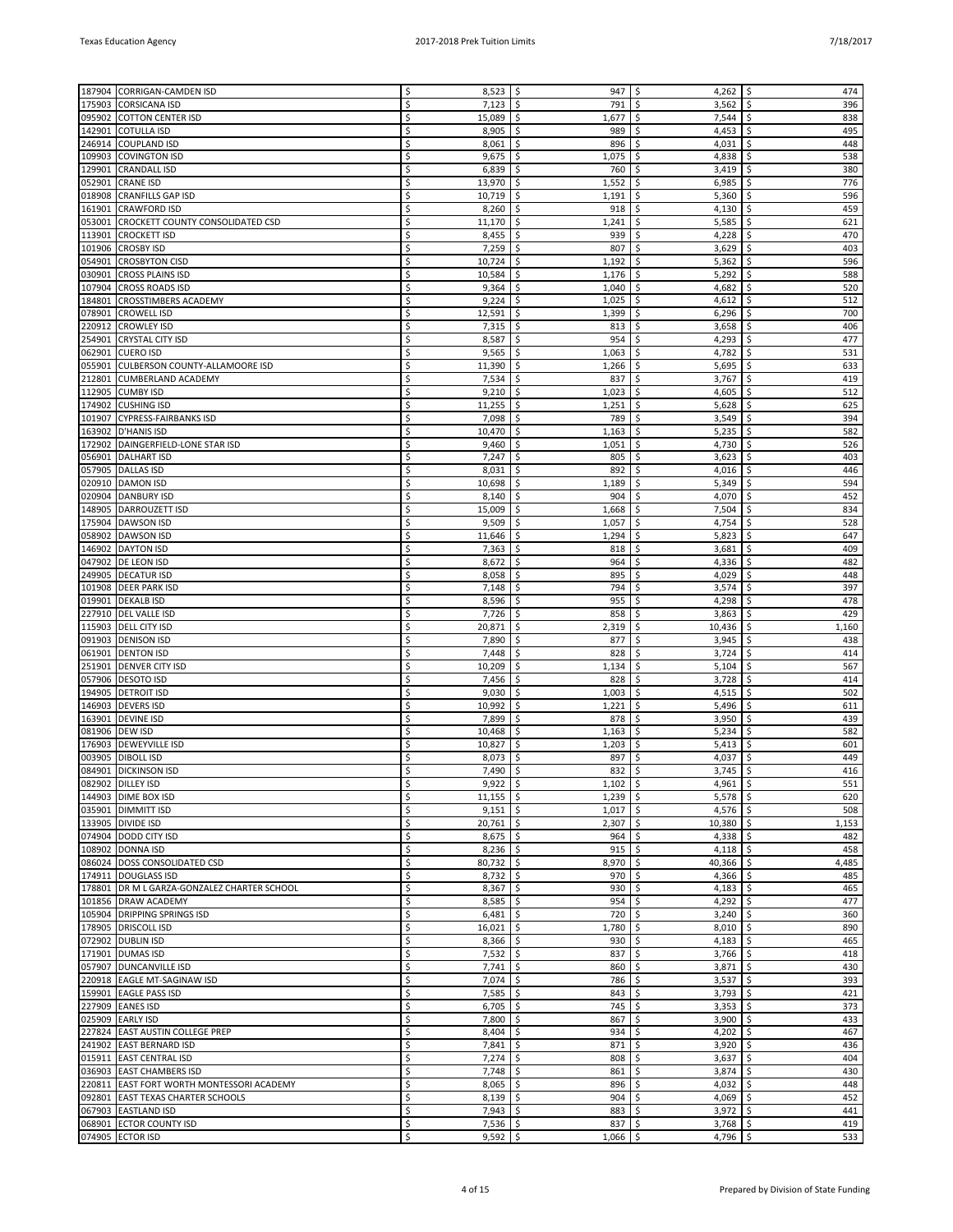|        |                                             | Ś  |             |                |                              |             |
|--------|---------------------------------------------|----|-------------|----------------|------------------------------|-------------|
| 187904 | <b>CORRIGAN-CAMDEN ISD</b>                  |    | 8,523       | 947<br>\$      | \$<br>4,262                  | \$<br>474   |
| 175903 | <b>CORSICANA ISD</b>                        | Ś  | 7,123       | Ŝ.<br>791      | \$<br>3,562                  | \$<br>396   |
| 095902 | COTTON CENTER ISD                           | Ś  | 15,089      | \$<br>1,677    | 7,544<br>\$                  | \$<br>838   |
| 142901 | <b>COTULLA ISD</b>                          | Ś  | 8,905       | \$<br>989      | 4,453<br>\$                  | \$<br>495   |
| 246914 | <b>COUPLAND ISD</b>                         | \$ | 8,061       | \$<br>896      | \$<br>4,031                  | \$<br>448   |
| 109903 | <b>COVINGTON ISD</b>                        | Ś  | 9,675       | \$.<br>1,075   | 4,838<br>\$                  | \$<br>538   |
| 129901 | <b>CRANDALL ISD</b>                         | Ś  | 6,839       | \$<br>760      | \$<br>3,419                  | \$<br>380   |
|        |                                             |    |             |                |                              |             |
| 052901 | <b>CRANE ISD</b>                            | Ś  | 13,970      | \$<br>1,552    | 6,985<br>\$                  | \$<br>776   |
| 018908 | <b>CRANFILLS GAP ISD</b>                    | Ś  | 10,719      | \$<br>1,191    | \$<br>5,360                  | \$<br>596   |
| 161901 | <b>CRAWFORD ISD</b>                         | Ś  | 8,260       | \$<br>918      | \$<br>4,130                  | \$<br>459   |
| 053001 | CROCKETT COUNTY CONSOLIDATED CSD            | Ś  | 11,170      | \$<br>1,241    | \$<br>5,585                  | \$<br>621   |
| 113901 | <b>CROCKETT ISD</b>                         | Ś  | 8,455       | \$<br>939      | \$<br>4,228                  | 470<br>\$   |
|        |                                             |    |             |                |                              |             |
| 101906 | <b>CROSBY ISD</b>                           | Ś  | 7,259       | \$<br>807      | \$<br>3,629                  | \$<br>403   |
| 054901 | <b>CROSBYTON CISD</b>                       | Ś  | 10,724      | \$<br>1,192    | \$<br>5,362                  | \$<br>596   |
| 030901 | <b>CROSS PLAINS ISD</b>                     | Ś  | 10,584      | \$<br>1,176    | \$<br>5,292                  | \$<br>588   |
| 107904 | <b>CROSS ROADS ISD</b>                      | Ś  | 9,364       | \$<br>1,040    | 4,682<br>\$                  | \$<br>520   |
| 184801 | <b>CROSSTIMBERS ACADEMY</b>                 | Ś  | 9,224       | \$<br>1,025    | \$<br>4,612                  | \$<br>512   |
|        |                                             |    |             |                |                              |             |
| 078901 | <b>CROWELL ISD</b>                          | Ś  | 12,591      | \$<br>1,399    | \$<br>6,296                  | \$<br>700   |
| 220912 | <b>CROWLEY ISD</b>                          | Ś  | 7,315       | \$<br>813      | \$<br>3,658                  | \$<br>406   |
| 254901 | <b>CRYSTAL CITY ISD</b>                     | \$ | 8,587       | \$<br>954      | \$<br>4,293                  | \$<br>477   |
| 062901 | <b>CUERO ISD</b>                            | Ś  | 9,565       | \$.<br>1,063   | 4,782<br>\$                  | \$<br>531   |
| 055901 | CULBERSON COUNTY-ALLAMOORE ISD              | Ś  | 11,390      | \$<br>1,266    | \$<br>5,695                  | \$<br>633   |
|        |                                             | Ś  |             |                |                              |             |
| 212801 | CUMBERLAND ACADEMY                          |    | 7,534       | \$<br>837      | \$<br>3,767                  | \$<br>419   |
| 112905 | <b>CUMBY ISD</b>                            | Ś  | 9,210       | \$<br>1,023    | 4,605<br>\$                  | \$<br>512   |
| 174902 | <b>CUSHING ISD</b>                          | Ś  | 11,255      | \$<br>1,251    | \$<br>5,628                  | \$<br>625   |
| 101907 | <b>CYPRESS-FAIRBANKS ISD</b>                | Ś  | 7,098       | \$<br>789      | \$<br>3,549                  | \$<br>394   |
|        | 163902 D'HANIS ISD                          | Ś  | 10,470      | \$<br>1,163    | \$<br>5,235                  | \$<br>582   |
|        |                                             | Ś  |             | \$             | \$<br>4,730                  | \$<br>526   |
| 172902 | DAINGERFIELD-LONE STAR ISD                  |    | 9,460       | 1,051          |                              |             |
| 056901 | <b>DALHART ISD</b>                          | Ś  | 7,247       | \$<br>805      | \$<br>3,623                  | \$<br>403   |
| 057905 | <b>DALLAS ISD</b>                           | Ś  | 8,031       | \$<br>892      | \$<br>4,016                  | \$<br>446   |
| 020910 | <b>DAMON ISD</b>                            | Ś  | 10,698      | \$<br>1,189    | \$<br>5,349                  | \$<br>594   |
|        | 020904 DANBURY ISD                          | Ś  | 8,140       | \$<br>904      | \$<br>4,070                  | \$<br>452   |
|        |                                             | Ś  |             | \$             |                              |             |
| 148905 | DARROUZETT ISD                              |    | 15,009      | 1,668          | \$<br>7,504                  | \$<br>834   |
| 175904 | <b>DAWSON ISD</b>                           | \$ | 9,509       | \$<br>1,057    | 4,754<br>\$                  | \$<br>528   |
|        | 058902 DAWSON ISD                           | Ś  | 11,646      | \$<br>1,294    | \$<br>5,823                  | \$<br>647   |
| 146902 | <b>DAYTON ISD</b>                           | Ś  | 7,363       | \$.<br>818     | \$<br>3,681                  | \$<br>409   |
|        | 047902   DE LEON ISD                        | Ś  | 8,672       | \$<br>964      | \$<br>4,336                  | \$<br>482   |
|        |                                             | Ś  |             | \$             |                              |             |
| 249905 | <b>DECATUR ISD</b>                          |    | 8,058       | 895            | 4,029<br>\$                  | \$<br>448   |
| 101908 | <b>DEER PARK ISD</b>                        | Ś  | 7,148       | \$<br>794      | 3,574<br>\$                  | \$<br>397   |
|        | 019901 DEKALB ISD                           | Ś  | 8,596       | \$<br>955      | \$<br>4,298                  | \$<br>478   |
| 227910 | <b>DEL VALLE ISD</b>                        | Ś  | 7,726       | \$<br>858      | \$<br>3,863                  | \$<br>429   |
|        | 115903 DELL CITY ISD                        | Ś  | 20,871      | \$<br>2,319    | \$<br>10,436                 | 1,160<br>\$ |
| 091903 |                                             | Ś  |             |                |                              |             |
|        | <b>DENISON ISD</b>                          |    | 7,890       | \$<br>877      | \$<br>3,945                  | \$<br>438   |
| 061901 | <b>DENTON ISD</b>                           | Ś  | 7,448       | \$<br>828      | 3,724<br>\$                  | \$<br>414   |
|        | 251901 DENVER CITY ISD                      | Ś  | 10,209      | \$<br>1,134    | \$<br>5,104                  | \$<br>567   |
| 057906 | <b>DESOTO ISD</b>                           | Ś  | 7,456       | \$<br>828      | 3,728<br>\$                  | \$<br>414   |
| 194905 | <b>DETROIT ISD</b>                          | Ś  | 9,030       | \$<br>1,003    | 4,515<br>\$                  | \$<br>502   |
| 146903 | <b>DEVERS ISD</b>                           | Ś  | 10,992      | \$             | \$<br>5,496                  | \$<br>611   |
|        |                                             |    |             | 1,221          |                              |             |
| 163901 | <b>DEVINE ISD</b>                           | \$ | 7,899       | \$<br>878      | \$<br>3,950                  | 439<br>\$   |
| 081906 | <b>DEW ISD</b>                              | Ś  | 10,468      | \$<br>1,163    | \$<br>5,234                  | \$<br>582   |
| 176903 | <b>DEWEYVILLE ISD</b>                       | Ś  | 10,827      | \$.<br>1,203   | 5,413<br>\$                  | \$<br>601   |
| 003905 | <b>DIBOLL ISD</b>                           | Ś  | 8,073       | \$<br>897      | \$<br>4,037                  | \$<br>449   |
|        | 084901 DICKINSON ISD                        | \$ | 7,490       | \$<br>832      | \$<br>3,745                  | \$<br>416   |
|        |                                             |    |             |                |                              |             |
|        | 082902 DILLEY ISD                           | \$ | $9,922$ \$  | $1,102$ \$     | 4,961 $\frac{1}{5}$          | 551         |
|        | 144903 DIME BOX ISD                         | \$ | $11,155$ \$ | $1,239$ \$     | $5,578$ \$                   | 620         |
|        | 035901 DIMMITT ISD                          | \$ | $9,151$ \$  | $1,017$ \$     | $4,576$ \$                   | 508         |
|        | 133905 DIVIDE ISD                           | Ś  | $20,761$ \$ | $2,307$ \$     | $10,380$ \$                  | 1,153       |
|        | 074904  DODD CITY ISD                       | \$ | $8,675$ \$  | $964$ \$       | $4,338$ \$                   | 482         |
|        |                                             | Ś  |             | \$<br>$915$ \$ | 4,118                        | \$<br>458   |
|        | 108902 DONNA ISD                            |    | 8,236       |                |                              |             |
|        | 086024  DOSS CONSOLIDATED CSD               | Ś  | 80,732      | \$<br>8,970 \$ | 40,366                       | \$<br>4,485 |
|        | 174911 DOUGLASS ISD                         | \$ | $8,732$ \$  | $970$ \$       | $4,366$ \ \$                 | 485         |
|        | 178801 DR M L GARZA-GONZALEZ CHARTER SCHOOL | Ś  | $8,367$ \$  | 930   \$       | 4,183                        | \$<br>465   |
|        | 101856 DRAW ACADEMY                         | \$ | $8,585$ \$  | $954$ \$       | 4,292 \$                     | 477         |
|        | 105904   DRIPPING SPRINGS ISD               | \$ | $6,481$ \$  | $720 \mid$ \$  | 3,240                        | \$<br>360   |
|        |                                             |    |             |                |                              |             |
|        | 178905 DRISCOLL ISD                         | \$ | 16,021      | \$<br>1,780    | \$<br>8,010                  | \$<br>890   |
|        | 072902 DUBLIN ISD                           | \$ | $8,366$ \$  | 930            | $4,183$ \$<br>$\ddot{\circ}$ | 465         |
|        | 171901 DUMAS ISD                            | Ś  | $7,532$ \$  | $837$ \$       | $3,766$ \$                   | 418         |
|        | 057907 DUNCANVILLE ISD                      | \$ | $7,741$ \$  | $860$ \$       | $3,871$ \$                   | 430         |
|        | 220918 EAGLE MT-SAGINAW ISD                 | \$ | $7,074$ \$  | 786 \$         | 3,537                        | \$<br>393   |
|        |                                             |    |             |                |                              |             |
|        | 159901 EAGLE PASS ISD                       | \$ | 7,585       | \$<br>843      | $\frac{1}{2}$<br>3,793       | \$<br>421   |
|        | 227909 EANES ISD                            | \$ | $6,705$ \$  | 745            | $\ddot{\varsigma}$<br>3,353  | 373<br>\$   |
|        | 025909 EARLY ISD                            | Ś  | 7,800       | \$<br>867      | \$<br>3,900                  | \$<br>433   |
|        | 227824 EAST AUSTIN COLLEGE PREP             | \$ | 8,404 \$    | 934            | $4,202$ \$<br>$\frac{1}{2}$  | 467         |
|        | 241902 EAST BERNARD ISD                     | Ś  | 7,841       | \$<br>871      | \$<br>3,920                  | \$<br>436   |
|        |                                             |    |             |                |                              |             |
|        | 015911 EAST CENTRAL ISD                     | \$ | 7,274       | \$<br>808      | \$<br>3,637                  | \$<br>404   |
|        | 036903 EAST CHAMBERS ISD                    | \$ | $7,748$ \$  | 861            | $3,874$ \$<br>\$             | 430         |
|        | 220811 EAST FORT WORTH MONTESSORI ACADEMY   | Ś  | 8,065       | \$<br>896      | \$<br>4,032                  | \$<br>448   |
|        | 092801 EAST TEXAS CHARTER SCHOOLS           | \$ | $8,139$ \$  | 904            | \$<br>$4,069$ \$             | 452         |
|        | 067903 EASTLAND ISD                         | \$ | $7,943$ \$  | 883            | \$<br>3,972                  | \$<br>441   |
|        |                                             |    |             |                |                              |             |
|        | 068901 ECTOR COUNTY ISD                     | \$ | 7,536 \$    | 837 \$         | $3,768$ \$                   | 419         |
|        | 074905 ECTOR ISD                            | \$ | $9,592$ \$  | $1,066$ \$     | 4,796 $\frac{1}{2}$          | 533         |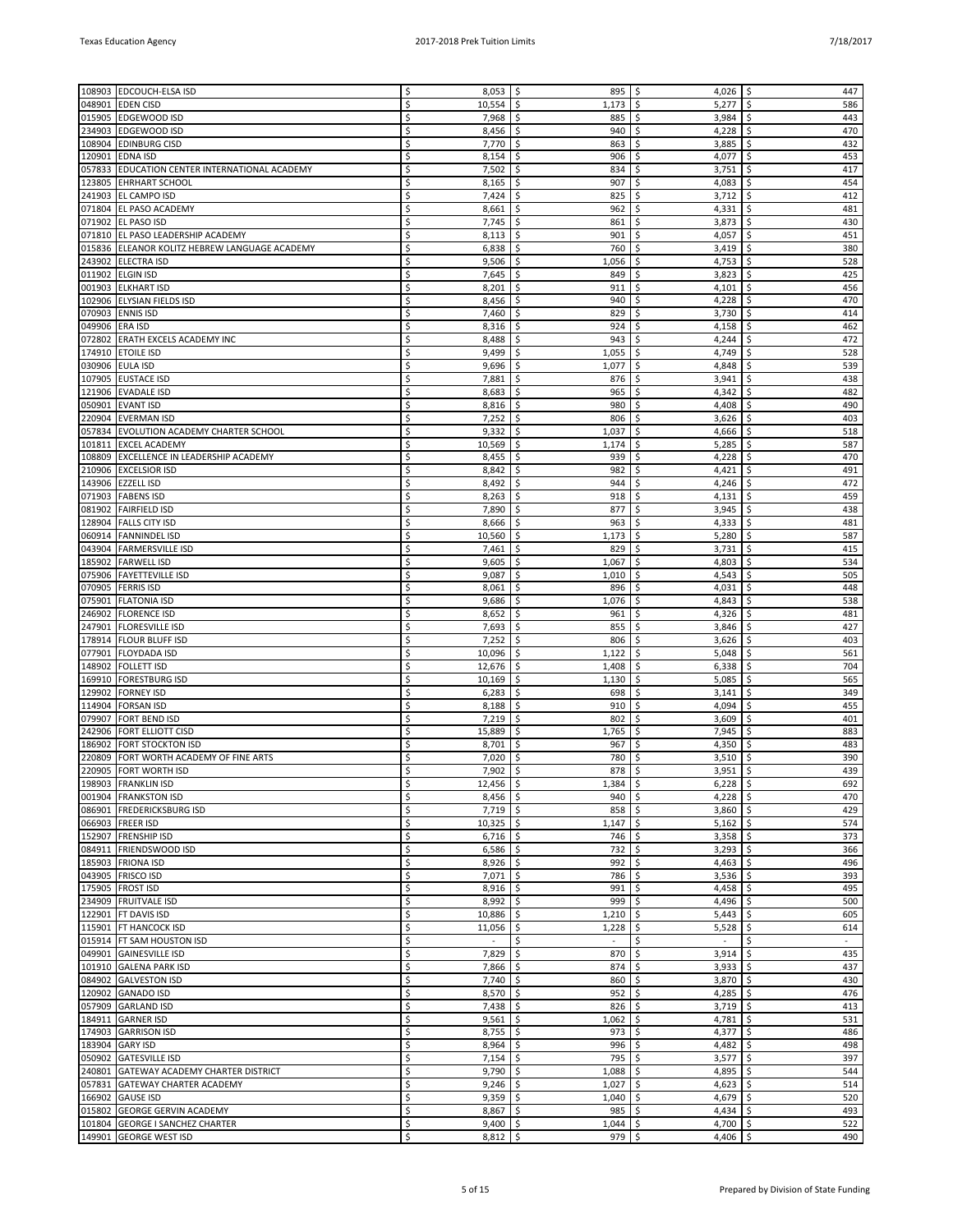|        | 108903 EDCOUCH-ELSA ISD                       | Ś  | 8,053       | -\$<br>895             | \$<br>4,026  | 447<br>Ś     |
|--------|-----------------------------------------------|----|-------------|------------------------|--------------|--------------|
| 048901 | <b>EDEN CISD</b>                              | Ś  | 10,554      | -\$<br>1,173           | \$<br>5,277  | \$<br>586    |
| 015905 | <b>EDGEWOOD ISD</b>                           | Ś  | 7,968       | -\$<br>885             | \$<br>3,984  | 443<br>\$    |
|        | 234903 EDGEWOOD ISD                           | Ś  | 8,456       | \$<br>940              | \$<br>4,228  | 470<br>\$    |
| 108904 | <b>EDINBURG CISD</b>                          | Ś  | 7,770       | \$<br>863              | \$<br>3,885  | 432<br>\$    |
| 120901 | <b>EDNA ISD</b>                               | Ś  | 8,154       | \$.<br>906             | 4,077<br>\$  | 453<br>\$    |
|        | 057833 EDUCATION CENTER INTERNATIONAL ACADEMY | Ś  | 7,502       | \$<br>834              | \$           | \$<br>417    |
|        |                                               |    |             |                        | 3,751        |              |
| 123805 | <b>EHRHART SCHOOL</b>                         | Ś  | 8,165       | \$<br>907              | \$<br>4,083  | 454<br>\$    |
| 241903 | <b>EL CAMPO ISD</b>                           | Ś  | 7,424       | \$<br>825              | \$<br>3,712  | 412<br>\$    |
| 071804 | <b>EL PASO ACADEMY</b>                        | Ś  | 8,661       | \$<br>962              | \$<br>4,331  | \$<br>481    |
| 071902 | <b>EL PASO ISD</b>                            | Ś  | 7,745       | \$<br>861              | \$<br>3,873  | 430<br>\$    |
|        | 071810 EL PASO LEADERSHIP ACADEMY             | Ś  | 8,113       | \$<br>901              | \$<br>4,057  | 451<br>\$    |
|        | 015836 ELEANOR KOLITZ HEBREW LANGUAGE ACADEMY | Ś  | 6,838       | \$<br>760              | \$<br>3,419  | 380<br>\$    |
|        |                                               |    |             |                        |              |              |
|        | 243902 ELECTRA ISD                            | Ś  | 9,506       | \$<br>1,056            | \$<br>4,753  | 528<br>\$    |
| 011902 | <b>ELGIN ISD</b>                              | Ś  | 7,645       | \$<br>849              | \$<br>3,823  | 425<br>\$    |
| 001903 | <b>ELKHART ISD</b>                            | Ś  | 8,201       | \$.<br>911             | \$<br>4,101  | 456<br>\$    |
|        | 102906 ELYSIAN FIELDS ISD                     | Ś  | 8,456       | -\$<br>940             | 4,228<br>\$  | 470<br>\$    |
| 070903 | <b>ENNIS ISD</b>                              | Ś  | 7,460       | \$<br>829              | Ś<br>3,730   | \$<br>414    |
| 049906 | <b>ERA ISD</b>                                | Ś  | 8,316       | \$<br>924              | \$<br>4,158  | 462<br>\$    |
|        |                                               |    |             |                        |              |              |
| 072802 | <b>ERATH EXCELS ACADEMY INC</b>               | Ś  | 8,488       | \$<br>943              | \$<br>4,244  | \$<br>472    |
|        | 174910 ETOILE ISD                             | Ś  | 9,499       | \$<br>1,055            | \$<br>4,749  | 528<br>\$    |
|        | 030906 EULA ISD                               | Ś  | 9,696       | 1,077<br>-\$           | \$<br>4,848  | 539<br>\$    |
| 107905 | <b>EUSTACE ISD</b>                            | Ś  | 7,881       | \$<br>876              | \$<br>3,941  | 438          |
|        | 121906 EVADALE ISD                            | Ś  | 8,683       | \$<br>965              | \$<br>4,342  | 482<br>\$    |
|        |                                               | Ś  |             | 980                    | \$           | 490          |
| 050901 | <b>EVANT ISD</b>                              |    | 8,816       | \$                     | 4,408        | \$           |
|        | 220904 EVERMAN ISD                            | Ś  | 7,252       | \$<br>806              | \$<br>3,626  | 403<br>\$    |
|        | 057834 EVOLUTION ACADEMY CHARTER SCHOOL       | Ś  | 9,332       | \$<br>1,037            | \$<br>4,666  | 518<br>\$    |
| 101811 | <b>EXCEL ACADEMY</b>                          | Ś  | 10,569      | \$<br>1,174            | Ś<br>5,285   | \$<br>587    |
| 108809 | <b>EXCELLENCE IN LEADERSHIP ACADEMY</b>       | Ś  | 8,455       | \$<br>939              | \$<br>4,228  | 470<br>\$    |
|        |                                               | Ś  |             |                        |              |              |
| 210906 | <b>EXCELSIOR ISD</b>                          |    | 8,842       | -\$<br>982             | Ŝ.<br>4,421  | 491<br>\$    |
| 143906 | <b>EZZELL ISD</b>                             | Ś  | 8,492       | \$<br>944              | \$<br>4,246  | 472<br>\$    |
|        | 071903   FABENS ISD                           | Ś  | 8,263       | \$<br>918              | \$<br>4,131  | 459<br>\$    |
| 081902 | <b>FAIRFIELD ISD</b>                          | Ś  | 7,890       | \$<br>877              | Ś<br>3,945   | 438          |
|        | 128904 FALLS CITY ISD                         | Ś  | 8,666       | \$<br>963              | \$<br>4,333  | 481<br>\$    |
|        |                                               | Ś  |             |                        |              |              |
|        | 060914 FANNINDEL ISD                          |    | 10,560      | -\$<br>1,173           | \$<br>5,280  | 587<br>\$    |
|        | 043904 FARMERSVILLE ISD                       | Ś  | 7,461       | \$.<br>829             | 3,731<br>\$  | 415<br>\$    |
|        | 185902 FARWELL ISD                            | Ś  | 9,605       | -\$<br>1,067           | \$<br>4,803  | 534<br>\$    |
|        | 075906 FAYETTEVILLE ISD                       | Ś  | 9,087       | \$<br>1,010            | \$<br>4,543  | \$<br>505    |
| 070905 | <b>FERRIS ISD</b>                             | Ś  | 8,061       | \$<br>896              | 4,031<br>\$  | 448<br>\$    |
| 075901 | <b>FLATONIA ISD</b>                           | Ś  | 9,686       | -\$<br>1,076           | \$.<br>4,843 | 538<br>\$    |
|        |                                               |    |             |                        |              |              |
| 246902 | <b>FLORENCE ISD</b>                           | Ś  | 8,652       | \$.<br>961             | \$<br>4,326  | 481<br>\$    |
| 247901 | <b>FLORESVILLE ISD</b>                        | Ś  | 7,693       | \$<br>855              | \$<br>3,846  | 427<br>\$    |
|        | 178914 FLOUR BLUFF ISD                        | Ś  | 7,252       | \$<br>806              | \$<br>3,626  | 403<br>\$    |
| 077901 | <b>FLOYDADA ISD</b>                           | Ś  | 10,096      | \$<br>1,122            | \$<br>5,048  | 561<br>\$    |
|        | <b>FOLLETT ISD</b>                            | Ś  |             | -\$                    | \$           | 704          |
| 148902 |                                               |    | 12,676      | 1,408                  | 6,338        | \$           |
| 169910 | <b>FORESTBURG ISD</b>                         | Ś  | 10,169      | \$<br>1,130            | \$<br>5,085  | 565<br>\$    |
| 129902 | <b>FORNEY ISD</b>                             | Ś  | 6,283       | Ŝ.<br>698              | \$<br>3,141  | 349<br>\$    |
| 114904 | <b>FORSAN ISD</b>                             | Ś  | 8,188       | \$<br>910              | \$<br>4,094  | \$<br>455    |
| 079907 | <b>FORT BEND ISD</b>                          | Ś  | 7,219       | \$<br>802              | 3,609<br>\$  | 401<br>\$    |
| 242906 | FORT ELLIOTT CISD                             | Ś  | 15,889      | Ŝ.<br>1,765            | \$.<br>7,945 | \$<br>883    |
|        |                                               | Ś  |             |                        |              |              |
| 186902 | <b>FORT STOCKTON ISD</b>                      |    | 8,701       | \$<br>967              | \$<br>4,350  | 483<br>\$    |
|        | 220809 FORT WORTH ACADEMY OF FINE ARTS        | Ś  | 7,020       | \$.<br>780             | \$<br>3,510  | 390<br>\$    |
| 220905 | FORT WORTH ISD                                | Ś  | 7,902       | \$<br>878              | \$<br>3,951  | \$<br>439    |
|        | 198903 FRANKLIN ISD                           | \$ | $12,456$ \$ | 1,384                  | \$<br>6,228  | \$<br>692    |
|        | 001904 FRANKSTON ISD                          | Ś  | $8,456$ \$  | 940                    | \$<br>4,228  | \$<br>470    |
|        | 086901 FREDERICKSBURG ISD                     | Ś  | $7,719$ \$  | 858                    | \$<br>3,860  | 429<br>\$    |
|        |                                               |    |             |                        |              |              |
|        | 066903 FREER ISD                              | \$ | $10,325$ \$ | 1,147                  | \$<br>5,162  | \$<br>574    |
|        | 152907 FRENSHIP ISD                           | Ś  | $6,716$ \$  | 746                    | \$<br>3,358  | \$<br>373    |
|        | 084911 FRIENDSWOOD ISD                        | \$ | $6,586$ \$  | 732                    | \$<br>3,293  | \$<br>366    |
|        | 185903 FRIONA ISD                             | Ś  | $8,926$ \$  | 992                    | \$<br>4,463  | \$<br>496    |
|        | 043905 FRISCO ISD                             | Ś  | 7,071       | \$<br>786              | \$<br>3,536  | 393<br>\$    |
|        |                                               |    | $8,916$ \$  |                        |              |              |
|        | 175905   FROST ISD                            | \$ |             | 991                    | \$<br>4,458  | \$<br>495    |
|        | 234909 FRUITVALE ISD                          | \$ | $8,992$ \$  | 999                    | \$<br>4,496  | \$<br>500    |
|        | 122901   FT DAVIS ISD                         | \$ | 10,886      | 1,210<br>\$            | 5,443<br>\$  | 605<br>\$    |
|        | 115901 FT HANCOCK ISD                         | Ś  | 11,056      | \$<br>1,228            | \$<br>5,528  | \$<br>614    |
|        | 015914 FT SAM HOUSTON ISD                     | \$ | $\sim$      | \$<br>$\omega_{\rm c}$ | \$<br>$\sim$ | \$<br>$\sim$ |
|        |                                               | \$ |             | \$                     | \$           | \$<br>435    |
|        | 049901 GAINESVILLE ISD                        |    | 7,829       | 870                    | 3,914        |              |
|        | 101910 GALENA PARK ISD                        | \$ | 7,866       | \$<br>874              | \$<br>3,933  | \$<br>437    |
|        | 084902 GALVESTON ISD                          | Ś  | $7,740$ \$  | 860                    | \$<br>3,870  | \$<br>430    |
|        | 120902 GANADO ISD                             | \$ | $8,570$ \$  | 952                    | \$<br>4,285  | \$<br>476    |
|        | 057909 GARLAND ISD                            | Ś  | $7,438$ \$  | 826                    | \$<br>3,719  | 413<br>\$    |
|        |                                               | \$ | $9,561$ \$  |                        | \$<br>4,781  | \$<br>531    |
|        | 184911 GARNER ISD                             |    |             | 1,062                  |              |              |
|        | 174903 GARRISON ISD                           | \$ | $8,755$ \$  | 973                    | \$<br>4,377  | \$<br>486    |
|        | 183904 GARY ISD                               | Ś  | $8,964$ \$  | 996                    | \$<br>4,482  | 498<br>\$    |
|        | 050902 GATESVILLE ISD                         | Ś  | $7,154$ \$  | 795                    | \$<br>3,577  | \$<br>397    |
|        | 240801 GATEWAY ACADEMY CHARTER DISTRICT       | Ś  | 9,790       | \$<br>1,088            | \$<br>4,895  | \$<br>544    |
|        |                                               | \$ |             |                        |              |              |
|        | 057831 GATEWAY CHARTER ACADEMY                |    | $9,246$ \$  | 1,027                  | \$<br>4,623  | \$<br>514    |
|        | 166902 GAUSE ISD                              | Ś  | $9,359$ \$  | 1,040                  | \$<br>4,679  | \$<br>520    |
|        | 015802 GEORGE GERVIN ACADEMY                  | Ś  | $8,867$ \$  | 985                    | \$<br>4,434  | 493<br>\$    |
|        | 101804 GEORGE I SANCHEZ CHARTER               | \$ | $9,400$ \$  | 1,044                  | \$<br>4,700  | \$<br>522    |
|        | 149901 GEORGE WEST ISD                        | Ś  | $8,812$ \$  | 979                    | \$<br>4,406  | \$<br>490    |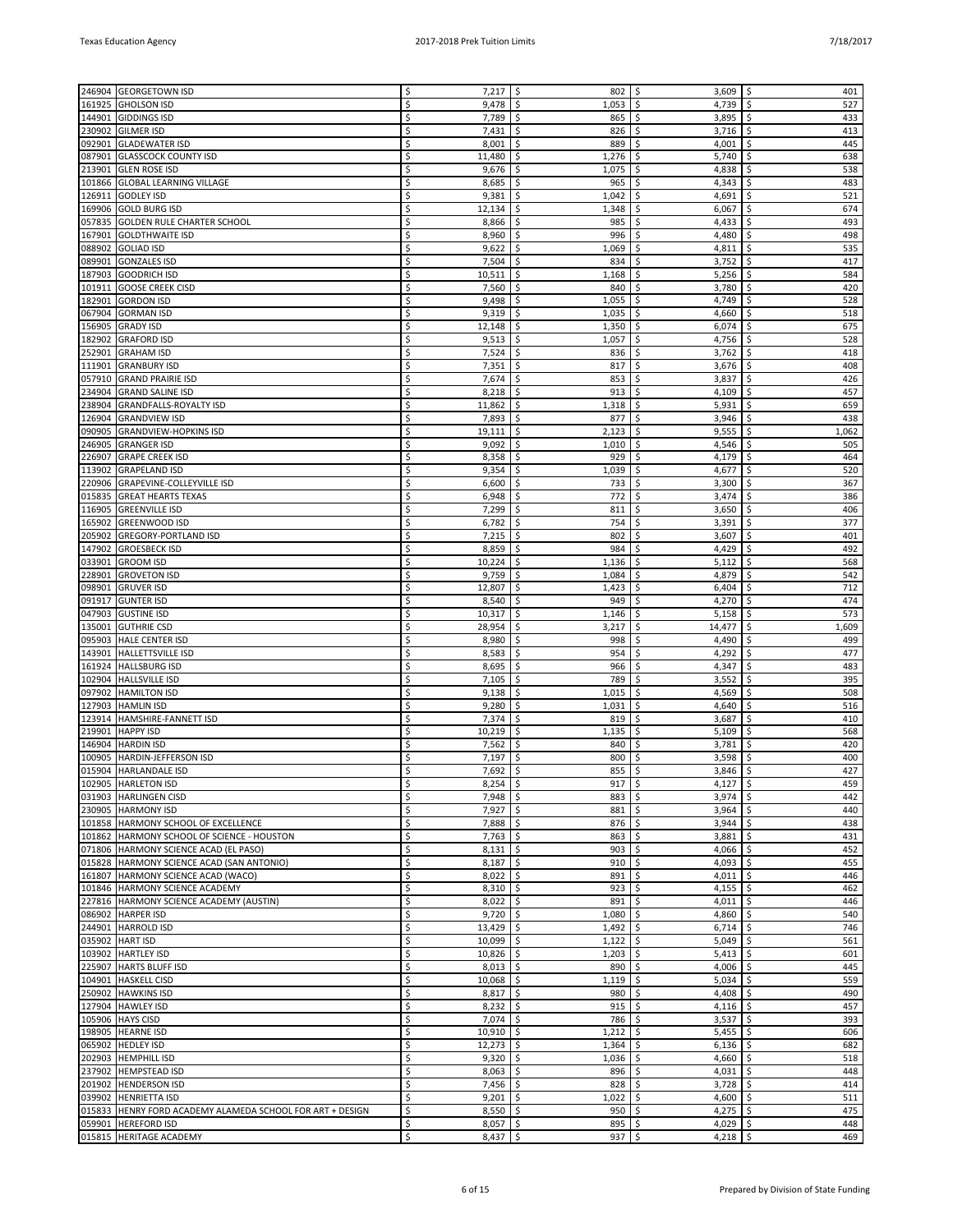|        | 246904 GEORGETOWN ISD                                     | \$ | $7,217$ \$  | 802                        | -\$<br>$3,609$   \$          | 401         |
|--------|-----------------------------------------------------------|----|-------------|----------------------------|------------------------------|-------------|
|        |                                                           | Ś  |             |                            |                              |             |
| 161925 | <b>GHOLSON ISD</b>                                        |    | 9,478       | \$<br>1,053                | \$<br>4,739                  | \$<br>527   |
|        | 144901 GIDDINGS ISD                                       | \$ | 7,789       | \$<br>865                  | \$<br>3,895                  | 433<br>\$   |
| 230902 | <b>GILMER ISD</b>                                         | Ś  | 7,431       | \$<br>826                  | \$<br>3,716                  | \$<br>413   |
|        | 092901 GLADEWATER ISD                                     | Ś  | 8,001       | \$<br>889                  | \$<br>4,001                  | \$<br>445   |
| 087901 | <b>GLASSCOCK COUNTY ISD</b>                               | Ś  | 11,480      | \$<br>1,276                | 5,740<br>\$                  | \$<br>638   |
|        |                                                           | Ś  |             |                            |                              |             |
|        | 213901 GLEN ROSE ISD                                      |    | 9,676       | \$<br>1,075                | \$<br>4,838                  | \$<br>538   |
|        | 101866 GLOBAL LEARNING VILLAGE                            | Ś  | 8,685       | \$<br>965                  | 4,343<br>\$.                 | \$<br>483   |
| 126911 | <b>GODLEY ISD</b>                                         | Ś  | 9,381       | \$<br>1,042                | \$<br>4,691                  | \$<br>521   |
| 169906 | <b>GOLD BURG ISD</b>                                      | Ś  | 12,134      | \$<br>1,348                | \$<br>6,067                  | \$<br>674   |
| 057835 | <b>GOLDEN RULE CHARTER SCHOOL</b>                         | Ś  | 8,866       | \$<br>985                  | \$<br>4,433                  | \$<br>493   |
|        |                                                           |    |             |                            |                              |             |
|        | 167901 GOLDTHWAITE ISD                                    | Ś  | 8,960       | \$<br>996                  | \$<br>4,480                  | 498<br>\$   |
|        | 088902 GOLIAD ISD                                         | Ś  | 9,622       | \$<br>1,069                | 4,811<br>\$                  | \$<br>535   |
| 089901 | <b>GONZALES ISD</b>                                       | Ś  | 7,504       | \$<br>834                  | \$<br>3,752                  | \$<br>417   |
| 187903 | <b>GOODRICH ISD</b>                                       | Ś  | 10,511      | \$<br>1,168                | 5,256<br>\$                  | 584<br>\$   |
| 101911 | <b>GOOSE CREEK CISD</b>                                   | Ś  | 7,560       | \$<br>840                  | 3,780<br>\$                  | 420<br>\$   |
| 182901 | <b>GORDON ISD</b>                                         | Ś  | 9,498       | \$<br>1,055                | \$<br>4,749                  | \$<br>528   |
|        |                                                           |    |             |                            |                              |             |
|        | 067904 GORMAN ISD                                         | Ś  | 9,319       | \$.<br>1,035               | \$<br>4,660                  | \$<br>518   |
| 156905 | <b>GRADY ISD</b>                                          | Ś  | 12,148      | \$<br>1,350                | \$<br>6,074                  | \$<br>675   |
| 182902 | <b>GRAFORD ISD</b>                                        | Ś  | 9,513       | \$<br>1,057                | \$<br>4,756                  | \$<br>528   |
| 252901 | <b>GRAHAM ISD</b>                                         | Ś  | 7,524       | \$<br>836                  | 3,762<br>\$                  | \$<br>418   |
| 111901 | <b>GRANBURY ISD</b>                                       | Ś  | 7,351       | \$<br>817                  | \$<br>3,676                  | \$<br>408   |
|        |                                                           |    |             |                            |                              |             |
| 057910 | <b>GRAND PRAIRIE ISD</b>                                  | Ś  | 7,674       | \$<br>853                  | 3,837<br>\$                  | \$<br>426   |
| 234904 | <b>GRAND SALINE ISD</b>                                   | Ś  | 8,218       | \$<br>913                  | \$<br>4,109                  | \$<br>457   |
| 238904 | <b>GRANDFALLS-ROYALTY ISD</b>                             | Ś  | 11,862      | \$<br>1,318                | \$<br>5,931                  | \$<br>659   |
| 126904 | <b>GRANDVIEW ISD</b>                                      | Ś  | 7,893       | \$<br>877                  | 3,946<br>\$                  | \$<br>438   |
| 090905 | <b>GRANDVIEW-HOPKINS ISD</b>                              | Ś  | 19,111      | \$<br>2,123                | \$<br>9,555                  | \$<br>1,062 |
|        |                                                           |    |             |                            |                              |             |
| 246905 | <b>GRANGER ISD</b>                                        | Ś  | 9,092       | Ŝ.<br>1,010                | 4,546<br>\$                  | \$<br>505   |
| 226907 | <b>GRAPE CREEK ISD</b>                                    | Ś  | 8,358       | \$<br>929                  | \$<br>4,179                  | \$<br>464   |
| 113902 | <b>GRAPELAND ISD</b>                                      | Ś  | 9,354       | \$<br>1,039                | \$<br>4,677                  | \$<br>520   |
| 220906 | GRAPEVINE-COLLEYVILLE ISD                                 | Ś  | 6,600       | \$<br>733                  | \$<br>3,300                  | \$<br>367   |
| 015835 | <b>GREAT HEARTS TEXAS</b>                                 | Ś  | 6,948       | \$.<br>772                 | \$<br>3,474                  | \$<br>386   |
|        |                                                           |    |             |                            |                              |             |
| 116905 | <b>GREENVILLE ISD</b>                                     | Ś  | 7,299       | \$.<br>811                 | 3,650<br>\$                  | \$<br>406   |
| 165902 | <b>GREENWOOD ISD</b>                                      | Ś  | 6,782       | \$<br>754                  | \$<br>3,391                  | \$<br>377   |
| 205902 | <b>GREGORY-PORTLAND ISD</b>                               |    | 7,215       | \$<br>802                  | \$<br>3,607                  | 401<br>\$   |
| 147902 | <b>GROESBECK ISD</b>                                      | Ś  | 8,859       | \$<br>984                  | 4,429<br>\$                  | \$<br>492   |
| 033901 | <b>GROOM ISD</b>                                          | Ś  | 10,224      | \$<br>1,136                | \$<br>5,112                  | \$<br>568   |
|        |                                                           |    |             |                            |                              |             |
|        | 228901 GROVETON ISD                                       | Ś  | 9,759       | \$.<br>1,084               | 4,879<br>\$.                 | \$<br>542   |
| 098901 | <b>GRUVER ISD</b>                                         | Ś  | 12,807      | \$<br>1,423                | \$<br>6,404                  | 712<br>\$   |
| 091917 | <b>GUNTER ISD</b>                                         | Ś  | 8,540       | \$<br>949                  | \$<br>4,270                  | \$<br>474   |
| 047903 | <b>GUSTINE ISD</b>                                        | Ś  | 10,317      | \$<br>1,146                | 5,158<br>\$                  | \$<br>573   |
| 135001 | <b>GUTHRIE CSD</b>                                        | Ś  | 28,954      | \$<br>3,217                | \$<br>14,477                 | \$<br>1,609 |
| 095903 |                                                           | Ś  | 8,980       | \$<br>998                  | 4,490<br>\$.                 | \$<br>499   |
|        | <b>HALE CENTER ISD</b>                                    |    |             |                            |                              |             |
| 143901 | <b>HALLETTSVILLE ISD</b>                                  | Ś  | 8,583       | \$<br>954                  | 4,292<br>\$                  | \$<br>477   |
| 161924 | <b>HALLSBURG ISD</b>                                      | Ś  | 8,695       | \$<br>966                  | \$<br>4,347                  | \$<br>483   |
| 102904 | <b>HALLSVILLE ISD</b>                                     | Ś  | 7,105       | \$<br>789                  | 3,552<br>\$                  | 395<br>\$   |
| 097902 | <b>HAMILTON ISD</b>                                       | Ś  | 9,138       | \$<br>1,015                | \$<br>4,569                  | 508<br>\$   |
| 127903 | <b>HAMLIN ISD</b>                                         | Ś  | 9,280       | \$.<br>1,031               | 4,640<br>\$                  | \$<br>516   |
|        |                                                           |    |             |                            |                              |             |
| 123914 | HAMSHIRE-FANNETT ISD                                      | Ś  | 7,374       | \$<br>819                  | \$<br>3,687                  | \$<br>410   |
| 219901 | <b>HAPPY ISD</b>                                          | Ś  | 10,219      | \$<br>1,135                | \$<br>5,109                  | \$<br>568   |
| 146904 | <b>HARDIN ISD</b>                                         | Ś  | 7,562       | \$<br>840                  | 3,781<br>\$                  | 420<br>\$   |
|        | 100905  HARDIN-JEFFERSON ISD                              | Ś  | 7,197       | \$<br>800                  | \$<br>3,598                  | \$<br>400   |
|        | 015904 HARLANDALE ISD                                     | Ś  | 7,692       | \$<br>855                  | \$<br>3,846                  | \$<br>427   |
|        |                                                           |    |             |                            |                              |             |
|        | 102905 HARLETON ISD                                       | \$ | $8,254$ \$  | $917 \mid \xi$             | $4,127$   \$                 | 459         |
|        | 031903 HARLINGEN CISD                                     | \$ | 7,948       | \$<br>883                  | \$<br>3,974                  | \$<br>442   |
|        | 230905 HARMONY ISD                                        | \$ | $7,927$ \$  | 881                        | 3,964<br>\$                  | 440<br>\$   |
|        | 101858 HARMONY SCHOOL OF EXCELLENCE                       | Ś  | $7,888$ \$  | $876$ \$                   | 3,944                        | \$<br>438   |
|        | 101862 HARMONY SCHOOL OF SCIENCE - HOUSTON                | \$ | $7,763$ \$  | $863 \mid 5$               | $3,881$ \$                   | 431         |
|        | 071806 HARMONY SCIENCE ACAD (EL PASO)                     | Ś  | 8,131       | \$<br>903                  | \$<br>4,066                  | \$<br>452   |
|        | 015828 HARMONY SCIENCE ACAD (SAN ANTONIO)                 | \$ |             | \$                         | 4,093                        | \$<br>455   |
|        |                                                           |    | 8,187       | 910                        | \$                           |             |
|        | 161807 HARMONY SCIENCE ACAD (WACO)                        | \$ | $8,022$ \$  | 891                        | \$<br>4,011                  | \$<br>446   |
|        | 101846 HARMONY SCIENCE ACADEMY                            | Ś  | $8,310$ \$  | 923                        | $\ddot{\mathsf{S}}$<br>4,155 | \$<br>462   |
|        | 227816  HARMONY SCIENCE ACADEMY (AUSTIN)                  | \$ | $8,022$ \$  | $891 \, \space \circ \, 5$ | 4,011 $\frac{1}{2}$          | 446         |
|        | 086902 HARPER ISD                                         | Ś  | 9,720       | \$<br>$1,080$ \$           | 4,860                        | \$<br>540   |
|        | 244901 HARROLD ISD                                        | \$ | 13,429      | \$<br>1,492                | \$<br>6,714                  | \$<br>746   |
|        |                                                           |    |             |                            |                              |             |
|        | 035902 HART ISD                                           | \$ | $10,099$ \$ | 1,122                      | \$<br>5,049                  | \$<br>561   |
|        | 103902 HARTLEY ISD                                        | Ś  | $10,826$ \$ | $1,203$ \$                 | 5,413                        | \$<br>601   |
|        | 225907   HARTS BLUFF ISD                                  | \$ | $8,013$ \$  | $890$ \$                   | $4,006$ \ \$                 | 445         |
|        | 104901 HASKELL CISD                                       | Ś  | 10,068      | \$<br>1,119                | \$<br>5,034                  | \$<br>559   |
|        | 250902 HAWKINS ISD                                        | \$ | 8,817       | \$<br>980                  | \$<br>4,408                  | \$<br>490   |
|        |                                                           |    |             |                            |                              |             |
|        | 127904 HAWLEY ISD                                         | \$ | 8,232       | 915<br>\$                  | \$<br>4,116                  | 457<br>\$   |
|        | 105906 HAYS CISD                                          | Ś  | 7,074       | \$<br>786 \$               | 3,537                        | \$<br>393   |
|        | 198905 HEARNE ISD                                         | \$ | $10,910$ \$ | $1,212$ \$                 | $5,455$ $\frac{1}{5}$        | 606         |
|        | 065902 HEDLEY ISD                                         | Ś  | 12,273      | \$<br>1,364                | \$<br>6,136                  | \$<br>682   |
|        | 202903  HEMPHILL ISD                                      | \$ | 9,320       | \$<br>1,036                | \$<br>4,660                  | \$<br>518   |
|        | 237902  HEMPSTEAD ISD                                     | \$ | 8,063       | \$<br>896                  | \$<br>4,031                  | \$<br>448   |
|        |                                                           |    |             |                            |                              |             |
|        | 201902 HENDERSON ISD                                      | Ś  | 7,456       | \$<br>828                  | \$<br>3,728                  | \$<br>414   |
|        | 039902 HENRIETTA ISD                                      | \$ | $9,201$ \$  | $1,022$ \$                 | 4,600 $\vert$ \$             | 511         |
|        | 015833 HENRY FORD ACADEMY ALAMEDA SCHOOL FOR ART + DESIGN | Ś  | 8,550       | \$<br>950                  | \$<br>4,275                  | \$<br>475   |
|        | 059901 HEREFORD ISD                                       | \$ | $8,057$ \$  | 895                        | \$<br>4,029                  | \$<br>448   |
|        | 015815  HERITAGE ACADEMY                                  | \$ | $8,437$ \$  | $937$ \$                   | 4,218 $\frac{1}{2}$          | 469         |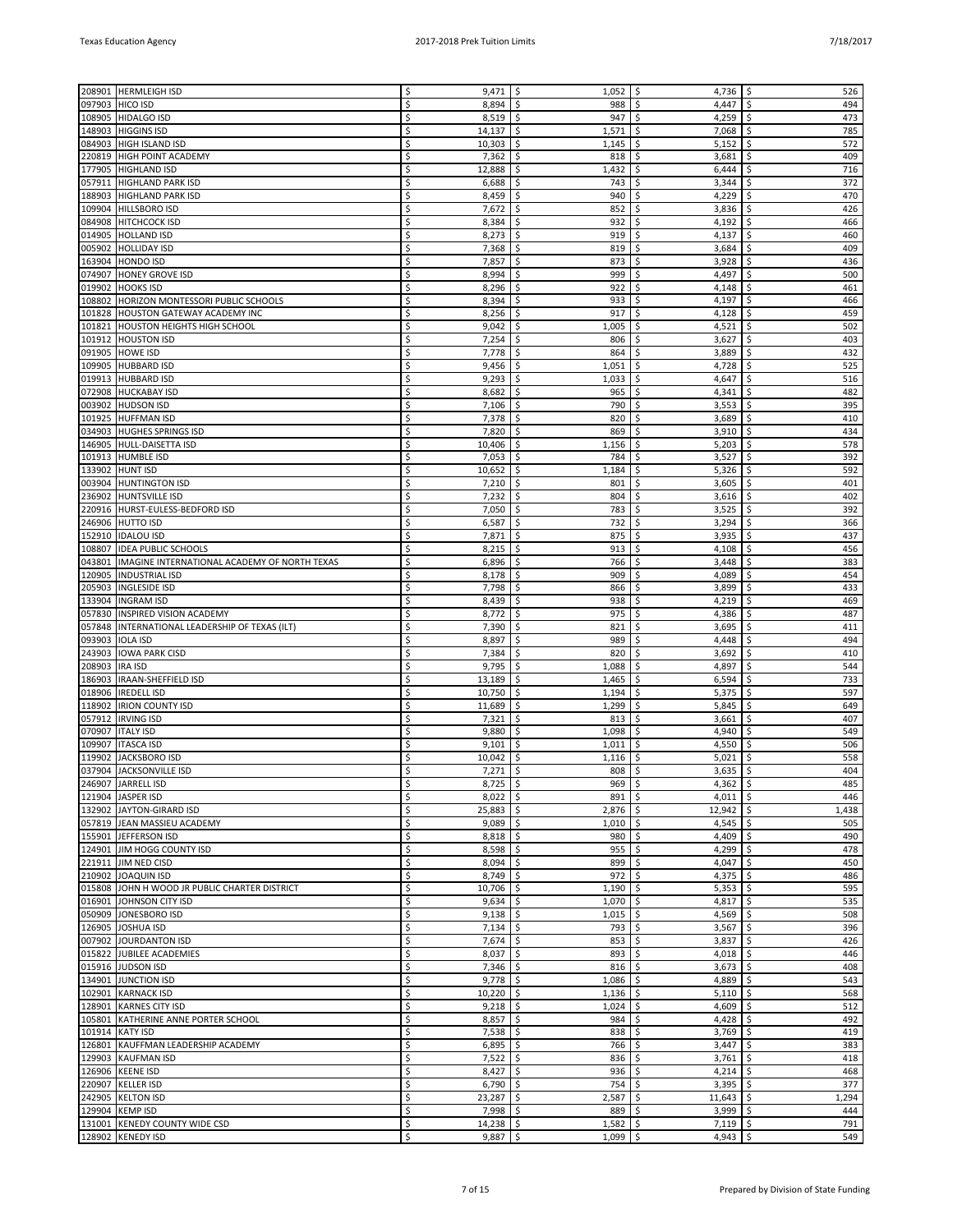| 208901 | <b>HERMLEIGH ISD</b>                          | Ś  | 9,471       | \$<br>1,052                 | S.<br>4,736         | \$<br>526   |
|--------|-----------------------------------------------|----|-------------|-----------------------------|---------------------|-------------|
| 097903 | <b>HICO ISD</b>                               | \$ | 8,894       | \$<br>988                   | 4,447<br>\$         | 494<br>\$   |
| 108905 | <b>HIDALGO ISD</b>                            | \$ | 8,519       | \$<br>947                   | \$<br>4,259         | 473<br>\$   |
| 148903 | <b>HIGGINS ISD</b>                            | Ś  | 14,137      | \$<br>1,571                 | 7,068<br>\$         | \$<br>785   |
|        | 084903 HIGH ISLAND ISD                        | \$ | 10,303      | \$<br>1,145                 | \$<br>5,152         | 572<br>\$   |
| 220819 | <b>HIGH POINT ACADEMY</b>                     | Ś  | 7,362       | \$<br>818                   | Ś<br>3,681          | \$<br>409   |
| 177905 | <b>HIGHLAND ISD</b>                           | Ś  | 12,888      | \$<br>1,432                 | \$<br>6,444         | 716<br>\$   |
| 057911 | <b>HIGHLAND PARK ISD</b>                      | \$ | 6,688       | \$<br>743                   | Ŝ.<br>3,344         | 372<br>\$   |
|        |                                               | Ś  |             |                             | 4,229               | 470         |
| 188903 | HIGHLAND PARK ISD                             |    | 8,459       | \$<br>940                   | \$                  | Ś           |
| 109904 | <b>HILLSBORO ISD</b>                          | \$ | 7,672       | \$<br>852                   | \$<br>3,836         | 426<br>\$   |
| 084908 | <b>HITCHCOCK ISD</b>                          | Ś  | 8,384       | \$<br>932                   | \$<br>4,192         | \$<br>466   |
| 014905 | <b>HOLLAND ISD</b>                            | Ś  | 8,273       | \$<br>919                   | \$<br>4,137         | 460<br>\$   |
| 005902 | <b>HOLLIDAY ISD</b>                           | \$ | 7,368       | \$<br>819                   | Ŝ.<br>3,684         | 409<br>\$   |
| 163904 | <b>HONDO ISD</b>                              | Ś  | 7,857       | \$<br>873                   | 3,928<br>\$         | 436<br>\$   |
|        | 074907 HONEY GROVE ISD                        | \$ | 8,994       | \$<br>999                   | \$<br>4,497         | 500<br>\$   |
|        |                                               | Ś  |             | Ś<br>922                    | Ś                   | \$          |
| 019902 | <b>HOOKS ISD</b>                              |    | 8,296       |                             | 4,148               | 461         |
| 108802 | <b>HORIZON MONTESSORI PUBLIC SCHOOLS</b>      | Ś  | 8,394       | \$<br>933                   | 4,197<br>\$         | 466<br>\$   |
| 101828 | <b>HOUSTON GATEWAY ACADEMY INC</b>            | \$ | 8,256       | \$<br>917                   | Ŝ.<br>4,128         | \$<br>459   |
|        | 101821 HOUSTON HEIGHTS HIGH SCHOOL            | Ś  | 9,042       | \$<br>1,005                 | 4,521<br>\$         | 502<br>\$   |
|        | 101912 HOUSTON ISD                            | \$ | 7,254       | \$<br>806                   | \$<br>3,627         | 403<br>\$   |
| 091905 | <b>HOWE ISD</b>                               | Ś  | 7,778       | \$<br>864                   | Ś<br>3,889          | \$<br>432   |
| 109905 | <b>HUBBARD ISD</b>                            | Ś  | 9,456       | \$<br>1,051                 | \$<br>4,728         | 525<br>\$   |
|        |                                               |    |             |                             |                     |             |
| 019913 | <b>HUBBARD ISD</b>                            | \$ | 9,293       | \$<br>1,033                 | Ŝ.<br>4,647         | 516<br>\$   |
| 072908 | <b>HUCKABAY ISD</b>                           | Ś  | 8,682       | \$<br>965                   | 4,341<br>\$         | 482<br>\$   |
|        | 003902 HUDSON ISD                             | \$ | 7,106       | \$<br>790                   | \$<br>3,553         | 395<br>\$   |
| 101925 | <b>HUFFMAN ISD</b>                            | Ś  | 7,378       | \$<br>820                   | Ś<br>3,689          | 410         |
|        | 034903 HUGHES SPRINGS ISD                     | Ś  | 7,820       | \$<br>869                   | \$<br>3,910         | 434<br>\$   |
| 146905 | HULL-DAISETTA ISD                             | \$ | 10,406      | \$<br>1,156                 | \$<br>5,203         | 578<br>\$   |
| 101913 | <b>HUMBLE ISD</b>                             | Ś  | 7,053       | \$<br>784                   | 3,527<br>\$         | 392<br>\$   |
|        |                                               |    |             |                             |                     |             |
| 133902 | <b>HUNT ISD</b>                               | Ś  | 10,652      | \$<br>1,184                 | \$<br>5,326         | 592<br>\$   |
| 003904 | <b>HUNTINGTON ISD</b>                         | Ś  | 7,210       | \$<br>801                   | \$<br>3,605         | \$<br>401   |
| 236902 | <b>HUNTSVILLE ISD</b>                         | Ś  | 7,232       | \$<br>804                   | \$<br>3,616         | 402<br>\$   |
| 220916 | HURST-EULESS-BEDFORD ISD                      | Ś  | 7,050       | \$<br>783                   | Ŝ.<br>3,525         | 392<br>\$   |
| 246906 | <b>HUTTO ISD</b>                              | Ś  | 6,587       | \$<br>732                   | 3,294<br>\$         | 366<br>\$   |
| 152910 | <b>IDALOU ISD</b>                             | Ś  | 7,871       | \$<br>875                   | 3,935<br>\$         | 437<br>\$   |
| 108807 | <b>IDEA PUBLIC SCHOOLS</b>                    | Ś  | 8,215       | \$<br>913                   | \$<br>4,108         | \$<br>456   |
|        |                                               | Ś  |             |                             |                     | 383         |
| 043801 | IMAGINE INTERNATIONAL ACADEMY OF NORTH TEXAS  |    | 6,896       | \$<br>766                   | \$<br>3,448         | \$          |
| 120905 | <b>INDUSTRIAL ISD</b>                         | Ś  | 8,178       | \$<br>909                   | Ś<br>4,089          | 454<br>\$   |
| 205903 | <b>INGLESIDE ISD</b>                          | Ś  | 7,798       | \$<br>866                   | 3,899<br>\$         | 433<br>\$   |
| 133904 | <b>INGRAM ISD</b>                             | Ś  | 8,439       | \$<br>938                   | 4,219<br>\$         | 469<br>\$   |
| 057830 | INSPIRED VISION ACADEMY                       | \$ | 8,772       | \$<br>975                   | \$<br>4,386         | \$<br>487   |
| 057848 | INTERNATIONAL LEADERSHIP OF TEXAS (ILT)       | Ś  | 7,390       | \$<br>821                   | \$<br>3,695         | 411<br>\$   |
| 093903 | <b>IOLA ISD</b>                               | \$ | 8,897       | \$<br>989                   | Ŝ.<br>4,448         | \$<br>494   |
| 243903 | <b>IOWA PARK CISD</b>                         | Ś  | 7,384       | \$<br>820                   | 3,692<br>\$         | 410<br>\$   |
|        |                                               |    |             |                             |                     |             |
| 208903 | <b>IRA ISD</b>                                | Ś  | 9,795       | \$<br>1,088                 | 4,897<br>\$         | 544<br>Ś    |
| 186903 | IRAAN-SHEFFIELD ISD                           | Ś  | 13,189      | Ś<br>1,465                  | \$<br>6,594         | \$<br>733   |
| 018906 | <b>IREDELL ISD</b>                            | Ś  | 10,750      | \$<br>1,194                 | \$<br>5,375         | \$<br>597   |
| 118902 | <b>IRION COUNTY ISD</b>                       | \$ | 11,689      | 1,299<br>\$                 | \$<br>5,845         | \$<br>649   |
| 057912 | <b>IRVING ISD</b>                             | Ś  | 7,321       | \$<br>813                   | \$<br>3,661         | 407<br>\$   |
| 070907 | <b>ITALY ISD</b>                              | Ś  | 9,880       | \$<br>1,098                 | 4,940<br>\$         | 549<br>\$   |
| 109907 | <b>ITASCA ISD</b>                             | Ś  | 9,101       | Ś<br>1,011                  | \$<br>4,550         | Ś<br>506    |
|        |                                               |    |             |                             |                     |             |
| 119902 | JACKSBORO ISD                                 | Ś  | 10,042      | \$<br>1,116                 | \$<br>5,021         | 558<br>\$   |
|        | 037904 JACKSONVILLE ISD                       | Ś  | 7,271       | -\$<br>808                  | -\$<br>3,635        | \$<br>404   |
|        | 246907 JARRELL ISD                            | \$ | $8,725$ \$  | $969$ \$                    | 4,362 $\frac{1}{2}$ | 485         |
|        | 121904 JASPER ISD                             | \$ | $8,022$ \$  | 891                         | \$<br>4,011         | \$<br>446   |
|        | 132902 JAYTON-GIRARD ISD                      | \$ | 25,883      | \$<br>2,876                 | \$<br>12,942        | \$<br>1,438 |
|        | 057819 JEAN MASSIEU ACADEMY                   | \$ | 9,089       | \$<br>$1,010$ \$            | 4,545               | \$<br>505   |
|        | 155901 JEFFERSON ISD                          | \$ | 8,818       | \$<br>980                   | -\$<br>4,409        | \$<br>490   |
|        | 124901 JIM HOGG COUNTY ISD                    | Ś  | 8,598       | \$<br>955                   | \$<br>4,299         | 478<br>\$   |
|        |                                               |    |             |                             |                     |             |
|        | 221911 JIM NED CISD                           | \$ | 8,094       | \$<br>899                   | \$<br>4,047         | \$<br>450   |
|        | 210902 JOAQUIN ISD                            | \$ | 8,749       | \$<br>972                   | \$<br>4,375         | \$<br>486   |
|        | 015808 JOHN H WOOD JR PUBLIC CHARTER DISTRICT | \$ | 10,706      | \$<br>1,190                 | \$<br>5,353         | 595<br>\$   |
|        | 016901 JOHNSON CITY ISD                       | \$ | 9,634       | \$<br>1,070                 | -\$<br>4,817        | \$<br>535   |
|        | 050909 JONESBORO ISD                          | \$ | 9,138       | \$<br>1,015                 | -\$<br>4,569        | \$<br>508   |
|        | 126905 JOSHUA ISD                             | \$ | 7,134       | $\ddot{\mathsf{S}}$<br>793  | \$<br>3,567         | \$<br>396   |
|        | 007902 JOURDANTON ISD                         | \$ | 7,674       | \$<br>853                   | $\zeta$<br>3,837    | \$<br>426   |
|        |                                               |    |             |                             |                     |             |
|        | 015822 JJUBILEE ACADEMIES                     | \$ | 8,037       | $\ddot{\mathsf{S}}$<br>893  | \$<br>4,018         | 446<br>\$   |
|        | 015916 JUDSON ISD                             | \$ | $7,346$ \$  | 816                         | -\$<br>3,673        | 408<br>\$   |
|        | 134901 JUNCTION ISD                           | \$ | 9,778       | $\ddot{\varsigma}$<br>1,086 | \$<br>4,889         | \$<br>543   |
|        | 102901 KARNACK ISD                            | \$ | $10,220$ \$ | 1,136                       | -\$<br>5,110        | \$<br>568   |
|        | 128901 KARNES CITY ISD                        | \$ | 9,218       | \$<br>1,024                 | \$<br>4,609         | \$<br>512   |
|        | 105801 KATHERINE ANNE PORTER SCHOOL           | \$ | 8,857       | $\ddot{\mathsf{S}}$<br>984  | -\$<br>4,428        | 492<br>\$   |
|        | 101914 KATY ISD                               | \$ | 7,538       | $\ddot{\mathsf{S}}$<br>838  | \$<br>3,769         | \$<br>419   |
|        |                                               |    |             |                             |                     |             |
|        | 126801 KAUFFMAN LEADERSHIP ACADEMY            | \$ | 6,895       | \$<br>766                   | \$<br>3,447         | 383<br>\$   |
|        | 129903 KAUFMAN ISD                            | \$ | $7,522$ \$  | 836                         | 3,761<br>-\$        | \$<br>418   |
|        | 126906 KEENE ISD                              | \$ | 8,427       | \$<br>936                   | \$<br>4,214         | \$<br>468   |
|        | 220907 KELLER ISD                             | \$ | 6,790       | $\ddot{\mathsf{S}}$<br>754  | 3,395<br>-\$        | \$<br>377   |
|        | 242905 KELTON ISD                             | \$ | 23,287      | \$<br>2,587                 | -\$<br>11,643       | 1,294<br>\$ |
|        | 129904 KEMP ISD                               | \$ | 7,998       | \$<br>$889$ \$              | 3,999               | \$<br>444   |
|        |                                               |    |             |                             |                     | 791         |
|        | 131001 KENEDY COUNTY WIDE CSD                 | \$ | $14,238$ \$ | 1,582                       | \$<br>7,119         | \$          |
|        | 128902 KENEDY ISD                             | \$ | $9,887$ \$  | 1,099                       | -\$<br>4,943        | \$<br>549   |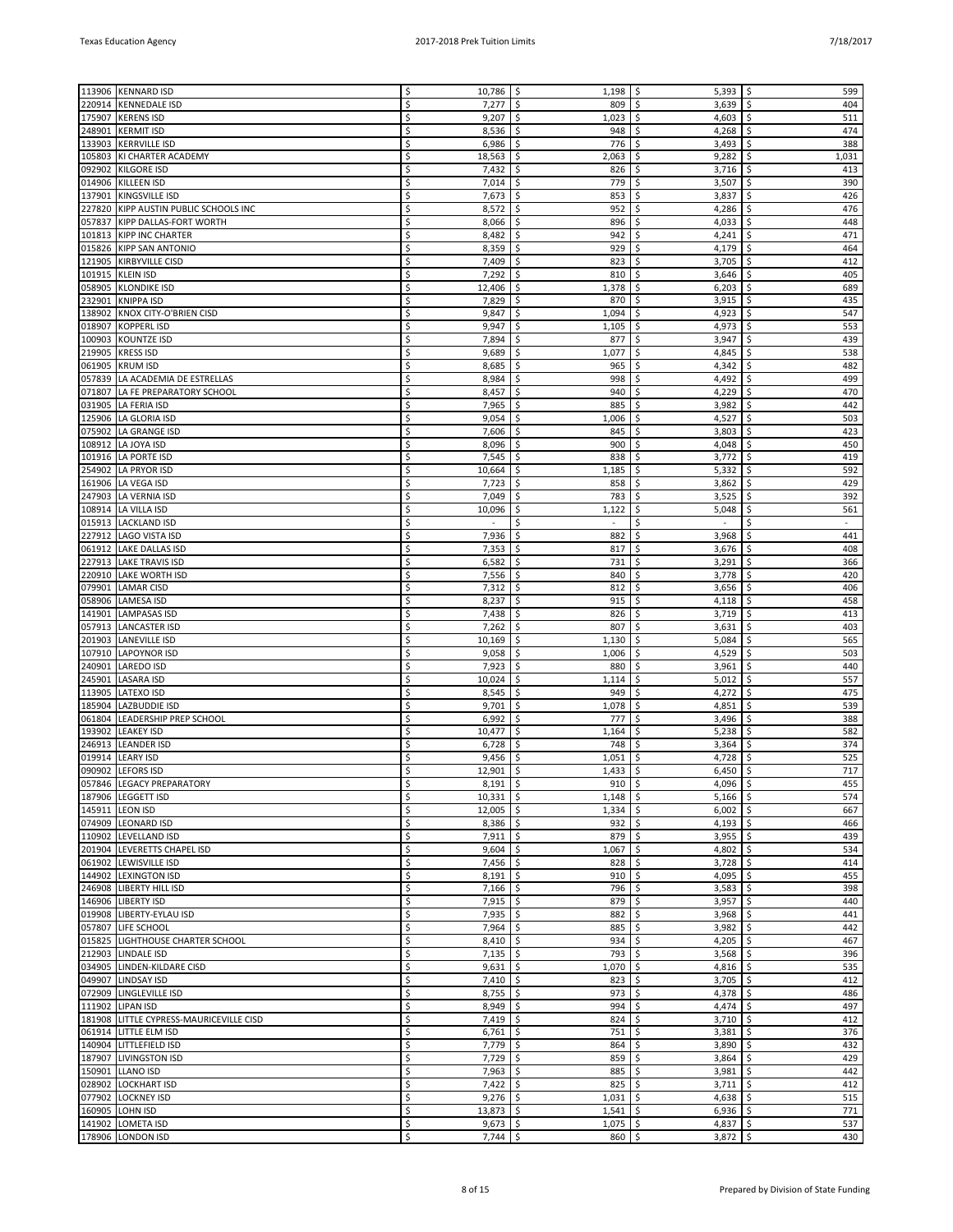|        | 113906 KENNARD ISD                      | \$ | $10,786$ \$ | 1,198          | -\$<br>$5,393$   \$                       | 599                        |
|--------|-----------------------------------------|----|-------------|----------------|-------------------------------------------|----------------------------|
| 220914 | <b>KENNEDALE ISD</b>                    | Ś  | 7,277       | \$<br>809      | 3,639<br>\$                               | \$<br>404                  |
| 175907 | <b>KERENS ISD</b>                       | Ś  | 9,207       | \$<br>1,023    | \$<br>4,603                               | \$<br>511                  |
| 248901 | <b>KERMIT ISD</b>                       | Ś  | 8,536       | \$<br>948      | \$<br>4,268                               | \$<br>474                  |
|        |                                         |    |             |                |                                           |                            |
| 133903 | <b>KERRVILLE ISD</b>                    | \$ | 6,986       | \$<br>776      | \$<br>3,493                               | 388<br>\$                  |
| 105803 | KI CHARTER ACADEMY                      | Ś  | 18,563      | -\$<br>2,063   | \$<br>9,282                               | \$<br>1,031                |
| 092902 | <b>KILGORE ISD</b>                      | Ś  | 7,432       | \$<br>826      | \$<br>3,716                               | \$<br>413                  |
|        |                                         | Ś  | 7,014       | 779            | \$                                        | \$<br>390                  |
| 014906 | <b>KILLEEN ISD</b>                      |    |             | \$             | 3,507                                     |                            |
| 137901 | KINGSVILLE ISD                          | Ś  | 7,673       | \$<br>853      | \$<br>3,837                               | \$<br>426                  |
|        | 227820 KIPP AUSTIN PUBLIC SCHOOLS INC   | Ś  | 8,572       | \$<br>952      | \$<br>4,286                               | 476<br>\$                  |
|        | 057837 KIPP DALLAS-FORT WORTH           | Ś  | 8,066       | \$<br>896      | \$<br>4,033                               | \$<br>448                  |
|        |                                         |    |             |                |                                           |                            |
|        | 101813 KIPP INC CHARTER                 | Ś  | 8,482       | \$<br>942      | 4,241<br>\$                               | \$<br>471                  |
|        | 015826 KIPP SAN ANTONIO                 | Ś  | 8,359       | \$<br>929      | \$<br>4,179                               | \$<br>464                  |
| 121905 | <b>KIRBYVILLE CISD</b>                  | Ś  | 7,409       | \$<br>823      | \$<br>3,705                               | \$<br>412                  |
|        |                                         |    |             |                |                                           |                            |
|        | 101915 KLEIN ISD                        | Ś  | 7,292       | \$<br>810      | \$<br>3,646                               | 405<br>\$                  |
| 058905 | <b>KLONDIKE ISD</b>                     | Ś  | 12,406      | \$.<br>1,378   | \$<br>6,203                               | \$<br>689                  |
| 232901 | <b>KNIPPA ISD</b>                       | Ś  | 7,829       | \$<br>870      | \$<br>3,915                               | \$<br>435                  |
|        |                                         | Ś  |             |                |                                           | 547                        |
| 138902 | KNOX CITY-O'BRIEN CISD                  |    | 9,847       | \$<br>1,094    | 4,923<br>\$                               | \$                         |
| 018907 | <b>KOPPERL ISD</b>                      | Ś  | 9,947       | \$<br>1,105    | \$<br>4,973                               | \$<br>553                  |
| 100903 | <b>KOUNTZE ISD</b>                      | Ś  | 7,894       | \$<br>877      | \$<br>3,947                               | \$<br>439                  |
|        |                                         | Ś  |             | Ŝ.             | \$                                        | \$<br>538                  |
| 219905 | <b>KRESS ISD</b>                        |    | 9,689       | 1,077          | 4,845                                     |                            |
| 061905 | <b>KRUM ISD</b>                         | Ś  | 8,685       | \$<br>965      | 4,342<br>\$                               | 482<br>\$                  |
|        | 057839 LA ACADEMIA DE ESTRELLAS         | Ś  | 8,984       | \$<br>998      | 4,492<br>\$                               | \$<br>499                  |
| 071807 | LA FE PREPARATORY SCHOOL                | Ś  | 8,457       | \$<br>940      | \$<br>4,229                               | \$<br>470                  |
|        |                                         |    |             |                |                                           |                            |
|        | 031905 LA FERIA ISD                     | Ś  | 7,965       | \$<br>885      | \$<br>3,982                               | 442<br>\$                  |
| 125906 | LA GLORIA ISD                           | Ś  | 9,054       | \$<br>1,006    | \$<br>4,527                               | \$<br>503                  |
|        | 075902 LA GRANGE ISD                    | Ś  | 7,606       | \$<br>845      | \$<br>3,803                               | \$<br>423                  |
|        |                                         |    |             |                |                                           |                            |
|        | 108912 LA JOYA ISD                      | Ś  | 8,096       | \$<br>900      | 4,048<br>\$                               | \$<br>450                  |
| 101916 | LA PORTE ISD                            | Ś  | 7,545       | \$<br>838      | \$<br>3,772                               | \$<br>419                  |
|        | 254902 LA PRYOR ISD                     | Ś  | 10,664      | 1,185<br>\$.   | \$<br>5,332                               | \$<br>592                  |
|        |                                         |    |             |                |                                           |                            |
|        | 161906   LA VEGA ISD                    | Ś  | 7,723       | 858<br>-S      | \$<br>3,862                               | \$<br>429                  |
|        | 247903 LA VERNIA ISD                    | Ś  | 7,049       | \$<br>783      | 3,525<br>\$                               | \$<br>392                  |
|        | 108914 LA VILLA ISD                     | Ś  | 10,096      | \$<br>1,122    | 5,048<br>\$                               | \$<br>561                  |
|        |                                         |    |             |                |                                           |                            |
| 015913 | <b>LACKLAND ISD</b>                     | Ś  | ä,          | \$             | \$<br>$\overline{\phantom{a}}$            | \$                         |
|        | 227912 LAGO VISTA ISD                   | Ś  | 7,936       | \$<br>882      | \$<br>3,968                               | \$<br>441                  |
| 061912 | <b>LAKE DALLAS ISD</b>                  | Ś  | 7,353       | Ŝ.<br>817      | \$<br>3,676                               | \$<br>408                  |
|        |                                         |    |             |                |                                           |                            |
|        | 227913 LAKE TRAVIS ISD                  | Ś  | 6,582       | \$<br>731      | 3,291<br>\$                               | \$<br>366                  |
|        | 220910 LAKE WORTH ISD                   | Ś  | 7,556       | \$<br>840      | 3,778<br>\$                               | \$<br>420                  |
| 079901 | <b>LAMAR CISD</b>                       | Ś  | 7,312       | \$<br>812      | \$<br>3,656                               | \$<br>406                  |
|        |                                         | Ś  |             |                |                                           |                            |
|        | 058906 LAMESA ISD                       |    | 8,237       | \$<br>915      | \$<br>4,118                               | \$<br>458                  |
| 141901 | <b>LAMPASAS ISD</b>                     | Ś  | 7,438       | Ŝ.<br>826      | \$<br>3,719                               | \$<br>413                  |
|        | 057913 LANCASTER ISD                    | Ś  | 7,262       | \$<br>807      | 3,631<br>\$                               | \$<br>403                  |
| 201903 | <b>LANEVILLE ISD</b>                    | Ś  | 10,169      | \$<br>1,130    | 5,084<br>\$                               | \$<br>565                  |
|        |                                         |    |             |                |                                           |                            |
| 107910 | <b>LAPOYNOR ISD</b>                     | Ś  | 9,058       | \$<br>1,006    | \$<br>4,529                               | \$<br>503                  |
| 240901 | LAREDO ISD                              | Ś  | 7,923       | \$<br>880      | \$<br>3,961                               | \$<br>440                  |
| 245901 | <b>LASARA ISD</b>                       | Ś  | 10,024      | Ŝ.<br>1,114    | \$<br>5,012                               | \$<br>557                  |
|        |                                         |    |             |                |                                           |                            |
| 113905 | <b>LATEXO ISD</b>                       | Ś  | 8,545       | \$<br>949      | \$<br>4,272                               | \$<br>475                  |
| 185904 | <b>LAZBUDDIE ISD</b>                    | Ś  | 9,701       | \$<br>1,078    | \$<br>4,851                               | \$<br>539                  |
| 061804 | LEADERSHIP PREP SCHOOL                  | Ś  | 6,992       | \$<br>777      | \$<br>3,496                               | \$<br>388                  |
|        |                                         |    |             |                |                                           |                            |
| 193902 | <b>LEAKEY ISD</b>                       | Ś  | 10,477      | \$<br>1,164    | \$<br>5,238                               | \$<br>582                  |
| 246913 | <b>LEANDER ISD</b>                      | Ś  | 6,728       | Ŝ.<br>748      | \$<br>3,364                               | \$<br>374                  |
| 019914 | <b>LEARY ISD</b>                        |    | 9,456       | \$<br>1,051    | \$<br>4,728                               | 525<br>\$                  |
|        | 090902 LEFORS ISD                       | Ś  | 12,901      | \$<br>1,433    | \$<br>6,450                               | \$<br>717                  |
|        |                                         |    |             |                |                                           |                            |
|        | 057846   LEGACY PREPARATORY             | \$ | $8,191$ \$  | $910 \mid 5$   | $4,096$   \$                              | 455                        |
|        | 187906   LEGGETT ISD                    | Ś  | $10,331$ \$ | $1,148$ \$     | $5,166$ \$                                | 574                        |
|        | 145911 LEON ISD                         | \$ | $12,005$ \$ | $1,334$ \$     | $6,002$ \$                                | 667                        |
|        |                                         |    |             |                |                                           |                            |
|        | 074909 LEONARD ISD                      | Ś  | $8,386$ \$  | $932$ \$       | 4,193 $\frac{1}{2}$                       | 466                        |
|        | 110902 LEVELLAND ISD                    | \$ | $7,911$ \$  | $879$ \$       | 3,955                                     | \$<br>439                  |
|        | 201904 LEVERETTS CHAPEL ISD             | \$ | $9,604$ \$  | 1,067          | 4,802 $\frac{1}{2}$<br>$\ddot{\varsigma}$ | 534                        |
|        | 061902 LEWISVILLE ISD                   | Ś  | $7,456$ \$  | $828$ \$       | $3,728$ \$                                | 414                        |
|        |                                         |    |             |                |                                           |                            |
|        | 144902  LEXINGTON ISD                   | Ś  | $8,191$ \$  | $910$ \$       | $4,095$ \$                                | 455                        |
|        | 246908 LIBERTY HILL ISD                 | \$ | $7,166$ \$  | 796 \$         | 3,583                                     | \$<br>398                  |
|        | 146906 LIBERTY ISD                      | Ś  | $7,915$ \$  | $879$ \$       | 3,957                                     | \$<br>440                  |
|        | 019908 LIBERTY-EYLAU ISD                | Ś  | 7,935       | \$             | \$                                        | \$<br>441                  |
|        |                                         |    |             | 882            | 3,968                                     |                            |
|        | 057807 LIFE SCHOOL                      | Ś  | $7,964$ \$  | $885$ \$       | 3,982                                     | $\ddot{\mathsf{S}}$<br>442 |
|        | 015825 LIGHTHOUSE CHARTER SCHOOL        | \$ | $8,410$ \$  | $934$ \$       | 4,205 $\frac{1}{2}$                       | 467                        |
|        | 212903 LINDALE ISD                      | Ś  | $7,135$ \$  | $793 \mid 5$   | 3,568                                     | \$<br>396                  |
|        |                                         |    |             |                |                                           |                            |
|        | 034905 LINDEN-KILDARE CISD              | \$ | $9,631$ \$  | $1,070$ \$     | $4,816$ \$                                | 535                        |
|        | 049907 LINDSAY ISD                      | Ś  | $7,410$ \$  | 823            | 3,705<br>\$                               | \$<br>412                  |
|        | 072909 LINGLEVILLE ISD                  | Ś  | $8,755$ \$  | $973$ \$       | 4,378 $\frac{1}{2}$                       | 486                        |
|        |                                         |    |             |                |                                           |                            |
|        | 111902 LIPAN ISD                        | \$ | $8,949$ \$  | $994$ \$       | $4,474$ \$                                | 497                        |
|        | 181908 LITTLE CYPRESS-MAURICEVILLE CISD | Ś  | $7,419$ \$  | $824$ \$       | 3,710                                     | \$<br>412                  |
|        | 061914 LITTLE ELM ISD                   | \$ | $6,761$ \$  | $751 \mid \xi$ | $3,381$ \$                                | 376                        |
|        |                                         | Ś  |             |                |                                           | \$                         |
|        | 140904 LITTLEFIELD ISD                  |    | $7,779$ \$  | 864            | \$<br>3,890                               | 432                        |
|        | 187907 LIVINGSTON ISD                   | Ś  | $7,729$ \$  | $859$ \$       | 3,864                                     | \$<br>429                  |
|        | 150901 LLANO ISD                        | \$ | 7,963 \$    | $885$ \$       | $3,981$ \$                                | 442                        |
|        | 028902 LOCKHART ISD                     | Ś  | 7,422       | \$<br>$825$ \$ | 3,711                                     | \$<br>412                  |
|        |                                         |    |             |                |                                           |                            |
|        | 077902 LOCKNEY ISD                      | \$ | $9,276$ \$  | $1,031$ \$     | $4,638$ \$                                | 515                        |
|        | 160905 LOHN ISD                         | Ś  | $13,873$ \$ | $1,541$ \$     | $6,936$ \$                                | 771                        |
|        | 141902 LOMETA ISD                       | \$ | $9,673$ \$  | $1,075$ \$     | 4,837 $\frac{1}{2}$                       | 537                        |
|        | 178906 LONDON ISD                       | \$ | $7,744$ \$  | $860$ \$       | $3,872$ \$                                | 430                        |
|        |                                         |    |             |                |                                           |                            |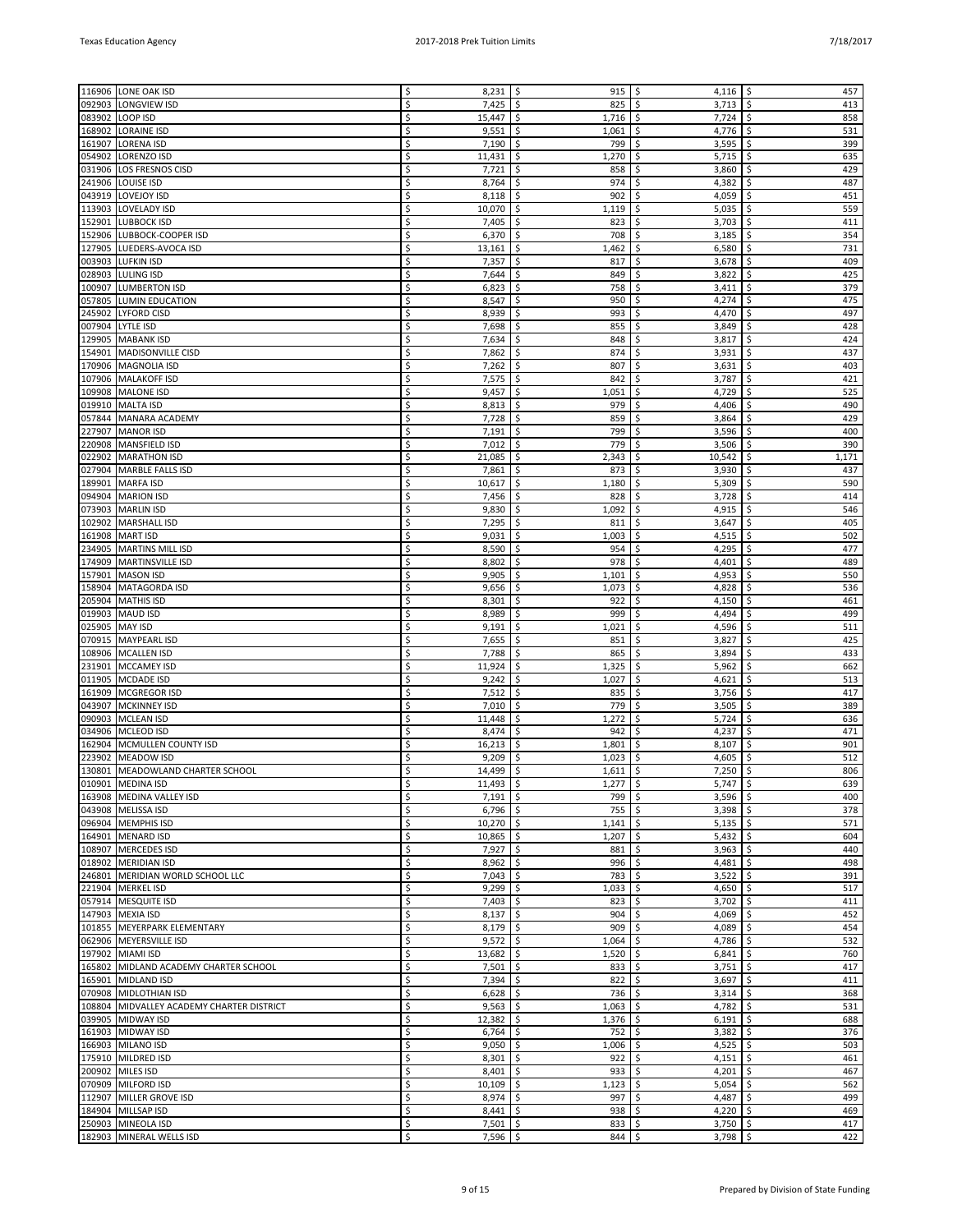|        | 116906 LONE OAK ISD                       | Ś  | $8,231$ \$  | 915                        | -\$<br>4,116                 | \$<br>457   |
|--------|-------------------------------------------|----|-------------|----------------------------|------------------------------|-------------|
| 092903 | LONGVIEW ISD                              | Ś  | 7,425       | Ŝ.<br>825                  | \$<br>3,713                  | \$<br>413   |
| 083902 | LOOP ISD                                  | Ś  | 15,447      | \$<br>1,716                | 7,724<br>\$                  | \$<br>858   |
| 168902 | <b>LORAINE ISD</b>                        | Ś  | 9,551       | \$<br>1,061                | \$<br>4,776                  | \$<br>531   |
|        |                                           |    |             |                            |                              |             |
| 161907 | <b>LORENA ISD</b>                         | \$ | 7,190       | \$<br>799                  | \$<br>3,595                  | \$<br>399   |
| 054902 | <b>LORENZO ISD</b>                        | Ś  | 11,431      | 1,270<br>\$.               | 5,715<br>\$                  | \$<br>635   |
| 031906 | <b>LOS FRESNOS CISD</b>                   | Ś  | 7,721       | \$<br>858                  | \$<br>3,860                  | \$<br>429   |
|        |                                           |    |             |                            |                              |             |
| 241906 | <b>LOUISE ISD</b>                         | Ś  | 8,764       | \$<br>974                  | \$<br>4,382                  | \$<br>487   |
| 043919 | <b>LOVEJOY ISD</b>                        | Ś  | 8,118       | \$<br>902                  | \$<br>4,059                  | \$<br>451   |
| 113903 | <b>LOVELADY ISD</b>                       | Ś  | 10,070      | \$<br>1,119                | \$<br>5,035                  | \$<br>559   |
|        |                                           | Ś  |             |                            | \$                           | \$          |
| 152901 | <b>LUBBOCK ISD</b>                        |    | 7,405       | 823<br>\$                  | 3,703                        | 411         |
|        | 152906 LUBBOCK-COOPER ISD                 | Ś  | 6,370       | \$<br>708                  | \$<br>3,185                  | \$<br>354   |
| 127905 | LUEDERS-AVOCA ISD                         | Ś  | 13,161      | \$<br>1,462                | \$<br>6,580                  | \$<br>731   |
| 003903 | <b>LUFKIN ISD</b>                         | Ś  | 7,357       | \$<br>817                  | \$<br>3,678                  | \$<br>409   |
|        |                                           |    |             |                            |                              |             |
| 028903 | <b>LULING ISD</b>                         | Ś  | 7,644       | \$<br>849                  | \$<br>3,822                  | \$<br>425   |
| 100907 | <b>LUMBERTON ISD</b>                      | Ś  | 6,823       | 758<br>\$.                 | 3,411<br>\$                  | \$<br>379   |
| 057805 | <b>LUMIN EDUCATION</b>                    | Ś  | 8,547       | \$<br>950                  | \$<br>4,274                  | \$<br>475   |
|        |                                           |    |             |                            |                              |             |
| 245902 | <b>LYFORD CISD</b>                        | Ś  | 8,939       | \$<br>993                  | \$<br>4,470                  | \$<br>497   |
| 007904 | <b>LYTLE ISD</b>                          | Ś  | 7,698       | \$<br>855                  | 3,849<br>\$                  | \$<br>428   |
| 129905 | <b>MABANK ISD</b>                         | \$ | 7,634       | \$<br>848                  | \$<br>3,817                  | \$<br>424   |
|        |                                           | Ś  |             |                            |                              | \$<br>437   |
| 154901 | MADISONVILLE CISD                         |    | 7,862       | \$.<br>874                 | 3,931<br>\$                  |             |
| 170906 | MAGNOLIA ISD                              | Ś  | 7,262       | \$<br>807                  | \$<br>3,631                  | 403<br>\$   |
| 107906 | <b>MALAKOFF ISD</b>                       | Ś  | 7,575       | \$<br>842                  | \$<br>3,787                  | \$<br>421   |
| 109908 | <b>MALONE ISD</b>                         | Ś  | 9,457       | \$<br>1,051                | 4,729<br>\$                  | \$<br>525   |
|        |                                           |    |             |                            |                              |             |
| 019910 | <b>MALTA ISD</b>                          | Ś  | 8,813       | \$<br>979                  | \$<br>4,406                  | \$<br>490   |
| 057844 | MANARA ACADEMY                            | Ś  | 7,728       | \$.<br>859                 | \$<br>3,864                  | \$<br>429   |
| 227907 | <b>MANOR ISD</b>                          | Ś  | 7,191       | \$<br>799                  | \$<br>3,596                  | \$<br>400   |
|        |                                           |    |             |                            |                              |             |
| 220908 | MANSFIELD ISD                             | Ś  | 7,012       | \$<br>779                  | \$<br>3,506                  | \$<br>390   |
| 022902 | <b>MARATHON ISD</b>                       | Ś  | 21,085      | \$<br>2,343                | 10,542<br>\$                 | \$<br>1,171 |
| 027904 | <b>MARBLE FALLS ISD</b>                   | Ś  | 7,861       | \$<br>873                  | \$<br>3,930                  | \$<br>437   |
|        |                                           |    |             |                            |                              |             |
| 189901 | <b>MARFA ISD</b>                          | Ś  | 10,617      | \$<br>1,180                | \$<br>5,309                  | \$<br>590   |
| 094904 | <b>MARION ISD</b>                         | Ś  | 7,456       | \$<br>828                  | \$<br>3,728                  | \$<br>414   |
| 073903 | <b>MARLIN ISD</b>                         | Ś  | 9,830       | \$<br>1,092                | \$<br>4,915                  | \$<br>546   |
|        |                                           |    |             |                            |                              |             |
| 102902 | <b>MARSHALL ISD</b>                       | \$ | 7,295       | \$<br>811                  | \$<br>3,647                  | \$<br>405   |
| 161908 | <b>MART ISD</b>                           | Ś  | 9,031       | \$<br>1,003                | \$<br>4,515                  | \$<br>502   |
| 234905 | <b>MARTINS MILL ISD</b>                   | Ś  | 8,590       | \$.<br>954                 | 4,295<br>\$                  | \$<br>477   |
|        |                                           | Ś  |             |                            |                              |             |
| 174909 | <b>MARTINSVILLE ISD</b>                   |    | 8,802       | \$<br>978                  | \$<br>4,401                  | \$<br>489   |
| 157901 | <b>MASON ISD</b>                          | Ś  | 9,905       | \$<br>1,101                | 4,953<br>\$                  | \$<br>550   |
| 158904 | <b>MATAGORDA ISD</b>                      | Ś  | 9,656       | \$<br>1,073                | \$<br>4,828                  | \$<br>536   |
|        |                                           | Ś  |             |                            |                              | \$          |
| 205904 | <b>MATHIS ISD</b>                         |    | 8,301       | \$<br>922                  | \$<br>4,150                  | 461         |
| 019903 | MAUD ISD                                  | Ś  | 8,989       | \$.<br>999                 | \$<br>4,494                  | \$<br>499   |
| 025905 | MAY ISD                                   | Ś  | 9,191       | \$<br>1,021                | \$<br>4,596                  | \$<br>511   |
| 070915 | <b>MAYPEARL ISD</b>                       | Ś  | 7,655       | \$<br>851                  | \$<br>3,827                  | \$<br>425   |
|        |                                           |    |             |                            |                              |             |
| 108906 | <b>MCALLEN ISD</b>                        | Ś  | 7,788       | \$<br>865                  | \$<br>3,894                  | \$<br>433   |
| 231901 | MCCAMEY ISD                               | Ś  | 11,924      | \$<br>1,325                | \$<br>5,962                  | \$<br>662   |
| 011905 | MCDADE ISD                                | Ś  | 9,242       | 1,027<br>\$                | \$<br>4,621                  | \$<br>513   |
|        |                                           |    |             |                            |                              |             |
|        | 161909   MCGREGOR ISD                     | Ś  | 7,512       | \$<br>835                  | \$<br>3,756                  | \$<br>417   |
| 043907 | MCKINNEY ISD                              | Ś  | 7,010       | \$<br>779                  | \$<br>3,505                  | \$<br>389   |
| 090903 | MCLEAN ISD                                | \$ | 11,448      | \$<br>1,272                | \$<br>5,724                  | \$<br>636   |
|        |                                           | Ś  |             |                            |                              |             |
| 034906 | <b>MCLEOD ISD</b>                         |    | 8,474       | \$<br>942                  | \$<br>4,237                  | \$<br>471   |
| 162904 | MCMULLEN COUNTY ISD                       | Ś  | 16,213      | 1,801<br>\$.               | \$<br>8,107                  | \$<br>901   |
| 223902 | <b>MEADOW ISD</b>                         | Ś  | 9,209       | \$<br>1,023                | \$<br>4,605                  | \$<br>512   |
|        | 130801 MEADOWLAND CHARTER SCHOOL          | Ś  | 14,499      | \$<br>1,611                | \$<br>7,250                  | \$<br>806   |
|        |                                           |    |             |                            |                              |             |
|        | 010901 MEDINA ISD                         | \$ | $11,493$ \$ | $1,277$   \$               | $5,747$ $\frac{5}{7}$        | 639         |
|        | 163908 MEDINA VALLEY ISD                  | \$ | $7,191$ \$  | $799$ \$                   | 3,596                        | \$<br>400   |
|        | 043908 MELISSA ISD                        | \$ | $6,796$ \$  | $755$ \$                   | $3,398$ \$                   | 378         |
|        |                                           | Ś  |             |                            |                              |             |
|        | 096904 MEMPHIS ISD                        |    | $10,270$ \$ | $1,141$ \$                 | $5,135$ \$                   | 571         |
|        | 164901 MENARD ISD                         | \$ | $10,865$ \$ | $1,207$ \$                 | $5,432$ \$                   | 604         |
|        | 108907 MERCEDES ISD                       | Ś  | 7,927       | \$<br>$881$ \$             | 3,963                        | \$<br>440   |
|        | 018902   MERIDIAN ISD                     | Ś  | 8,962       | \$<br>996                  | l\$<br>4,481                 | \$<br>498   |
|        |                                           |    | $7,043$ \$  |                            |                              |             |
|        | 246801 MERIDIAN WORLD SCHOOL LLC          | \$ |             | 783                        | \$<br>$3,522$ \$             | 391         |
|        | 221904 MERKEL ISD                         | Ś  | $9,299$ \$  | $1,033$ \$                 | 4,650 $\frac{1}{2}$          | 517         |
|        | 057914 MESQUITE ISD                       | \$ | $7,403$ \$  | 823                        | $3,702$ \$<br>\$             | 411         |
|        | 147903 MEXIA ISD                          | \$ | $8,137$ \$  | $904$ \$                   | 4,069                        | \$<br>452   |
|        |                                           |    |             |                            |                              |             |
|        | 101855 MEYERPARK ELEMENTARY               | Ś  | 8,179       | $\ddot{\mathsf{S}}$<br>909 | $\ddot{\mathsf{S}}$<br>4,089 | \$<br>454   |
|        | 062906 MEYERSVILLE ISD                    | \$ | $9,572$ \$  | $1,064$ \$                 | 4,786 $\frac{1}{2}$          | 532         |
|        | 197902 MIAMI ISD                          | Ś  | $13,682$ \$ | $1,520$ \$                 | $6,841$ \$                   | 760         |
|        |                                           |    |             |                            |                              |             |
|        | 165802 MIDLAND ACADEMY CHARTER SCHOOL     | \$ | 7,501 \$    | $833$ \$                   | $3,751$ \$                   | 417         |
|        | 165901 MIDLAND ISD                        | Ś  | $7,394$ \$  | $822$ \$                   | 3,697                        | \$<br>411   |
|        | 070908 MIDLOTHIAN ISD                     | \$ | $6,628$ \$  | $736$ \$                   | 3,314                        | \$<br>368   |
|        |                                           | \$ |             |                            |                              | 531         |
|        | 108804 MIDVALLEY ACADEMY CHARTER DISTRICT |    | $9,563$ \$  | $1,063$ \$                 | 4,782                        | \$          |
|        | 039905 MIDWAY ISD                         | \$ | $12,382$ \$ | $1,376$ \$                 | 6,191                        | \$<br>688   |
|        | 161903 MIDWAY ISD                         | \$ | $6,764$ \$  | $752$ \$                   | $3,382$ \$                   | 376         |
|        | 166903 MILANO ISD                         | Ś  | $9,050$ \$  | $1,006$ \$                 | 4,525                        | \$<br>503   |
|        |                                           |    |             |                            |                              |             |
|        | 175910 MILDRED ISD                        | \$ | 8,301       | \$<br>$922$ \$             | 4,151                        | \$<br>461   |
|        | 200902 MILES ISD                          | \$ | $8,401$ \$  | $933$ \$                   | 4,201 $\frac{1}{2}$          | 467         |
|        | 070909 MILFORD ISD                        | \$ | 10,109      | \$<br>$1,123$ \$           | 5,054                        | \$<br>562   |
|        |                                           |    |             |                            |                              |             |
|        | 112907 MILLER GROVE ISD                   | \$ | $8,974$ \$  | 997                        | \$<br>4,487                  | \$<br>499   |
|        | 184904 MILLSAP ISD                        | Ś  | $8,441$ \$  | $938$ \$                   | 4,220 \$                     | 469         |
|        | 250903 MINEOLA ISD                        | \$ | 7,501 \$    | 833 \$                     | $3,750$ \$                   | 417         |
|        |                                           |    |             |                            |                              |             |
|        | 182903 MINERAL WELLS ISD                  | \$ | $7,596$ \$  | $844$ \$                   | $3,798$ \$                   | 422         |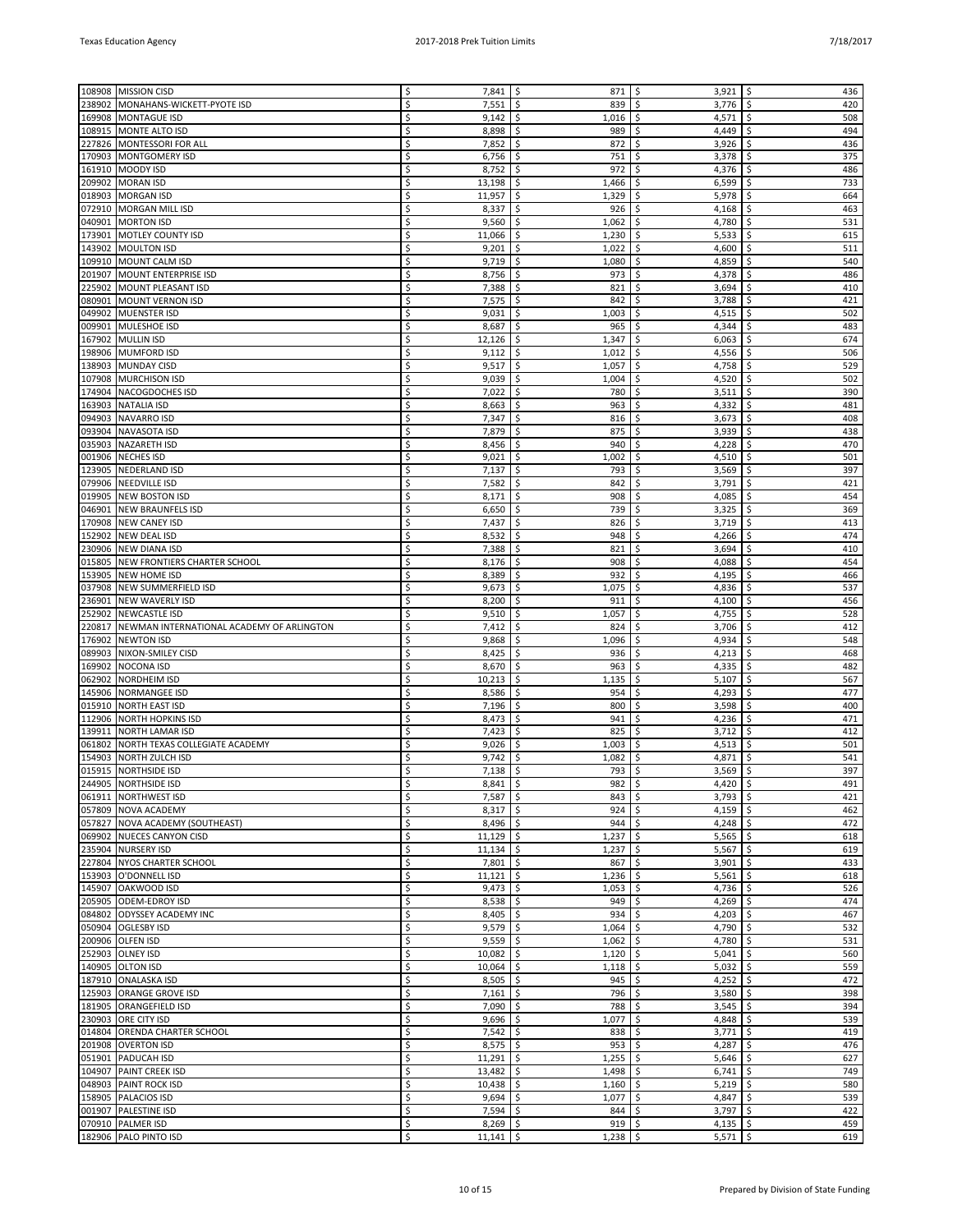|        | 108908 MISSION CISD                       | \$ | $7,841$ \$  | 871              | $3,921$ \$<br>\$    | 436                        |
|--------|-------------------------------------------|----|-------------|------------------|---------------------|----------------------------|
| 238902 | MONAHANS-WICKETT-PYOTE ISD                | Ś  | 7,551       | \$<br>839        | \$<br>3,776         | \$<br>420                  |
|        |                                           |    |             |                  |                     |                            |
|        | 169908   MONTAGUE ISD                     | \$ | 9,142       | \$<br>1,016      | 4,571<br>\$         | \$<br>508                  |
| 108915 | MONTE ALTO ISD                            | Ś  | 8,898       | \$<br>989        | \$<br>4,449         | \$<br>494                  |
|        | 227826 MONTESSORI FOR ALL                 | Ś  | 7,852       | \$<br>872        | \$<br>3,926         | 436<br>\$                  |
| 170903 | MONTGOMERY ISD                            | Ś  | 6,756       | \$<br>751        | 3,378<br>\$         | \$<br>375                  |
|        | 161910   MOODY ISD                        | Ś  | 8,752       | \$<br>972        | \$<br>4,376         | \$<br>486                  |
| 209902 | MORAN ISD                                 | Ś  | 13,198      | \$.<br>1,466     | \$<br>6,599         | \$<br>733                  |
| 018903 | <b>MORGAN ISD</b>                         | Ś  | 11,957      | \$<br>1,329      | \$<br>5,978         | \$<br>664                  |
|        | 072910 MORGAN MILL ISD                    | Ś  | 8,337       | \$<br>926        | \$<br>4,168         | \$<br>463                  |
| 040901 | <b>MORTON ISD</b>                         | Ś  | 9,560       | \$<br>1,062      | 4,780<br>\$         | \$<br>531                  |
| 173901 | MOTLEY COUNTY ISD                         | Ś  | 11,066      | \$<br>1,230      | \$<br>5,533         | \$<br>615                  |
| 143902 | MOULTON ISD                               | Ś  | 9,201       | \$<br>1,022      | 4,600<br>\$         | \$<br>511                  |
| 109910 | MOUNT CALM ISD                            | Ś  | 9,719       | \$<br>1,080      | \$<br>4,859         | \$<br>540                  |
| 201907 | MOUNT ENTERPRISE ISD                      | Ś  | 8,756       | \$<br>973        | \$<br>4,378         | \$<br>486                  |
|        |                                           |    |             |                  |                     |                            |
| 225902 | MOUNT PLEASANT ISD                        | Ś  | 7,388       | \$<br>821        | 3,694<br>\$         | 410<br>\$                  |
| 080901 | MOUNT VERNON ISD                          | Ś  | 7,575       | \$<br>842        | \$<br>3,788         | \$<br>421                  |
| 049902 | MUENSTER ISD                              | Ś  | 9,031       | \$<br>1,003      | 4,515<br>\$         | \$<br>502                  |
| 009901 | MULESHOE ISD                              | Ś  | 8,687       | \$<br>965        | \$<br>4,344         | \$<br>483                  |
|        | 167902 MULLIN ISD                         | Ś  | 12,126      | 1,347<br>\$      | \$<br>6,063         | \$<br>674                  |
| 198906 | MUMFORD ISD                               | Ś  | 9,112       | \$<br>1,012      | \$<br>4,556         | \$<br>506                  |
| 138903 | MUNDAY CISD                               | Ś  | 9,517       | \$<br>1,057      | \$<br>4,758         | \$<br>529                  |
| 107908 | MURCHISON ISD                             | Ś  | 9,039       | \$<br>1,004      | 4,520<br>\$         | \$<br>502                  |
| 174904 | NACOGDOCHES ISD                           | Ś  | 7,022       | \$<br>780        | \$<br>3,511         | \$<br>390                  |
| 163903 | NATALIA ISD                               | Ś  | 8,663       | \$<br>963        | 4,332<br>\$         | \$<br>481                  |
| 094903 | <b>NAVARRO ISD</b>                        | Ś  | 7,347       | \$<br>816        | \$<br>3,673         | 408<br>\$                  |
| 093904 | NAVASOTA ISD                              | Ś  | 7,879       | \$<br>875        | \$<br>3,939         | \$<br>438                  |
|        |                                           | Ś  |             | \$<br>940        | 4,228<br>\$.        | \$<br>470                  |
| 035903 | <b>NAZARETH ISD</b>                       |    | 8,456       |                  |                     |                            |
| 001906 | NECHES ISD                                | Ś  | 9,021       | \$<br>1,002      | \$<br>4,510         | \$<br>501                  |
| 123905 | <b>NEDERLAND ISD</b>                      | Ś  | 7,137       | \$<br>793        | \$<br>3,569         | \$<br>397                  |
| 079906 | <b>NEEDVILLE ISD</b>                      | Ś  | 7,582       | \$<br>842        | \$<br>3,791         | 421<br>\$                  |
| 019905 | <b>NEW BOSTON ISD</b>                     | Ś  | 8,171       | \$<br>908        | \$<br>4,085         | \$<br>454                  |
| 046901 | NEW BRAUNFELS ISD                         | Ś  | 6,650       | \$<br>739        | 3,325<br>\$         | \$<br>369                  |
| 170908 | <b>NEW CANEY ISD</b>                      | Ś  | 7,437       | \$<br>826        | \$<br>3,719         | \$<br>413                  |
| 152902 | <b>NEW DEAL ISD</b>                       |    | 8,532       | \$<br>948        | \$<br>4,266         | \$<br>474                  |
| 230906 | <b>NEW DIANA ISD</b>                      | Ś  | 7,388       | \$<br>821        | 3,694<br>\$         | 410<br>\$                  |
| 015805 | NEW FRONTIERS CHARTER SCHOOL              | Ś  | 8,176       | \$<br>908        | \$<br>4,088         | \$<br>454                  |
| 153905 | <b>NEW HOME ISD</b>                       | Ś  | 8,389       | \$.<br>932       | 4,195<br>\$         | \$<br>466                  |
| 037908 | NEW SUMMERFIELD ISD                       | Ś  | 9,673       | \$.<br>1,075     | \$<br>4,836         | 537<br>\$                  |
|        |                                           |    |             |                  |                     |                            |
| 236901 | NEW WAVERLY ISD                           |    | 8,200       | \$<br>911        | \$<br>4,100         | \$<br>456                  |
| 252902 | <b>NEWCASTLE ISD</b>                      | Ś  | 9,510       | \$<br>1,057      | 4,755<br>\$         | 528<br>\$                  |
| 220817 | NEWMAN INTERNATIONAL ACADEMY OF ARLINGTON | Ś  | 7,412       | \$<br>824        | \$<br>3,706         | 412<br>\$                  |
| 176902 | <b>NEWTON ISD</b>                         | Ś  | 9,868       | Ŝ.<br>1,096      | 4,934<br>\$.        | \$<br>548                  |
| 089903 | NIXON-SMILEY CISD                         | Ś  | 8,425       | \$.<br>936       | \$<br>4,213         | \$<br>468                  |
| 169902 | <b>NOCONA ISD</b>                         | Ś  | 8,670       | \$<br>963        | \$<br>4,335         | \$<br>482                  |
| 062902 | <b>NORDHEIM ISD</b>                       | Ś  | 10,213      | \$<br>1,135      | \$<br>5,107         | \$<br>567                  |
| 145906 | <b>NORMANGEE ISD</b>                      | Ś  | 8,586       | \$<br>954        | \$<br>4,293         | 477<br>\$                  |
| 015910 | <b>NORTH EAST ISD</b>                     | Ś  | 7,196       | \$<br>800        | 3,598<br>\$         | \$<br>400                  |
| 112906 | <b>NORTH HOPKINS ISD</b>                  | Ś  | 8,473       | \$<br>941        | \$<br>4,236         | \$<br>471                  |
| 139911 | NORTH LAMAR ISD                           | Ś  | 7,423       | \$<br>825        | \$<br>3,712         | \$<br>412                  |
| 061802 | NORTH TEXAS COLLEGIATE ACADEMY            | Ś  | 9,026       | \$<br>1,003      | \$<br>4,513         | 501<br>\$                  |
| 154903 | NORTH ZULCH ISD                           | Ś  | 9,742       | \$<br>1,082      | \$<br>4,871         | 541<br>\$                  |
|        | 015915 NORTHSIDE ISD                      | Ś  | 7,138       | S.<br>793        | \$<br>3,569         | \$<br>397                  |
|        |                                           | \$ |             |                  |                     |                            |
|        | 244905 NORTHSIDE ISD                      |    | $8,841$ \$  | 982   \$         | 4,420 $\frac{1}{2}$ | 491                        |
|        | 061911 NORTHWEST ISD                      | \$ | 7,587 \$    | $843 \mid 5$     | 3,793               | \$<br>421                  |
|        | 057809 NOVA ACADEMY                       | \$ | $8,317$ \$  | $924$ \$         | $4,159$ \$          | 462                        |
|        | 057827 NOVA ACADEMY (SOUTHEAST)           | Ś  | $8,496$ \$  | $944$ \$         | $4,248$ \$          | 472                        |
|        | 069902 NUECES CANYON CISD                 | \$ | $11,129$ \$ | $1,237$ \$       | $5,565$ \$          | 618                        |
|        | 235904 NURSERY ISD                        | Ś  | $11,134$ \$ | $1,237$ \$       | 5,567               | \$<br>619                  |
|        | 227804 NYOS CHARTER SCHOOL                | \$ | $7,801$ \$  | 867              | \$<br>3,901         | \$<br>433                  |
|        | 153903 O'DONNELL ISD                      | \$ | $11,121$ \$ | $1,236$ \$       | $5,561$ \$          | 618                        |
|        | 145907 OAKWOOD ISD                        | Ś  | $9,473$ \$  | $1,053$ \$       | $4,736$ \$          | 526                        |
|        | 205905 ODEM-EDROY ISD                     | \$ | $8,538$ \$  | $949$ \$         | 4,269 $\frac{1}{2}$ | 474                        |
|        | 084802 ODYSSEY ACADEMY INC                | \$ | 8,405       | \$<br>$934$ \$   | 4,203               | \$<br>467                  |
|        | 050904 OGLESBY ISD                        | \$ | 9,579       | \$<br>$1,064$ \$ | 4,790               | \$<br>532                  |
|        | 200906 OLFEN ISD                          | \$ | $9,559$ \$  | $1,062$ \$       | 4,780 $\frac{1}{2}$ | 531                        |
|        | 252903 OLNEY ISD                          | Ś  | $10,082$ \$ | $1,120$ \$       | 5,041               | $\ddot{\mathsf{S}}$<br>560 |
|        | 140905 OLTON ISD                          | \$ | $10,064$ \$ | $1,118$ \$       | $5,032$   \$        | 559                        |
|        | 187910 ONALASKA ISD                       | Ś  | $8,505$ \$  | $945$ \$         | 4,252               | \$<br>472                  |
|        | 125903 ORANGE GROVE ISD                   | \$ | $7,161$ \$  | 796 \$           | 3,580               | \$<br>398                  |
|        |                                           |    |             |                  |                     |                            |
|        | 181905 ORANGEFIELD ISD                    | \$ | $7,090$ \$  | 788 \$           | 3,545               | 394<br>\$                  |
|        | 230903 ORE CITY ISD                       | Ś  | $9,696$ \$  | $1,077$ \$       | 4,848 $\frac{1}{2}$ | 539                        |
|        | 014804 ORENDA CHARTER SCHOOL              | \$ | $7,542$ \$  | $838$ \$         | $3,771$ \$          | 419                        |
|        | 201908 OVERTON ISD                        | Ś  | 8,575       | \$<br>953        | \$<br>4,287         | \$<br>476                  |
|        | 051901 PADUCAH ISD                        | \$ | 11,291      | \$<br>1,255      | \$<br>5,646         | \$<br>627                  |
|        | 104907 PAINT CREEK ISD                    | \$ | $13,482$ \$ | $1,498$ \$       | $6,741$ \$          | 749                        |
|        | 048903 PAINT ROCK ISD                     | Ś  | $10,438$ \$ | $1,160$ \$       | $5,219$ \$          | 580                        |
|        | 158905 PALACIOS ISD                       | \$ | $9,694$ \$  | $1,077$ \$       | 4,847 $\frac{1}{2}$ | 539                        |
|        | 001907 PALESTINE ISD                      | Ś  | 7,594       | \$<br>$844$ \$   | 3,797               | \$<br>422                  |
|        | 070910 PALMER ISD                         | \$ | 8,269       | \$<br>$919$ \$   | 4,135               | \$<br>459                  |
|        | 182906 PALO PINTO ISD                     | Ś  | $11,141$ \$ | $1,238$ \$       | $5,571$ \$          | 619                        |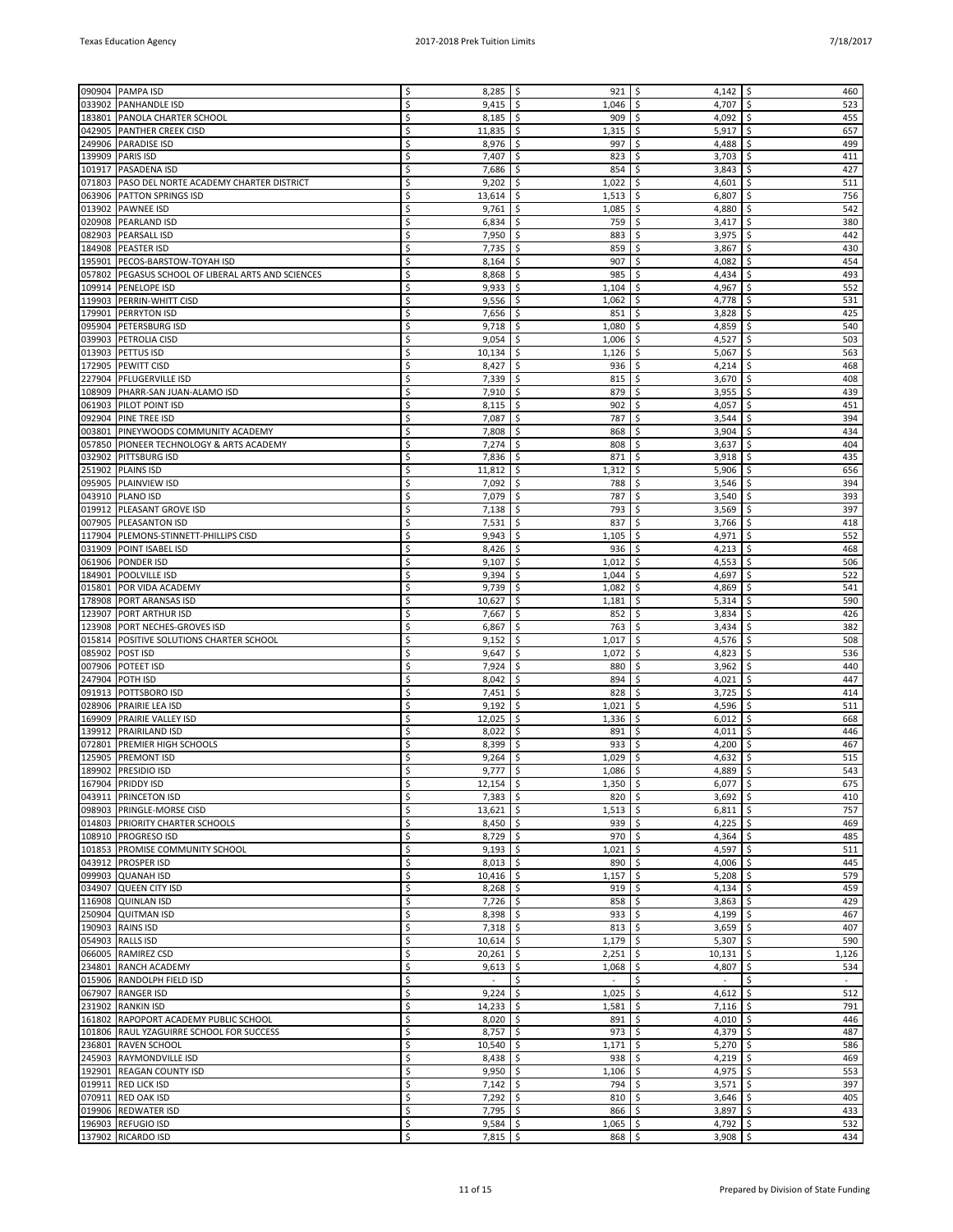| 090904           | <b>PAMPA ISD</b>                                   |          | 8,285                    | \$<br>921           | \$<br>4,142                             | \$<br>460                  |
|------------------|----------------------------------------------------|----------|--------------------------|---------------------|-----------------------------------------|----------------------------|
| 033902           | <b>PANHANDLE ISD</b>                               | \$       | 9,415                    | 1,046<br>\$         | 4,707<br>\$                             | 523<br>\$                  |
| 183801           | <b>PANOLA CHARTER SCHOOL</b>                       | \$       | 8,185                    | \$<br>909           | \$.<br>4,092                            | \$<br>455                  |
|                  | 042905 PANTHER CREEK CISD                          | Ś        | 11,835                   | \$<br>1,315         | \$<br>5,917                             | \$<br>657                  |
|                  | 249906 PARADISE ISD                                | Ś        | 8,976                    | \$<br>997           | Ŝ.<br>4,488                             | 499<br>\$                  |
| 139909           | <b>PARIS ISD</b>                                   | Ś        | 7,407                    | \$<br>823           | Ś.<br>3,703                             | Ś<br>411                   |
|                  | 101917   PASADENA ISD                              | \$       | 7,686                    | \$<br>854           | \$<br>3,843                             | 427<br>\$                  |
| 071803           | PASO DEL NORTE ACADEMY CHARTER DISTRICT            | Ś        | 9,202                    | Ŝ.<br>1,022         | \$.<br>4,601                            | 511<br>\$                  |
| 063906           | <b>PATTON SPRINGS ISD</b>                          | Ś        | 13,614                   | \$<br>1,513         | \$<br>6,807                             | 756<br>Ś                   |
|                  | 013902 PAWNEE ISD                                  | Ś        | 9,761                    | \$<br>1,085         | \$<br>4,880                             | 542<br>\$                  |
| 020908           | PEARLAND ISD                                       | Ś        | 6,834                    | \$<br>759           | \$<br>3,417                             | \$<br>380                  |
| 082903           | <b>PEARSALL ISD</b>                                | Ś        | 7,950                    | \$<br>883           | 3,975<br>\$                             | 442<br>\$                  |
| 184908           | <b>PEASTER ISD</b>                                 | Ś        | 7,735                    | \$.<br>859          | \$<br>3,867                             | \$<br>430                  |
|                  | 195901   PECOS-BARSTOW-TOYAH ISD                   | Ś        | 8,164                    | 907<br>\$           | \$<br>4,082                             | 454<br>\$                  |
|                  | 057802 PEGASUS SCHOOL OF LIBERAL ARTS AND SCIENCES | Ś        | 8,868                    | \$<br>985           | \$<br>4,434                             | 493<br>\$                  |
| 109914           | PENELOPE ISD                                       | Ś        | 9,933                    | \$<br>1,104         | \$<br>4,967                             | \$<br>552                  |
| 119903           | PERRIN-WHITT CISD                                  | Ś        | 9,556                    | 1,062<br>\$         | \$<br>4,778                             | 531<br>\$                  |
| 179901           | <b>PERRYTON ISD</b>                                | Ś        | 7,656                    | \$.<br>851          | Ŝ.<br>3,828                             | 425<br>\$                  |
| 095904           | <b>PETERSBURG ISD</b>                              | Ś        | 9,718                    | \$<br>1,080         | \$<br>4,859                             | 540<br>\$                  |
|                  | 039903 PETROLIA CISD                               | Ś        | 9,054                    | \$<br>1,006         | 4,527<br>\$                             | 503<br>\$                  |
| 013903           | <b>PETTUS ISD</b>                                  | Ś        | 10,134                   | \$<br>1,126         | \$<br>5,067                             | \$<br>563                  |
| 172905           | <b>PEWITT CISD</b>                                 | Ś        | 8,427                    | 936<br>-\$          | \$<br>4,214                             | 468<br>\$                  |
| 227904           | <b>PFLUGERVILLE ISD</b>                            | Ś        | 7,339                    | \$.<br>815          | Ŝ.<br>3,670                             | \$<br>408                  |
| 108909           | PHARR-SAN JUAN-ALAMO ISD                           | Ś        | 7,910                    | \$<br>879           | 3,955<br>\$                             | \$<br>439                  |
|                  | 061903 PILOT POINT ISD                             | Ś        | 8,115                    | \$<br>902           | \$<br>4,057                             | \$<br>451                  |
| 092904           | PINE TREE ISD                                      | Ś        | 7,087                    | \$<br>787           | \$<br>3,544                             | \$<br>394                  |
|                  | 003801 PINEYWOODS COMMUNITY ACADEMY                | Ś        | 7,808                    | \$<br>868           | \$<br>3,904                             | 434<br>\$                  |
|                  | 057850 PIONEER TECHNOLOGY & ARTS ACADEMY           | Ś        | 7,274                    | Ŝ.<br>808           | Ŝ.<br>3,637                             | 404<br>Ś                   |
| 032902           | <b>PITTSBURG ISD</b>                               | Ś        | 7,836                    | \$<br>871           | 3,918<br>\$                             | 435<br>Ś                   |
|                  | 251902 PLAINS ISD                                  | Ś        | 11,812                   | \$.<br>1,312        | 5,906<br>\$                             | 656<br>\$                  |
| 095905           | PLAINVIEW ISD                                      | Ś        | 7,092                    | \$<br>788           | \$<br>3,546                             | \$<br>394                  |
|                  | 043910   PLANO ISD                                 | Ś        | 7,079                    | 787<br>\$           | \$<br>3,540                             | 393<br>\$                  |
| 019912           | PLEASANT GROVE ISD                                 | Ś        | 7,138                    | Ŝ.<br>793           | Ŝ.<br>3,569                             | \$<br>397                  |
| 007905           | <b>PLEASANTON ISD</b>                              | Ś        | 7,531                    | 837<br>\$           | 3,766<br>\$                             | \$<br>418                  |
| 117904           | PLEMONS-STINNETT-PHILLIPS CISD                     | Ś        | 9,943                    | \$<br>1,105         | 4,971<br>\$                             | 552<br>\$                  |
| 031909           | POINT ISABEL ISD                                   | Ś        | 8,426                    | \$<br>936           | \$<br>4,213                             | \$<br>468                  |
| 061906           | <b>PONDER ISD</b>                                  | Ś        | 9,107                    | \$<br>1,012         | \$<br>4,553                             | 506<br>\$                  |
| 184901           | <b>POOLVILLE ISD</b>                               | Ś        | 9,394                    | -\$<br>1,044        | 4,697<br>Ŝ.                             | 522<br>Ś                   |
| 015801           | POR VIDA ACADEMY                                   | Ś        | 9,739                    | 1,082<br>\$         | \$<br>4,869                             | 541<br>\$                  |
| 178908           | <b>PORT ARANSAS ISD</b>                            | Ś        | 10,627                   | \$<br>1,181         | \$<br>5,314                             | 590<br>\$                  |
| 123907           | PORT ARTHUR ISD                                    | Ś        | 7,667                    | \$<br>852           | \$<br>3,834                             | \$<br>426                  |
| 123908           | PORT NECHES-GROVES ISD                             | Ś        | 6,867                    | 763<br>\$.          | \$<br>3,434                             | 382<br>\$                  |
| 015814           | POSITIVE SOLUTIONS CHARTER SCHOOL                  | Ś        | 9,152                    | Ŝ.<br>1,017         | \$.<br>4,576                            | \$<br>508                  |
| 085902           | <b>POST ISD</b>                                    | Ś        | 9,647                    | \$<br>1,072         | \$<br>4,823                             | 536<br>\$                  |
| 007906           | <b>POTEET ISD</b>                                  | Ś        | 7,924                    | \$<br>880           | \$<br>3,962                             | 440<br>\$                  |
| 247904           | POTH ISD                                           | Ś        | 8,042                    | \$<br>894           | \$<br>4,021                             | \$<br>447                  |
| 091913           | POTTSBORO ISD                                      | Ś        | 7,451                    | \$<br>828           | \$<br>3,725                             | 414<br>\$                  |
| 028906           | <b>PRAIRIE LEA ISD</b>                             | Ś        | 9,192                    | -\$<br>1,021        | \$<br>4,596                             | \$.<br>511                 |
| 169909           | <b>PRAIRIE VALLEY ISD</b>                          | Ś        | 12,025                   | 1,336<br>\$         | \$<br>6,012                             | \$<br>668                  |
| 139912<br>072801 | <b>PRAIRILAND ISD</b>                              | Ś<br>Ś   | 8,022                    | \$.<br>891<br>\$    | 4,011<br>\$.<br>\$                      | \$<br>446<br>Ś<br>467      |
| 125905           | PREMIER HIGH SCHOOLS<br><b>PREMONT ISD</b>         | Ś        | 8,399<br>9,264           | 933<br>1,029<br>\$. | 4,200<br>\$.<br>4,632                   | 515<br>\$                  |
|                  | 189902 PRESIDIO ISD                                | Ś        | 9,777                    | -\$<br>1,086        | \$<br>4,889                             | Ŝ.<br>543                  |
|                  | 167904 PRIDDY ISD                                  | \$       | $12,154$ \$              | $1,350$   \$        | $6,077$ \$                              | 675                        |
|                  | 043911 PRINCETON ISD                               | \$       | $7,383$ \$               | 820                 | \$<br>3,692                             | \$<br>410                  |
|                  | 098903 PRINGLE-MORSE CISD                          | \$       | $13,621$ \$              | 1,513               | \$<br>6,811                             | \$<br>757                  |
|                  | 014803 PRIORITY CHARTER SCHOOLS                    | \$       | $8,450$ \$               | 939                 | \$<br>4,225                             | $\ddot{\mathsf{S}}$<br>469 |
|                  | 108910 PROGRESO ISD                                | \$       | $8,729$ \$               | 970                 | \$<br>4,364                             | -\$<br>485                 |
|                  | 101853 PROMISE COMMUNITY SCHOOL                    | Ś        | $9,193$ \$               | 1,021               | \$<br>4,597                             | \$<br>511                  |
|                  | 043912   PROSPER ISD                               | \$       | $8,013$ \$               | 890                 | \$<br>4,006                             | \$<br>445                  |
|                  | 099903 QUANAH ISD                                  | \$       | $10,416$ \$              | 1,157               | \$<br>5,208                             | \$<br>579                  |
|                  | 034907 QUEEN CITY ISD                              | \$       | 8,268                    | \$<br>919           | \$<br>4,134                             | 459<br>\$                  |
|                  | 116908 QUINLAN ISD                                 | \$       | $7,726$ \$               | 858                 | \$<br>3,863                             | \$<br>429                  |
|                  | 250904 QUITMAN ISD                                 | \$       | 8,398                    | \$<br>933           | \$<br>4,199                             | 467<br>\$                  |
|                  | 190903 RAINS ISD                                   | \$       | $7,318$ \$               | 813                 | \$<br>3,659                             | \$<br>407                  |
|                  | 054903 RALLS ISD                                   | \$       | 10,614                   | \$<br>1,179         | \$<br>5,307                             | \$<br>590                  |
|                  | 066005 RAMIREZ CSD                                 | \$       | 20,261                   | \$<br>2,251         | \$<br>10,131                            | \$<br>1,126                |
|                  | 234801 RANCH ACADEMY                               | \$       | 9,613                    | \$<br>1,068         | \$<br>4,807                             | \$<br>534                  |
|                  | 015906 RANDOLPH FIELD ISD                          | Ś        | $\sim$                   | \$<br>$\sim$        | \$<br>$\sim$                            | \$<br>$\sim$               |
|                  | 067907 RANGER ISD                                  | \$       | 9,224                    | \$<br>1,025         | \$<br>4,612                             | \$<br>512                  |
|                  | 231902 RANKIN ISD                                  | \$       | $14,233$ \$              | 1,581               | \$<br>7,116                             | \$<br>791                  |
|                  | 161802 RAPOPORT ACADEMY PUBLIC SCHOOL              | \$       | 8,020                    | \$<br>891           | \$<br>4,010                             | \$<br>446                  |
|                  | 101806 RAUL YZAGUIRRE SCHOOL FOR SUCCESS           | \$       | 8,757                    | -\$<br>973          | \$<br>4,379                             | \$<br>487                  |
|                  | 236801 RAVEN SCHOOL                                | \$       | 10,540                   | \$<br>1,171         | \$<br>5,270                             | \$<br>586                  |
|                  | 245903 RAYMONDVILLE ISD                            | \$       | $8,438$ \$               | 938                 | \$<br>4,219                             | \$<br>469                  |
|                  | 192901 REAGAN COUNTY ISD                           | \$       | 9,950                    | \$<br>1,106         | \$<br>4,975                             | \$<br>553                  |
|                  | 019911 RED LICK ISD                                | \$       | 7,142                    | \$<br>794           | \$<br>3,571                             | \$<br>397                  |
|                  | 070911 RED OAK ISD                                 | \$       | $7,292$ \$               | 810                 | \$<br>3,646                             | \$<br>405                  |
|                  | 019906 REDWATER ISD                                | \$       | $7,795$ \$               | 866                 | \$<br>3,897                             | \$<br>433                  |
|                  | 196903 REFUGIO ISD<br>137902 RICARDO ISD           | \$<br>\$ | $9,584$ \$<br>$7,815$ \$ | 1,065<br>$868$ \$   | 4,792 $\frac{1}{2}$<br>\$<br>$3,908$ \$ | 532<br>434                 |
|                  |                                                    |          |                          |                     |                                         |                            |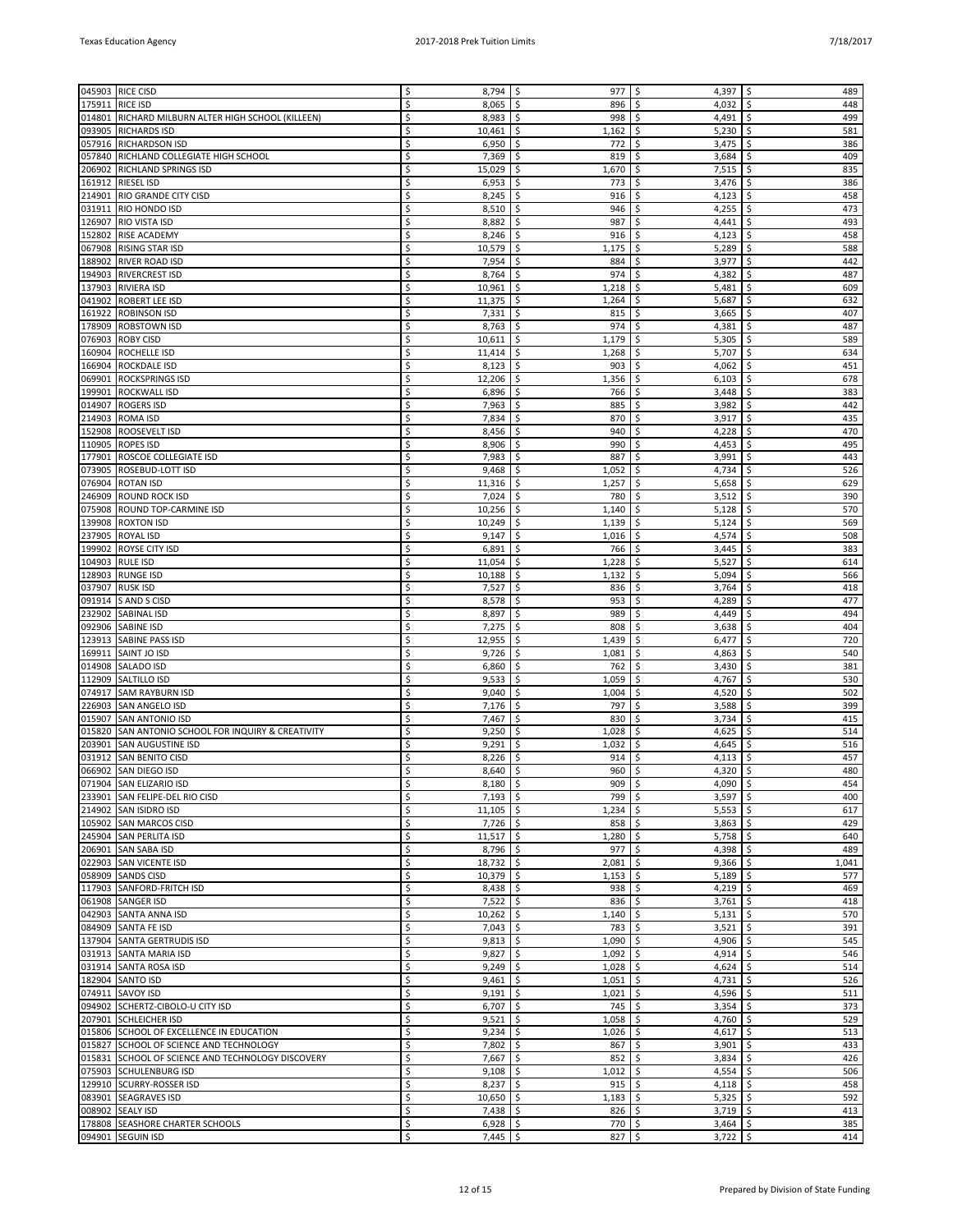| 045903           |                                                   | Ś      |                 | \$<br>977        | \$                           | \$<br>489                  |
|------------------|---------------------------------------------------|--------|-----------------|------------------|------------------------------|----------------------------|
|                  | <b>RICE CISD</b>                                  |        | 8,794           |                  | 4,397                        |                            |
| 175911           | <b>RICE ISD</b>                                   | Ś      | 8,065           | \$<br>896        | \$<br>4,032                  | \$<br>448                  |
| 014801           | RICHARD MILBURN ALTER HIGH SCHOOL (KILLEEN)       | Ś      | 8,983           | \$<br>998        | \$<br>4,491                  | \$<br>499                  |
| 093905           | <b>RICHARDS ISD</b>                               | Ś      | 10,461          | \$<br>1,162      | 5,230<br>\$                  | \$<br>581                  |
|                  | 057916 RICHARDSON ISD                             | Ś      | 6,950           | \$<br>772        | \$<br>3,475                  | \$<br>386                  |
| 057840           | RICHLAND COLLEGIATE HIGH SCHOOL                   | Ś      | 7,369           | \$<br>819        | \$<br>3,684                  | \$<br>409                  |
| 206902           | <b>RICHLAND SPRINGS ISD</b>                       | Ś      | 15,029          | \$<br>1,670      | \$<br>7,515                  | \$<br>835                  |
| 161912           | <b>RIESEL ISD</b>                                 | Ś      | 6,953           | \$.<br>773       | \$<br>3,476                  | \$<br>386                  |
| 214901           | <b>RIO GRANDE CITY CISD</b>                       | Ś      | 8,245           | \$<br>916        | 4,123<br>\$                  | \$<br>458                  |
|                  | 031911 RIO HONDO ISD                              | Ś      | 8,510           | \$<br>946        | \$<br>4,255                  | \$<br>473                  |
| 126907           | <b>RIO VISTA ISD</b>                              | Ś      | 8,882           | \$<br>987        | \$<br>4,441                  | \$<br>493                  |
| 152802           | <b>RISE ACADEMY</b>                               | Ś      | 8,246           | \$<br>916        | \$<br>4,123                  | 458<br>\$                  |
| 067908           | <b>RISING STAR ISD</b>                            | Ś      | 10,579          | \$<br>1,175      | \$<br>5,289                  | \$<br>588                  |
| 188902           | <b>RIVER ROAD ISD</b>                             | Ś      | 7,954           | \$<br>884        | \$<br>3,977                  | \$<br>442                  |
|                  | 194903 RIVERCREST ISD                             | Ś      | 8,764           | \$<br>974        | \$<br>4,382                  | \$<br>487                  |
| 137903           | <b>RIVIERA ISD</b>                                | Ś      | 10,961          | \$<br>1,218      | \$<br>5,481                  | \$<br>609                  |
| 041902           | <b>ROBERT LEE ISD</b>                             | Ś      | 11,375          | \$<br>1,264      | \$<br>5,687                  | 632<br>\$                  |
| 161922           | <b>ROBINSON ISD</b>                               | Ś      | 7,331           | \$<br>815        | \$<br>3,665                  | \$<br>407                  |
| 178909           | <b>ROBSTOWN ISD</b>                               | Ś      | 8,763           | \$.<br>974       | 4,381<br>\$                  | \$<br>487                  |
| 076903           | <b>ROBY CISD</b>                                  | Ś      | 10,611          | \$<br>1,179      | \$<br>5,305                  | \$<br>589                  |
|                  |                                                   | Ś      |                 |                  |                              |                            |
| 160904           | ROCHELLE ISD                                      |        | 11,414          | \$<br>1,268      | \$<br>5,707                  | \$<br>634                  |
| 166904           | <b>ROCKDALE ISD</b>                               | Ś      | 8,123           | \$<br>903        | \$<br>4,062                  | 451<br>\$                  |
| 069901           | <b>ROCKSPRINGS ISD</b>                            | Ś      | 12,206          | \$<br>1,356      | \$<br>6,103                  | \$<br>678                  |
| 199901           | <b>ROCKWALL ISD</b>                               | Ś      | 6,896           | \$<br>766        | \$<br>3,448                  | \$<br>383                  |
| 014907           | <b>ROGERS ISD</b>                                 | Ś      | 7,963           | \$<br>885        | \$<br>3,982                  | \$<br>442                  |
| 214903           | ROMA ISD                                          | Ś      | 7,834           | \$<br>870        | \$<br>3,917                  | \$<br>435                  |
| 152908           | ROOSEVELT ISD                                     | Ś      | 8,456           | \$<br>940        | \$<br>4,228                  | \$<br>470                  |
| 110905           | <b>ROPES ISD</b>                                  | Ś      | 8,906           | \$.<br>990       | \$<br>4,453                  | \$<br>495                  |
| 177901           | <b>ROSCOE COLLEGIATE ISD</b>                      | Ś      | 7,983           | \$<br>887        | 3,991<br>\$                  | \$<br>443                  |
| 073905           | ROSEBUD-LOTT ISD                                  | Ś      | 9,468           | \$<br>1,052      | 4,734<br>\$                  | \$<br>526                  |
| 076904           | <b>ROTAN ISD</b>                                  | Ś      | 11,316          | \$<br>1,257      | \$<br>5,658                  | \$<br>629                  |
| 246909           | <b>ROUND ROCK ISD</b>                             | Ś      | 7,024           | \$<br>780        | \$<br>3,512                  | 390<br>\$                  |
| 075908           | ROUND TOP-CARMINE ISD                             | Ś      | 10,256          | \$.<br>1,140     | \$<br>5,128                  | \$<br>570                  |
| 139908           | <b>ROXTON ISD</b>                                 | Ś      | 10,249          | 1,139<br>\$      | \$<br>5,124                  | \$<br>569                  |
| 237905           | ROYAL ISD                                         | Ś      | 9,147           | \$<br>1,016      | 4,574<br>\$                  | \$<br>508                  |
| 199902           | ROYSE CITY ISD                                    | Ś      | 6,891           | \$<br>766        | \$<br>3,445                  | \$<br>383                  |
| 104903           | <b>RULE ISD</b>                                   | Ś      | 11,054          | \$<br>1,228      | \$<br>5,527                  | 614<br>\$                  |
| 128903           | <b>RUNGE ISD</b>                                  | Ś      | 10,188          | Ŝ.<br>1,132      | \$<br>5,094                  | \$<br>566                  |
| 037907           | <b>RUSK ISD</b>                                   | Ś      | 7,527           | \$<br>836        | \$<br>3,764                  | \$<br>418                  |
| 091914           | S AND S CISD                                      | Ś      | 8,578           | \$<br>953        | \$<br>4,289                  | \$<br>477                  |
| 232902           | SABINAL ISD                                       | Ś      | 8,897           | \$<br>989        | \$<br>4,449                  | \$<br>494                  |
| 092906           | SABINE ISD                                        | Ś      | 7,275           | \$<br>808        | \$<br>3,638                  | 404<br>\$                  |
|                  | SABINE PASS ISD                                   | Ś      |                 | \$               |                              | \$<br>720                  |
| 123913<br>169911 |                                                   | Ś      | 12,955<br>9,726 | 1,439<br>\$      | \$<br>6,477<br>\$<br>4,863   | \$<br>540                  |
|                  | SAINT JO ISD                                      |        |                 | 1,081            |                              |                            |
| 014908           | SALADO ISD                                        | Ś<br>Ś | 6,860           | \$<br>762        | \$<br>3,430                  | 381<br>\$                  |
| 112909           | SALTILLO ISD                                      |        | 9,533           | \$<br>1,059      | \$<br>4,767                  | \$<br>530                  |
| 074917           | <b>SAM RAYBURN ISD</b>                            | Ś      | 9,040           | 1,004<br>\$      | \$<br>4,520                  | \$<br>502                  |
| 226903           | SAN ANGELO ISD                                    | Ś      | 7,176           | \$<br>797        | \$<br>3,588                  | \$<br>399                  |
| 015907           | <b>SAN ANTONIO ISD</b>                            | Ś      | 7,467           | \$<br>830        | 3,734<br>\$                  | 415<br>\$                  |
| 015820           | SAN ANTONIO SCHOOL FOR INQUIRY & CREATIVITY       | Ś      | 9,250           | \$<br>1,028      | \$<br>4,625                  | \$<br>514                  |
| 203901           | SAN AUGUSTINE ISD                                 | Ś      | 9,291           | \$<br>1,032      | \$<br>4,645                  | \$<br>516                  |
|                  | 031912 SAN BENITO CISD                            | Ś      | 8,226           | \$<br>914        | \$<br>4,113                  | \$<br>457                  |
|                  | 066902 SAN DIEGO ISD                              | Ś      | 8,640           | -\$<br>960       | \$<br>4,320                  | \$<br>480                  |
|                  | 071904 SAN ELIZARIO ISD                           | \$     | $8,180$ \$      | $909$ \$         | 4,090 $\frac{1}{2}$          | 454                        |
|                  | 233901 SAN FELIPE-DEL RIO CISD                    | \$     | $7,193$ \$      | $799$ \$         | 3,597                        | \$<br>400                  |
|                  | 214902 SAN ISIDRO ISD                             | \$     | $11,105$ \$     | 1,234            | \$<br>5,553                  | \$<br>617                  |
|                  | 105902 SAN MARCOS CISD                            | Ś      | $7,726$ \$      | $858$ \$         | 3,863                        | 429<br>\$                  |
|                  | 245904 SAN PERLITA ISD                            | Ś      | $11,517$ \$     | $1,280$ \$       | $5,758$ \$                   | 640                        |
|                  | 206901 SAN SABA ISD                               | Ś      | 8,796           | \$<br>977        | \$<br>4,398                  | 489<br>\$                  |
|                  | 022903 SAN VICENTE ISD                            | \$     | 18,732          | \$<br>2,081      | \$<br>9,366                  | \$<br>1,041                |
|                  | 058909 SANDS CISD                                 | Ś      | 10,379          | \$<br>1,153      | \$<br>5,189                  | \$<br>577                  |
|                  | 117903 SANFORD-FRITCH ISD                         | Ś      | 8,438           | \$<br>938        | $\ddot{\mathsf{S}}$<br>4,219 | \$<br>469                  |
|                  | 061908 SANGER ISD                                 | \$     | $7,522$ \$      | $836$ \$         | $3,761$ \$                   | 418                        |
|                  | 042903 SANTA ANNA ISD                             | Ś      | $10,262$ \$     | $1,140$ \$       | $5,131$   \$                 | 570                        |
|                  | 084909 SANTA FE ISD                               | \$     | $7,043$ \$      | $783 \mid 5$     | 3,521                        | \$<br>391                  |
|                  | 137904 SANTA GERTRUDIS ISD                        | \$     | $9,813$ \$      | 1,090            | $\ddot{\varsigma}$<br>4,906  | $\ddot{\mathsf{S}}$<br>545 |
|                  | 031913 SANTA MARIA ISD                            | Ś      | $9,827$ \$      | 1,092            | $\ddot{\circ}$<br>4,914      | \$<br>546                  |
|                  | 031914 SANTA ROSA ISD                             | Ś      | $9,249$ \$      | $1,028$ \$       | $4,624$ \$                   | 514                        |
|                  | 182904 SANTO ISD                                  | Ś      | 9,461           | $1,051$ \$<br>\$ | 4,731                        | \$<br>526                  |
|                  | 074911 SAVOY ISD                                  | \$     | 9,191           | \$<br>$1,021$ \$ | 4,596                        | \$<br>511                  |
|                  | 094902 SCHERTZ-CIBOLO-U CITY ISD                  | Ś      | 6,707           | \$<br>$745$ \$   | 3,354                        | \$<br>373                  |
|                  | 207901 SCHLEICHER ISD                             | Ś      | 9,521           | \$<br>$1,058$ \$ | 4,760                        | \$<br>529                  |
|                  | 015806 SCHOOL OF EXCELLENCE IN EDUCATION          | Ś      | $9,234$ \$      | $1,026$ \$       | 4,617 $\vert$ \$             | 513                        |
|                  |                                                   | Ś      |                 | \$               |                              | \$<br>433                  |
|                  | 015827 SCHOOL OF SCIENCE AND TECHNOLOGY           | \$     | 7,802           | 867              | \$<br>3,901                  |                            |
|                  | 015831 SCHOOL OF SCIENCE AND TECHNOLOGY DISCOVERY | Ś      | 7,667           | \$<br>852        | \$<br>3,834                  | \$<br>426                  |
|                  | 075903 SCHULENBURG ISD                            |        | 9,108           | \$<br>1,012      | l\$<br>4,554                 | \$<br>506                  |
|                  | 129910 SCURRY-ROSSER ISD                          | Ś      | 8,237           | \$<br>$915$ \$   | 4,118                        | \$<br>458                  |
|                  | 083901 SEAGRAVES ISD                              | \$     | $10,650$ \$     | $1,183$ \$       | $5,325$ \$                   | 592                        |
|                  | 008902 SEALY ISD                                  | Ś      | 7,438           | \$<br>$826$ \$   | 3,719                        | \$<br>413                  |
|                  | 178808 SEASHORE CHARTER SCHOOLS                   | \$     | $6,928$ \$      | $770 \mid 5$     | 3,464                        | \$<br>385                  |
|                  | 094901 SEGUIN ISD                                 | \$     | $7,445$ \$      | $827$ \$         | $3,722$ \$                   | 414                        |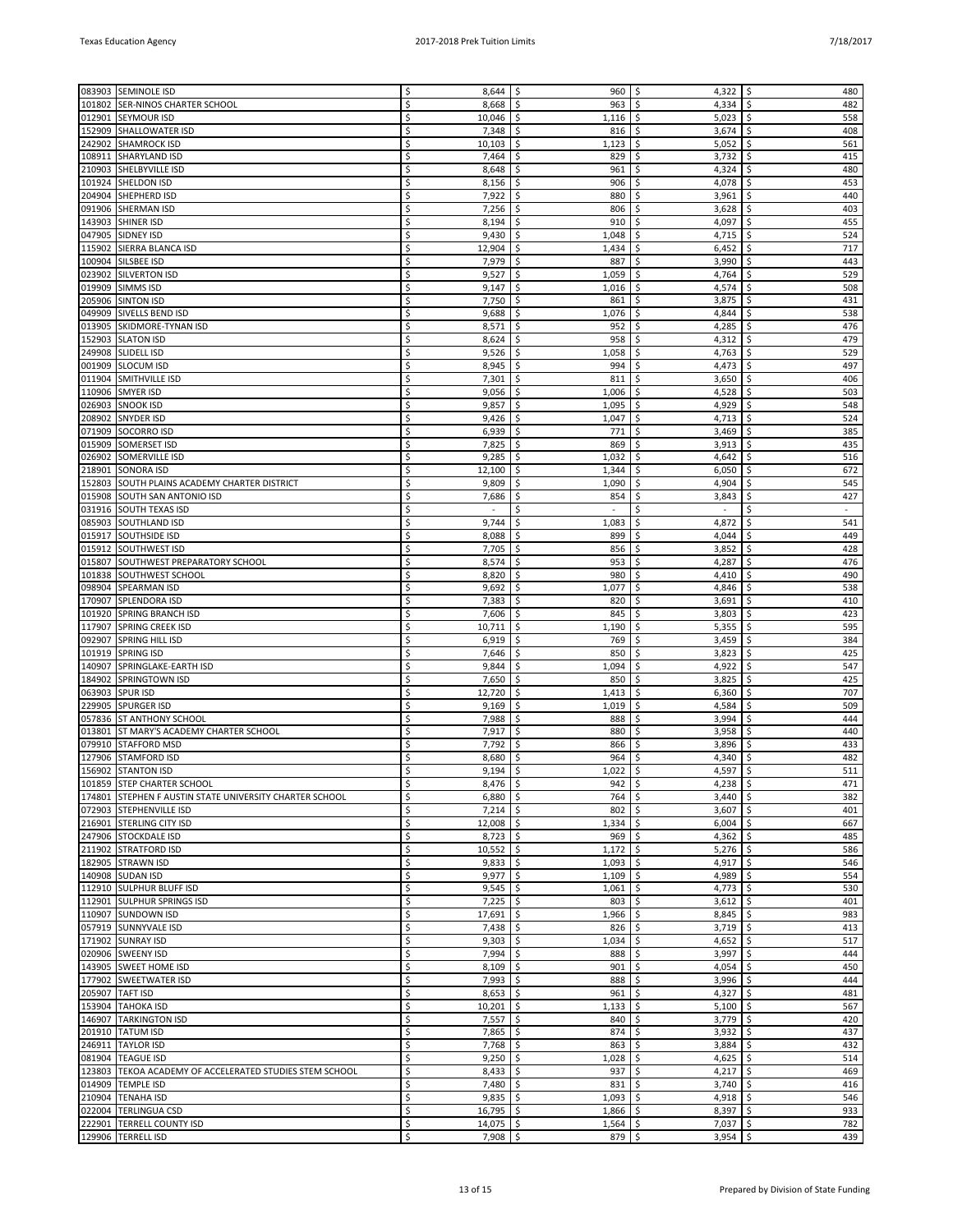| 083903 | <b>SEMINOLE ISD</b>                                     | Ś  | $8,644$ \$     | 960          | 4,322<br>\$                    | \$<br>480    |
|--------|---------------------------------------------------------|----|----------------|--------------|--------------------------------|--------------|
| 101802 | <b>SER-NINOS CHARTER SCHOOL</b>                         | Ś  | 8,668          | \$.<br>963   | \$.<br>4,334                   | \$<br>482    |
| 012901 | <b>SEYMOUR ISD</b>                                      | \$ | 10,046         | -\$<br>1,116 | 5,023<br>\$                    | \$<br>558    |
| 152909 | <b>SHALLOWATER ISD</b>                                  | Ś  | 7,348          | \$<br>816    | \$<br>3,674                    | \$<br>408    |
|        |                                                         |    |                |              |                                |              |
| 242902 | <b>SHAMROCK ISD</b>                                     | \$ | 10,103         | \$<br>1,123  | \$<br>5,052                    | \$<br>561    |
| 108911 | <b>SHARYLAND ISD</b>                                    | Ś  | 7,464          | \$<br>829    | 3,732<br>\$                    | \$<br>415    |
| 210903 | SHELBYVILLE ISD                                         | Ś  | 8,648          | \$<br>961    | \$<br>4,324                    | \$<br>480    |
|        |                                                         |    |                |              |                                |              |
| 101924 | <b>SHELDON ISD</b>                                      | \$ | 8,156          | \$<br>906    | \$<br>4,078                    | \$<br>453    |
| 204904 | SHEPHERD ISD                                            | Ś  | 7,922          | \$<br>880    | 3,961<br>\$                    | \$<br>440    |
| 091906 | <b>SHERMAN ISD</b>                                      | Ś  | 7,256          | \$<br>806    | \$<br>3,628                    | \$<br>403    |
|        |                                                         | Ś  |                |              |                                | \$           |
| 143903 | <b>SHINER ISD</b>                                       |    | 8,194          | \$<br>910    | 4,097<br>\$                    | 455          |
| 047905 | <b>SIDNEY ISD</b>                                       | Ś  | 9,430          | \$.<br>1,048 | \$<br>4,715                    | 524<br>\$    |
| 115902 | SIERRA BLANCA ISD                                       | Ś  | 12,904         | \$<br>1,434  | \$<br>6,452                    | 717<br>\$    |
| 100904 | SILSBEE ISD                                             | Ś  | 7,979          | \$<br>887    | \$<br>3,990                    | \$<br>443    |
|        |                                                         |    |                |              |                                |              |
| 023902 | <b>SILVERTON ISD</b>                                    |    | 9,527          | \$<br>1,059  | \$<br>4,764                    | \$<br>529    |
| 019909 | <b>SIMMS ISD</b>                                        | Ś  | 9,147          | -\$<br>1,016 | 4,574<br>\$                    | \$<br>508    |
| 205906 | <b>SINTON ISD</b>                                       | Ś  | 7,750          | \$<br>861    | \$<br>3,875                    | \$<br>431    |
|        |                                                         |    |                |              |                                |              |
| 049909 | <b>SIVELLS BEND ISD</b>                                 | Ś  | 9,688          | \$<br>1,076  | \$<br>4,844                    | \$<br>538    |
| 013905 | SKIDMORE-TYNAN ISD                                      | Ś  | 8,571          | \$<br>952    | 4,285<br>\$                    | \$<br>476    |
| 152903 | <b>SLATON ISD</b>                                       | Ś  | 8,624          | \$<br>958    | \$<br>4,312                    | \$<br>479    |
|        |                                                         | Ś  |                |              |                                |              |
| 249908 | <b>SLIDELL ISD</b>                                      |    | 9,526          | \$<br>1,058  | 4,763<br>\$                    | \$<br>529    |
| 001909 | <b>SLOCUM ISD</b>                                       | Ś  | 8,945          | \$<br>994    | \$<br>4,473                    | 497<br>\$    |
| 011904 | SMITHVILLE ISD                                          | Ś  | 7,301          | \$<br>811    | \$<br>3,650                    | \$<br>406    |
| 110906 | <b>SMYER ISD</b>                                        | Ś  | 9,056          | \$<br>1,006  | \$<br>4,528                    | \$<br>503    |
|        |                                                         |    |                |              |                                |              |
| 026903 | <b>SNOOK ISD</b>                                        |    | 9,857          | \$<br>1,095  | 4,929<br>\$                    | \$<br>548    |
| 208902 | <b>SNYDER ISD</b>                                       | Ś  | 9,426          | -\$<br>1,047 | \$<br>4,713                    | \$<br>524    |
| 071909 | SOCORRO ISD                                             | Ś  | 6,939          | \$<br>771    | \$<br>3,469                    | \$<br>385    |
|        |                                                         |    |                |              |                                |              |
| 015909 | <b>SOMERSET ISD</b>                                     | Ś  | 7,825          | \$<br>869    | \$<br>3,913                    | \$<br>435    |
| 026902 | SOMERVILLE ISD                                          | Ś  | 9,285          | \$<br>1,032  | 4,642<br>\$                    | 516<br>\$    |
| 218901 | <b>SONORA ISD</b>                                       | Ś  | 12,100         | \$<br>1,344  | \$<br>6,050                    | \$<br>672    |
|        |                                                         |    |                |              |                                |              |
| 152803 | SOUTH PLAINS ACADEMY CHARTER DISTRICT                   | \$ | 9,809          | \$<br>1,090  | 4,904<br>\$                    | \$<br>545    |
|        | 015908 SOUTH SAN ANTONIO ISD                            | Ś  | 7,686          | \$<br>854    | \$<br>3,843                    | \$<br>427    |
| 031916 | <b>SOUTH TEXAS ISD</b>                                  | Ś  | $\blacksquare$ | \$           | \$<br>$\overline{\phantom{a}}$ | \$<br>$\sim$ |
|        |                                                         |    |                |              |                                |              |
| 085903 | <b>SOUTHLAND ISD</b>                                    | \$ | 9,744          | \$<br>1,083  | \$<br>4,872                    | \$<br>541    |
| 015917 | <b>SOUTHSIDE ISD</b>                                    | Ś  | 8,088          | \$<br>899    | \$<br>4,044                    | 449<br>\$    |
| 015912 | <b>SOUTHWEST ISD</b>                                    | Ś  | 7,705          | \$<br>856    | 3,852<br>\$                    | \$<br>428    |
|        |                                                         |    |                |              |                                |              |
|        | 015807 SOUTHWEST PREPARATORY SCHOOL                     | Ś  | 8,574          | \$<br>953    | \$<br>4,287                    | \$<br>476    |
| 101838 | <b>SOUTHWEST SCHOOL</b>                                 | Ś  | 8,820          | \$.<br>980   | \$<br>4,410                    | \$<br>490    |
| 098904 | <b>SPEARMAN ISD</b>                                     | Ś  | 9,692          | \$<br>1,077  | \$<br>4,846                    | 538<br>\$    |
|        |                                                         | Ś  |                |              |                                |              |
| 170907 | <b>SPLENDORA ISD</b>                                    |    | 7,383          | \$<br>820    | \$<br>3,691                    | \$<br>410    |
| 101920 | <b>SPRING BRANCH ISD</b>                                | \$ | 7,606          | \$<br>845    | 3,803<br>\$                    | \$<br>423    |
| 117907 | <b>SPRING CREEK ISD</b>                                 | Ś  | 10,711         | \$<br>1,190  | \$<br>5,355                    | \$<br>595    |
| 092907 | <b>SPRING HILL ISD</b>                                  | Ś  | 6,919          | \$<br>769    | \$<br>3,459                    | \$<br>384    |
|        |                                                         |    |                |              |                                |              |
| 101919 | <b>SPRING ISD</b>                                       | Ś  | 7,646          | \$<br>850    | \$<br>3,823                    | \$<br>425    |
| 140907 | SPRINGLAKE-EARTH ISD                                    | Ś  | 9,844          | \$<br>1,094  | 4,922<br>\$                    | \$<br>547    |
| 184902 | SPRINGTOWN ISD                                          | \$ | 7,650          | -\$<br>850   | 3,825<br>\$                    | \$<br>425    |
|        |                                                         |    |                |              |                                |              |
| 063903 | <b>SPUR ISD</b>                                         | Ś  | 12,720         | \$<br>1,413  | 6,360<br>\$                    | \$<br>707    |
| 229905 | <b>SPURGER ISD</b>                                      | \$ | 9,169          | \$<br>1,019  | \$<br>4,584                    | \$<br>509    |
| 057836 | <b>ST ANTHONY SCHOOL</b>                                | \$ | 7,988          | \$<br>888    | 3,994<br>\$                    | 444<br>\$    |
|        |                                                         |    |                |              |                                |              |
| 013801 | ST MARY'S ACADEMY CHARTER SCHOOL                        | Ś  | 7,917          | \$<br>880    | \$<br>3,958                    | \$<br>440    |
| 079910 | <b>STAFFORD MSD</b>                                     | \$ | 7,792          | \$<br>866    | 3,896<br>\$                    | 433<br>\$    |
| 127906 | <b>STAMFORD ISD</b>                                     | \$ | 8,680          | \$<br>964    | 4,340<br>\$                    | 482<br>\$    |
|        | 156902 STANTON ISD                                      | \$ | 9,194          | -\$<br>1,022 | \$<br>4,597                    | \$<br>511    |
|        |                                                         |    |                |              |                                |              |
|        | 101859 STEP CHARTER SCHOOL                              | \$ | $8,476$ \$     | $942 \mid 5$ | $4,238$   \$                   | 471          |
|        | 174801 STEPHEN F AUSTIN STATE UNIVERSITY CHARTER SCHOOL | \$ | $6,880$ \$     | 764          | \$<br>3,440                    | \$<br>382    |
|        | 072903 STEPHENVILLE ISD                                 | \$ | $7,214$ \$     | 802          | \$<br>$3,607$ \$               | 401          |
|        |                                                         |    | $12,008$ \$    |              |                                |              |
|        | 216901 STERLING CITY ISD                                | \$ |                | $1,334$ \$   | 6,004                          | \$<br>667    |
|        | 247906 STOCKDALE ISD                                    | \$ | $8,723$ \$     | $969$ \$     | $4,362$ \$                     | 485          |
|        | 211902 STRATFORD ISD                                    | \$ | $10,552$ \$    | 1,172        | \$<br>5,276                    | \$<br>586    |
|        | 182905 STRAWN ISD                                       | \$ | $9,833$ \$     | 1,093        | \$<br>4,917                    | \$<br>546    |
|        |                                                         |    |                |              |                                |              |
|        | 140908 SUDAN ISD                                        | \$ | $9,977$ \$     | 1,109        | \$<br>4,989                    | \$<br>554    |
|        | 112910 SULPHUR BLUFF ISD                                | \$ | $9,545$ \$     | $1,061$ \$   | 4,773                          | \$<br>530    |
|        | 112901 SULPHUR SPRINGS ISD                              | \$ | $7,225$ \$     | $803 \mid 5$ | $3,612$ \$                     | 401          |
|        | 110907 SUNDOWN ISD                                      | \$ | $17,691$ \$    | 1,966        | \$<br>8,845                    | \$<br>983    |
|        |                                                         |    |                |              |                                |              |
|        | 057919 SUNNYVALE ISD                                    | \$ | $7,438$ \$     | 826          | \$<br>3,719                    | \$<br>413    |
|        | 171902 SUNRAY ISD                                       | \$ | $9,303$ \$     | 1,034        | 4,652 $\frac{1}{2}$<br>\$      | 517          |
|        | 020906 SWEENY ISD                                       | \$ | $7,994$ \$     | 888          | \$<br>3,997                    | \$<br>444    |
|        |                                                         |    |                |              |                                |              |
|        | 143905 SWEET HOME ISD                                   | \$ | $8,109$ \$     | 901          | $4,054$ \$<br>\$               | 450          |
|        | 177902 SWEETWATER ISD                                   | \$ | $7,993$ \$     | 888          | \$<br>3,996                    | \$<br>444    |
|        | 205907 TAFT ISD                                         | \$ | $8,653$ \$     | 961          | \$<br>4,327                    | \$<br>481    |
|        |                                                         |    |                |              |                                | 567          |
|        | 153904 TAHOKA ISD                                       | \$ | $10,201$ \$    | 1,133        | \$<br>$5,100$   \$             |              |
|        | 146907 TARKINGTON ISD                                   | \$ | $7,557$ \$     | 840          | \$<br>3,779                    | \$<br>420    |
|        | 201910 TATUM ISD                                        | \$ | $7,865$ \$     | 874          | $3,932$ \$<br>\$               | 437          |
|        | 246911 TAYLOR ISD                                       | \$ | $7,768$ \$     |              | \$<br>3,884                    | \$<br>432    |
|        |                                                         |    |                | 863          |                                |              |
|        | 081904 TEAGUE ISD                                       | \$ | $9,250$ \$     | 1,028        | \$<br>4,625                    | \$<br>514    |
| 123803 | TEKOA ACADEMY OF ACCELERATED STUDIES STEM SCHOOL        | \$ | $8,433$ \$     | 937          | \$<br>4,217 $\frac{1}{2}$      | 469          |
|        | 014909 TEMPLE ISD                                       | \$ | $7,480$ \$     | 831          | 3,740<br>\$                    | \$<br>416    |
|        |                                                         |    |                |              |                                |              |
| 210904 | <b>TENAHA ISD</b>                                       | \$ | $9,835$ \$     | 1,093        | \$<br>$4,918$ \$               | 546          |
|        | 022004 TERLINGUA CSD                                    | \$ | $16,795$ \$    | $1,866$ \$   | 8,397                          | \$<br>933    |
|        | 222901 TERRELL COUNTY ISD                               | \$ | $14,075$ \$    | $1,564$ \$   | 7,037                          | \$<br>782    |
|        |                                                         |    |                |              |                                |              |
|        | 129906 TERRELL ISD                                      | \$ | $7,908$ \$     | $879$ \$     | $3,954$ \$                     | 439          |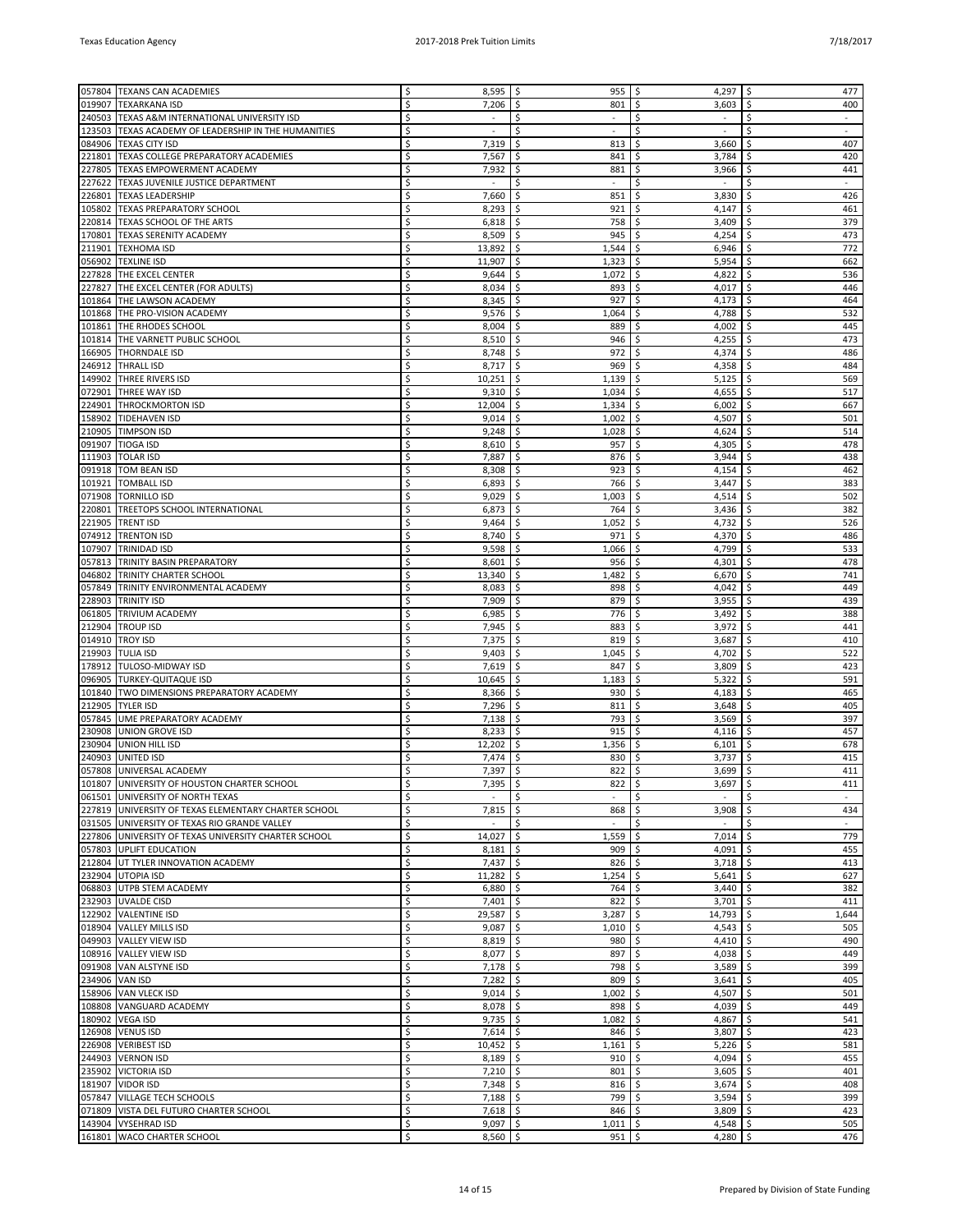| 057804 | <b>TEXANS CAN ACADEMIES</b>                          |    | 8,595          | -\$<br>955      | \$<br>4,297                    | \$<br>477            |
|--------|------------------------------------------------------|----|----------------|-----------------|--------------------------------|----------------------|
| 019907 | <b>TEXARKANA ISD</b>                                 | \$ | 7,206          | \$<br>801       | \$<br>3,603                    | \$<br>400            |
| 240503 | TEXAS A&M INTERNATIONAL UNIVERSITY ISD               | \$ | $\blacksquare$ | \$              | \$<br>$\overline{\phantom{a}}$ | \$<br>$\blacksquare$ |
| 123503 | TEXAS ACADEMY OF LEADERSHIP IN THE HUMANITIES        | Ś  | $\sim$         | \$<br>$\sim$    | \$<br>$\sim$                   | \$<br>$\sim$         |
| 084906 | <b>TEXAS CITY ISD</b>                                | \$ | 7,319          | \$<br>813       | \$<br>3,660                    | 407<br>\$            |
|        |                                                      | Ś  |                |                 |                                |                      |
| 221801 | TEXAS COLLEGE PREPARATORY ACADEMIES                  |    | 7,567          | \$<br>841       | \$<br>3,784                    | \$<br>420            |
| 227805 | TEXAS EMPOWERMENT ACADEMY                            | Ś  | 7,932          | \$<br>881       | \$<br>3,966                    | \$<br>441            |
| 227622 | TEXAS JUVENILE JUSTICE DEPARTMENT                    | Ś  | $\sim$         | Ś               | Ś<br>$\sim$                    | \$                   |
| 226801 | <b>TEXAS LEADERSHIP</b>                              | Ś  | 7,660          | \$<br>851       | \$<br>3,830                    | \$<br>426            |
| 105802 | <b>TEXAS PREPARATORY SCHOOL</b>                      | Ś  | 8,293          | \$.<br>921      | \$<br>4,147                    | \$<br>461            |
|        |                                                      | Ś  |                |                 |                                | \$                   |
| 220814 | TEXAS SCHOOL OF THE ARTS                             |    | 6,818          | \$<br>758       | \$<br>3,409                    | 379                  |
| 170801 | <b>TEXAS SERENITY ACADEMY</b>                        | Ś  | 8,509          | \$<br>945       | \$<br>4,254                    | 473<br>\$            |
| 211901 | <b>TEXHOMA ISD</b>                                   | Ś  | 13,892         | \$.<br>1,544    | \$<br>6,946                    | 772<br>\$            |
| 056902 | <b>TEXLINE ISD</b>                                   | Ś  | 11,907         | \$<br>1,323     | \$<br>5,954                    | \$<br>662            |
| 227828 | THE EXCEL CENTER                                     | \$ | 9,644          | \$<br>1,072     | \$<br>4,822                    | \$<br>536            |
| 227827 |                                                      | Ś  | 8,034          | \$<br>893       | \$<br>4,017                    | \$<br>446            |
|        | THE EXCEL CENTER (FOR ADULTS)                        |    |                |                 |                                |                      |
| 101864 | THE LAWSON ACADEMY                                   | Ś  | 8,345          | \$<br>927       | \$<br>4,173                    | 464<br>\$            |
| 101868 | THE PRO-VISION ACADEMY                               | Ś  | 9,576          | \$.<br>1,064    | \$<br>4,788                    | \$<br>532            |
| 101861 | THE RHODES SCHOOL                                    | Ś  | 8,004          | \$<br>889       | 4,002<br>\$                    | 445<br>\$            |
|        | 101814 THE VARNETT PUBLIC SCHOOL                     | Ś  | 8,510          | \$<br>946       | \$<br>4,255                    | 473<br>\$            |
| 166905 | <b>THORNDALE ISD</b>                                 | Ś  | 8,748          | \$<br>972       | \$<br>4,374                    | \$<br>486            |
| 246912 | <b>THRALL ISD</b>                                    | Ś  | 8,717          | 969<br>-\$      | \$<br>4,358                    | 484<br>\$            |
|        |                                                      |    |                |                 |                                |                      |
| 149902 | THREE RIVERS ISD                                     | Ś  | 10,251         | -\$<br>1,139    | \$<br>5,125                    | 569<br>\$            |
| 072901 | <b>THREE WAY ISD</b>                                 | Ś  | 9,310          | \$<br>1,034     | \$<br>4,655                    | \$<br>517            |
| 224901 | <b>THROCKMORTON ISD</b>                              | Ś  | 12,004         | \$<br>1,334     | \$<br>6,002                    | \$<br>667            |
| 158902 | <b>TIDEHAVEN ISD</b>                                 | Ś  | 9,014          | \$<br>1,002     | \$<br>4,507                    | \$<br>501            |
| 210905 | <b>TIMPSON ISD</b>                                   | Ś  | 9,248          | \$<br>1,028     | \$<br>4,624                    | 514<br>\$            |
|        |                                                      |    |                |                 |                                |                      |
| 091907 | <b>TIOGA ISD</b>                                     | Ś  | 8,610          | Ŝ.<br>957       | \$<br>4,305                    | 478<br>\$            |
| 111903 | <b>TOLAR ISD</b>                                     | Ś  | 7,887          | \$<br>876       | 3,944<br>\$                    | 438<br>\$            |
| 091918 | <b>TOM BEAN ISD</b>                                  | Ś  | 8,308          | 923<br>\$       | \$<br>4,154                    | 462<br>\$            |
| 101921 | <b>TOMBALL ISD</b>                                   | Ś  | 6,893          | \$<br>766       | \$<br>3,447                    | \$<br>383            |
| 071908 | <b>TORNILLO ISD</b>                                  | Ś  | 9,029          | \$<br>1,003     | \$<br>4,514                    | 502<br>\$            |
|        | TREETOPS SCHOOL INTERNATIONAL                        | Ś  |                | Ŝ.              |                                |                      |
| 220801 |                                                      |    | 6,873          | 764             | \$<br>3,436                    | \$<br>382            |
| 221905 | <b>TRENT ISD</b>                                     | Ś  | 9,464          | \$<br>1,052     | 4,732<br>\$                    | 526<br>\$            |
| 074912 | <b>TRENTON ISD</b>                                   | Ś  | 8,740          | \$<br>971       | 4,370<br>\$                    | 486<br>\$            |
| 107907 | <b>TRINIDAD ISD</b>                                  | Ś  | 9,598          | \$<br>1,066     | \$<br>4,799                    | \$<br>533            |
| 057813 | <b>TRINITY BASIN PREPARATORY</b>                     | Ś  | 8,601          | \$<br>956       | \$<br>4,301                    | 478<br>\$            |
| 046802 |                                                      | Ś  |                |                 | \$                             | \$<br>741            |
|        | TRINITY CHARTER SCHOOL                               |    | 13,340         | 1,482<br>-S     | 6,670                          |                      |
| 057849 | TRINITY ENVIRONMENTAL ACADEMY                        | Ś  | 8,083          | \$<br>898       | \$<br>4,042                    | 449<br>\$            |
| 228903 | <b>TRINITY ISD</b>                                   | Ś  | 7,909          | \$<br>879       | 3,955<br>\$                    | 439<br>\$            |
| 061805 | <b>TRIVIUM ACADEMY</b>                               | Ś  | 6,985          | \$<br>776       | \$<br>3,492                    | \$<br>388            |
| 212904 | <b>TROUP ISD</b>                                     | Ś  | 7,945          | \$<br>883       | \$<br>3,972                    | 441<br>\$            |
| 014910 | <b>TROY ISD</b>                                      | Ś  |                | -\$<br>819      | 3,687<br>\$                    | \$<br>410            |
|        |                                                      |    | 7,375          |                 |                                |                      |
| 219903 | <b>TULIA ISD</b>                                     | Ś  | 9,403          | \$<br>1,045     | \$<br>4,702                    | \$<br>522            |
| 178912 | TULOSO-MIDWAY ISD                                    | Ś  | 7,619          | \$<br>847       | 3,809<br>\$                    | 423<br>\$            |
| 096905 | <b>TURKEY-QUITAQUE ISD</b>                           | Ś  | 10,645         | \$<br>1,183     | \$<br>5,322                    | \$<br>591            |
| 101840 | TWO DIMENSIONS PREPARATORY ACADEMY                   | Ś  | 8,366          | \$<br>930       | \$<br>4,183                    | \$<br>465            |
| 212905 | <b>TYLER ISD</b>                                     | \$ | 7,296          | 811<br>-S       | \$<br>3,648                    | \$<br>405            |
|        |                                                      |    |                |                 |                                |                      |
| 057845 | UME PREPARATORY ACADEMY                              | Ś  | 7,138          | \$<br>793       | \$<br>3,569                    | 397<br>\$            |
| 230908 | <b>UNION GROVE ISD</b>                               | Ś  | 8,233          | \$<br>915       | \$<br>4,116                    | 457<br>\$            |
| 230904 | <b>UNION HILL ISD</b>                                | Ś  | 12,202         | \$<br>1,356     | \$<br>6,101                    | \$<br>678            |
| 240903 | <b>UNITED ISD</b>                                    | Ś  | 7,474          | \$<br>830       | \$<br>3,737                    | 415<br>\$            |
|        | 057808 UNIVERSAL ACADEMY                             | Ś. | $7.397$ \ \$   | 822             | \$<br>$3,699$ \ \$             | 411                  |
|        | 101807 UNIVERSITY OF HOUSTON CHARTER SCHOOL          | \$ |                | $822$ \$        | $3,697$   \$                   | 411                  |
|        |                                                      |    | $7,395$ \$     |                 |                                |                      |
| 061501 | UNIVERSITY OF NORTH TEXAS                            | \$ | $\sim$         | \$<br>$\bar{a}$ | \$<br>$\sim$                   | \$<br>÷.             |
| 227819 | UNIVERSITY OF TEXAS ELEMENTARY CHARTER SCHOOL        | \$ | 7,815          | \$<br>868       | \$<br>3,908                    | \$<br>434            |
|        | 031505 UNIVERSITY OF TEXAS RIO GRANDE VALLEY         | \$ | $\omega$       | \$<br>$\omega$  | \$<br>$\sim$                   | \$<br>$\omega$       |
|        | 227806 UNIVERSITY OF TEXAS UNIVERSITY CHARTER SCHOOL | \$ | $14,027$ \$    | 1,559           | \$<br>7,014                    | \$<br>779            |
|        | 057803 UPLIFT EDUCATION                              | \$ | 8,181          | \$<br>909       | \$<br>4,091                    | \$<br>455            |
|        | 212804 UT TYLER INNOVATION ACADEMY                   | \$ | $7,437$ \$     | 826             | \$<br>3,718                    | \$<br>413            |
|        |                                                      |    |                |                 |                                |                      |
| 232904 | <b>UTOPIA ISD</b>                                    | \$ | 11,282         | \$<br>1,254     | \$<br>5,641                    | \$<br>627            |
|        | 068803 UTPB STEM ACADEMY                             | \$ | $6,880$ \$     | 764             | \$<br>3,440                    | \$<br>382            |
|        | 232903 UVALDE CISD                                   | \$ | $7,401$ \$     | 822             | \$<br>$3,701$ \$               | 411                  |
|        | 122902 VALENTINE ISD                                 | \$ | $29,587$ \$    | 3,287           | \$<br>14,793                   | \$<br>1,644          |
|        | 018904 VALLEY MILLS ISD                              | \$ | $9,087$ \$     | 1,010           | \$<br>4,543                    | \$<br>505            |
|        |                                                      | \$ | $8,819$ \$     | 980             | \$<br>4,410                    | \$<br>490            |
|        | 049903   VALLEY VIEW ISD                             |    |                |                 |                                |                      |
|        | 108916 VALLEY VIEW ISD                               | \$ | $8,077$ \$     | 897             | \$<br>4,038                    | 449<br>\$            |
|        | 091908 VAN ALSTYNE ISD                               | \$ | $7,178$ \$     | 798             | \$<br>3,589                    | \$<br>399            |
|        | 234906 VAN ISD                                       | \$ | 7,282          | \$<br>809       | \$<br>3,641                    | \$<br>405            |
|        | 158906 VAN VLECK ISD                                 | \$ | $9,014$ \$     | 1,002           | \$<br>4,507                    | \$<br>501            |
| 108808 | VANGUARD ACADEMY                                     | \$ | $8,078$ \$     | 898             | \$<br>4,039                    | \$<br>449            |
|        |                                                      |    |                |                 |                                |                      |
|        | 180902 VEGA ISD                                      | \$ | $9,735$ \$     | 1,082           | \$<br>4,867                    | 541<br>\$            |
|        | 126908   VENUS ISD                                   | \$ | $7,614$ \$     | 846             | $3,807$ \$<br>\$               | 423                  |
|        | 226908   VERIBEST ISD                                | \$ | 10,452         | \$<br>1,161     | \$<br>5,226                    | \$<br>581            |
| 244903 | <b>VERNON ISD</b>                                    | \$ | $8,189$ \$     | 910             | \$<br>4,094                    | \$<br>455            |
| 235902 | <b>VICTORIA ISD</b>                                  | \$ | 7,210          | \$<br>801       | \$<br>3,605                    | \$<br>401            |
|        | 181907 VIDOR ISD                                     | \$ | $7,348$ \$     | 816             | \$<br>3,674                    | 408<br>\$            |
|        |                                                      |    |                |                 |                                |                      |
| 057847 | <b>VILLAGE TECH SCHOOLS</b>                          | \$ | $7,188$ \$     | 799             | \$<br>3,594                    | \$<br>399            |
|        | 071809 VISTA DEL FUTURO CHARTER SCHOOL               | \$ | $7,618$ \$     | 846             | \$<br>3,809                    | \$<br>423            |
|        | 143904 VYSEHRAD ISD                                  | \$ | $9,097$ \$     | $1,011$ \$      | 4,548                          | \$<br>505            |
|        | 161801 WACO CHARTER SCHOOL                           | \$ | $8,560$ \$     | $951$ \$        | 4,280 $\frac{1}{2}$            | 476                  |